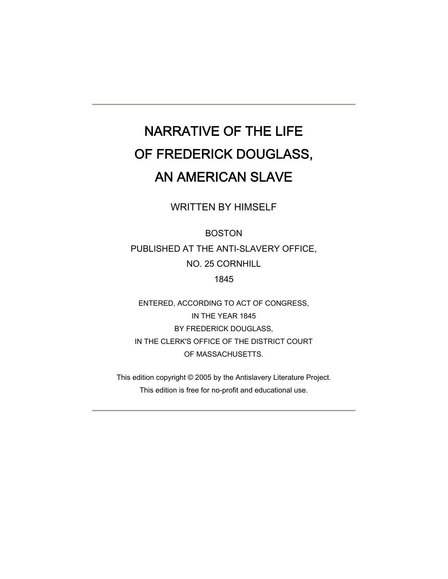# NARRATIVE OF THE LIFE OF FREDERICK DOUGLASS, AN AMERICAN SLAVE

WRITTEN BY HIMSELF

BOSTON PUBLISHED AT THE ANTI-SLAVERY OFFICE, NO. 25 CORNHILL 1845

ENTERED, ACCORDING TO ACT OF CONGRESS, IN THE YEAR 1845 BY FREDERICK DOUGLASS, IN THE CLERK'S OFFICE OF THE DISTRICT COURT OF MASSACHUSETTS.

This edition copyright © 2005 by the Antislavery Literature Project. This edition is free for no-profit and educational use.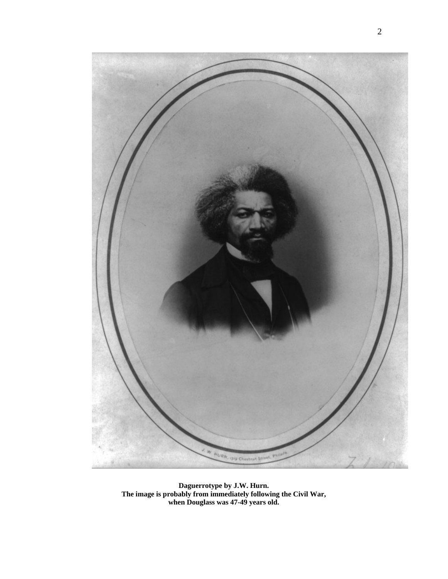

**Daguerrotype by J.W. Hurn. The image is probably from immediately following the Civil War, when Douglass was 47-49 years old.**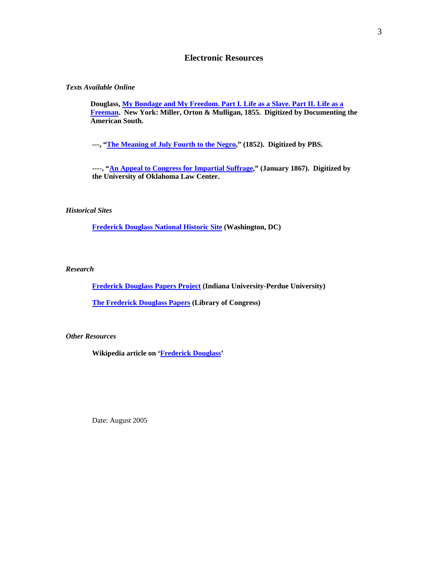## **Electronic Resources**

#### *Texts Available Online*

**Douglass, [My Bondage and My Freedom. Part I. Life as a Slave. Part II. Life as a](http://docsouth.unc.edu/neh/douglass55/menu.html)  [Freeman](http://docsouth.unc.edu/neh/douglass55/menu.html). New York: Miller, Orton & Mulligan, 1855. Digitized by Documenting the American South.**

**---, ["The Meaning of July Fourth to the Negro](http://www.pbs.org/wgbh/aia/part4/4h2927t.html)," (1852). Digitized by PBS.** 

**----, ["An Appeal to Congress for Impartial Suffrage,](http://www.law.ou.edu/hist/suff.html)" (January 1867). Digitized by the University of Oklahoma Law Center.** 

#### *Historical Sites*

**[Frederick Douglass National Historic Site](http://www.nps.gov/frdo) (Washington, DC)** 

#### *Research*

**[Frederick Douglass Papers Project](http://www.iupui.edu/%7Edouglass) (Indiana University-Perdue University)** 

**[The Frederick Douglass Papers](http://memory.loc.gov/ammem/doughtml/doughome.html) (Library of Congress)** 

#### *Other Resources*

**Wikipedia article on ['Frederick Douglass](http://en.wikipedia.org/wiki/Frederick_Douglass)'** 

Date: August 2005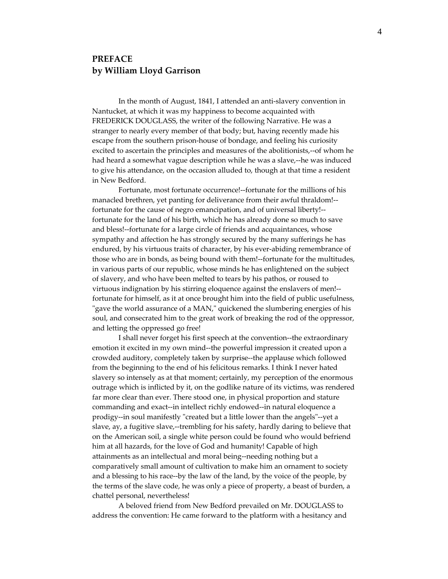## **PREFACE by William Lloyd Garrison**

In the month of August, 1841, I attended an anti‐slavery convention in Nantucket, at which it was my happiness to become acquainted with FREDERICK DOUGLASS, the writer of the following Narrative. He was a stranger to nearly every member of that body; but, having recently made his escape from the southern prison‐house of bondage, and feeling his curiosity excited to ascertain the principles and measures of the abolitionists,--of whom he had heard a somewhat vague description while he was a slave,--he was induced to give his attendance, on the occasion alluded to, though at that time a resident in New Bedford.

Fortunate, most fortunate occurrence!‐‐fortunate for the millions of his manacled brethren, yet panting for deliverance from their awful thraldom!‐‐ fortunate for the cause of negro emancipation, and of universal liberty!‐‐ fortunate for the land of his birth, which he has already done so much to save and bless!‐‐fortunate for a large circle of friends and acquaintances, whose sympathy and affection he has strongly secured by the many sufferings he has endured, by his virtuous traits of character, by his ever-abiding remembrance of those who are in bonds, as being bound with them!‐‐fortunate for the multitudes, in various parts of our republic, whose minds he has enlightened on the subject of slavery, and who have been melted to tears by his pathos, or roused to virtuous indignation by his stirring eloquence against the enslavers of men!‐‐ fortunate for himself, as it at once brought him into the field of public usefulness, "gave the world assurance of a MAN," quickened the slumbering energies of his soul, and consecrated him to the great work of breaking the rod of the oppressor, and letting the oppressed go free!

I shall never forget his first speech at the convention‐‐the extraordinary emotion it excited in my own mind‐‐the powerful impression it created upon a crowded auditory, completely taken by surprise‐‐the applause which followed from the beginning to the end of his felicitous remarks. I think I never hated slavery so intensely as at that moment; certainly, my perception of the enormous outrage which is inflicted by it, on the godlike nature of its victims, was rendered far more clear than ever. There stood one, in physical proportion and stature commanding and exact‐‐in intellect richly endowed‐‐in natural eloquence a prodigy--in soul manifestly "created but a little lower than the angels"--yet a slave, ay, a fugitive slave,--trembling for his safety, hardly daring to believe that on the American soil, a single white person could be found who would befriend him at all hazards, for the love of God and humanity! Capable of high attainments as an intellectual and moral being‐‐needing nothing but a comparatively small amount of cultivation to make him an ornament to society and a blessing to his race‐‐by the law of the land, by the voice of the people, by the terms of the slave code, he was only a piece of property, a beast of burden, a chattel personal, nevertheless!

A beloved friend from New Bedford prevailed on Mr. DOUGLASS to address the convention: He came forward to the platform with a hesitancy and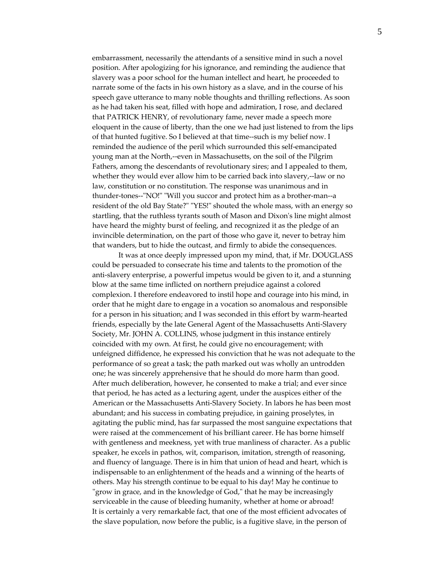embarrassment, necessarily the attendants of a sensitive mind in such a novel position. After apologizing for his ignorance, and reminding the audience that slavery was a poor school for the human intellect and heart, he proceeded to narrate some of the facts in his own history as a slave, and in the course of his speech gave utterance to many noble thoughts and thrilling reflections. As soon as he had taken his seat, filled with hope and admiration, I rose, and declared that PATRICK HENRY, of revolutionary fame, never made a speech more eloquent in the cause of liberty, than the one we had just listened to from the lips of that hunted fugitive. So I believed at that time‐‐such is my belief now. I reminded the audience of the peril which surrounded this self‐emancipated young man at the North,‐‐even in Massachusetts, on the soil of the Pilgrim Fathers, among the descendants of revolutionary sires; and I appealed to them, whether they would ever allow him to be carried back into slavery,--law or no law, constitution or no constitution. The response was unanimous and in thunder-tones--"NO!" "Will you succor and protect him as a brother-man--a resident of the old Bay State?" "YES!" shouted the whole mass, with an energy so startling, that the ruthless tyrants south of Mason and Dixonʹs line might almost have heard the mighty burst of feeling, and recognized it as the pledge of an invincible determination, on the part of those who gave it, never to betray him that wanders, but to hide the outcast, and firmly to abide the consequences.

It was at once deeply impressed upon my mind, that, if Mr. DOUGLASS could be persuaded to consecrate his time and talents to the promotion of the anti‐slavery enterprise, a powerful impetus would be given to it, and a stunning blow at the same time inflicted on northern prejudice against a colored complexion. I therefore endeavored to instil hope and courage into his mind, in order that he might dare to engage in a vocation so anomalous and responsible for a person in his situation; and I was seconded in this effort by warm-hearted friends, especially by the late General Agent of the Massachusetts Anti‐Slavery Society, Mr. JOHN A. COLLINS, whose judgment in this instance entirely coincided with my own. At first, he could give no encouragement; with unfeigned diffidence, he expressed his conviction that he was not adequate to the performance of so great a task; the path marked out was wholly an untrodden one; he was sincerely apprehensive that he should do more harm than good. After much deliberation, however, he consented to make a trial; and ever since that period, he has acted as a lecturing agent, under the auspices either of the American or the Massachusetts Anti‐Slavery Society. In labors he has been most abundant; and his success in combating prejudice, in gaining proselytes, in agitating the public mind, has far surpassed the most sanguine expectations that were raised at the commencement of his brilliant career. He has borne himself with gentleness and meekness, yet with true manliness of character. As a public speaker, he excels in pathos, wit, comparison, imitation, strength of reasoning, and fluency of language. There is in him that union of head and heart, which is indispensable to an enlightenment of the heads and a winning of the hearts of others. May his strength continue to be equal to his day! May he continue to "grow in grace, and in the knowledge of God," that he may be increasingly serviceable in the cause of bleeding humanity, whether at home or abroad! It is certainly a very remarkable fact, that one of the most efficient advocates of the slave population, now before the public, is a fugitive slave, in the person of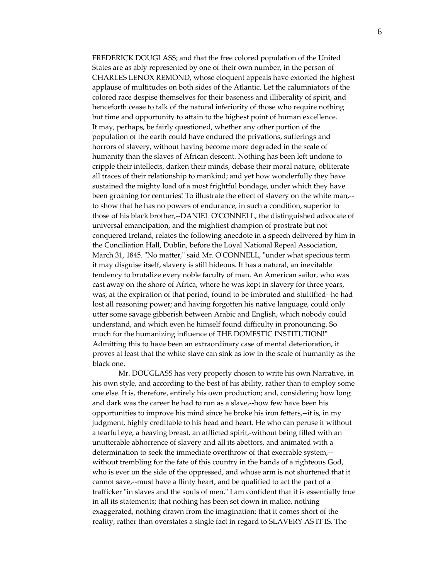FREDERICK DOUGLASS; and that the free colored population of the United States are as ably represented by one of their own number, in the person of CHARLES LENOX REMOND, whose eloquent appeals have extorted the highest applause of multitudes on both sides of the Atlantic. Let the calumniators of the colored race despise themselves for their baseness and illiberality of spirit, and henceforth cease to talk of the natural inferiority of those who require nothing but time and opportunity to attain to the highest point of human excellence. It may, perhaps, be fairly questioned, whether any other portion of the population of the earth could have endured the privations, sufferings and horrors of slavery, without having become more degraded in the scale of humanity than the slaves of African descent. Nothing has been left undone to cripple their intellects, darken their minds, debase their moral nature, obliterate all traces of their relationship to mankind; and yet how wonderfully they have sustained the mighty load of a most frightful bondage, under which they have been groaning for centuries! To illustrate the effect of slavery on the white man,-to show that he has no powers of endurance, in such a condition, superior to those of his black brother,‐‐DANIEL OʹCONNELL, the distinguished advocate of universal emancipation, and the mightiest champion of prostrate but not conquered Ireland, relates the following anecdote in a speech delivered by him in the Conciliation Hall, Dublin, before the Loyal National Repeal Association, March 31, 1845. "No matter," said Mr. O'CONNELL, "under what specious term it may disguise itself, slavery is still hideous. It has a natural, an inevitable tendency to brutalize every noble faculty of man. An American sailor, who was cast away on the shore of Africa, where he was kept in slavery for three years, was, at the expiration of that period, found to be imbruted and stultified‐‐he had lost all reasoning power; and having forgotten his native language, could only utter some savage gibberish between Arabic and English, which nobody could understand, and which even he himself found difficulty in pronouncing. So much for the humanizing influence of THE DOMESTIC INSTITUTION!" Admitting this to have been an extraordinary case of mental deterioration, it proves at least that the white slave can sink as low in the scale of humanity as the black one.

Mr. DOUGLASS has very properly chosen to write his own Narrative, in his own style, and according to the best of his ability, rather than to employ some one else. It is, therefore, entirely his own production; and, considering how long and dark was the career he had to run as a slave,‐‐how few have been his opportunities to improve his mind since he broke his iron fetters,‐‐it is, in my judgment, highly creditable to his head and heart. He who can peruse it without a tearful eye, a heaving breast, an afflicted spirit,‐without being filled with an unutterable abhorrence of slavery and all its abettors, and animated with a determination to seek the immediate overthrow of that execrable system,‐‐ without trembling for the fate of this country in the hands of a righteous God, who is ever on the side of the oppressed, and whose arm is not shortened that it cannot save,‐‐must have a flinty heart, and be qualified to act the part of a trafficker "in slaves and the souls of men." I am confident that it is essentially true in all its statements; that nothing has been set down in malice, nothing exaggerated, nothing drawn from the imagination; that it comes short of the reality, rather than overstates a single fact in regard to SLAVERY AS IT IS. The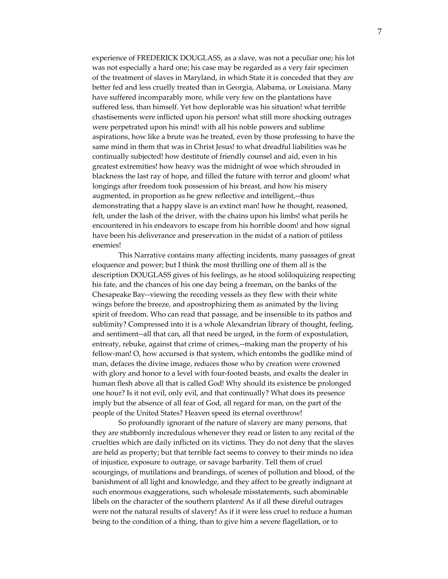experience of FREDERICK DOUGLASS, as a slave, was not a peculiar one; his lot was not especially a hard one; his case may be regarded as a very fair specimen of the treatment of slaves in Maryland, in which State it is conceded that they are better fed and less cruelly treated than in Georgia, Alabama, or Louisiana. Many have suffered incomparably more, while very few on the plantations have suffered less, than himself. Yet how deplorable was his situation! what terrible chastisements were inflicted upon his person! what still more shocking outrages were perpetrated upon his mind! with all his noble powers and sublime aspirations, how like a brute was he treated, even by those professing to have the same mind in them that was in Christ Jesus! to what dreadful liabilities was he continually subjected! how destitute of friendly counsel and aid, even in his greatest extremities! how heavy was the midnight of woe which shrouded in blackness the last ray of hope, and filled the future with terror and gloom! what longings after freedom took possession of his breast, and how his misery augmented, in proportion as he grew reflective and intelligent,‐‐thus demonstrating that a happy slave is an extinct man! how he thought, reasoned, felt, under the lash of the driver, with the chains upon his limbs! what perils he encountered in his endeavors to escape from his horrible doom! and how signal have been his deliverance and preservation in the midst of a nation of pitiless enemies!

This Narrative contains many affecting incidents, many passages of great eloquence and power; but I think the most thrilling one of them all is the description DOUGLASS gives of his feelings, as he stood soliloquizing respecting his fate, and the chances of his one day being a freeman, on the banks of the Chesapeake Bay‐‐viewing the receding vessels as they flew with their white wings before the breeze, and apostrophizing them as animated by the living spirit of freedom. Who can read that passage, and be insensible to its pathos and sublimity? Compressed into it is a whole Alexandrian library of thought, feeling, and sentiment--all that can, all that need be urged, in the form of expostulation, entreaty, rebuke, against that crime of crimes,--making man the property of his fellow-man! O, how accursed is that system, which entombs the godlike mind of man, defaces the divine image, reduces those who by creation were crowned with glory and honor to a level with four-footed beasts, and exalts the dealer in human flesh above all that is called God! Why should its existence be prolonged one hour? Is it not evil, only evil, and that continually? What does its presence imply but the absence of all fear of God, all regard for man, on the part of the people of the United States? Heaven speed its eternal overthrow!

So profoundly ignorant of the nature of slavery are many persons, that they are stubbornly incredulous whenever they read or listen to any recital of the cruelties which are daily inflicted on its victims. They do not deny that the slaves are held as property; but that terrible fact seems to convey to their minds no idea of injustice, exposure to outrage, or savage barbarity. Tell them of cruel scourgings, of mutilations and brandings, of scenes of pollution and blood, of the banishment of all light and knowledge, and they affect to be greatly indignant at such enormous exaggerations, such wholesale misstatements, such abominable libels on the character of the southern planters! As if all these direful outrages were not the natural results of slavery! As if it were less cruel to reduce a human being to the condition of a thing, than to give him a severe flagellation, or to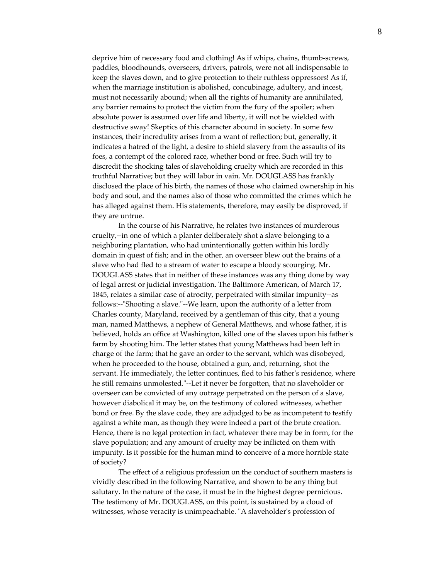deprive him of necessary food and clothing! As if whips, chains, thumb-screws, paddles, bloodhounds, overseers, drivers, patrols, were not all indispensable to keep the slaves down, and to give protection to their ruthless oppressors! As if, when the marriage institution is abolished, concubinage, adultery, and incest, must not necessarily abound; when all the rights of humanity are annihilated, any barrier remains to protect the victim from the fury of the spoiler; when absolute power is assumed over life and liberty, it will not be wielded with destructive sway! Skeptics of this character abound in society. In some few instances, their incredulity arises from a want of reflection; but, generally, it indicates a hatred of the light, a desire to shield slavery from the assaults of its foes, a contempt of the colored race, whether bond or free. Such will try to discredit the shocking tales of slaveholding cruelty which are recorded in this truthful Narrative; but they will labor in vain. Mr. DOUGLASS has frankly disclosed the place of his birth, the names of those who claimed ownership in his body and soul, and the names also of those who committed the crimes which he has alleged against them. His statements, therefore, may easily be disproved, if they are untrue.

In the course of his Narrative, he relates two instances of murderous cruelty,‐‐in one of which a planter deliberately shot a slave belonging to a neighboring plantation, who had unintentionally gotten within his lordly domain in quest of fish; and in the other, an overseer blew out the brains of a slave who had fled to a stream of water to escape a bloody scourging. Mr. DOUGLASS states that in neither of these instances was any thing done by way of legal arrest or judicial investigation. The Baltimore American, of March 17, 1845, relates a similar case of atrocity, perpetrated with similar impunity--as follows:--"Shooting a slave."--We learn, upon the authority of a letter from Charles county, Maryland, received by a gentleman of this city, that a young man, named Matthews, a nephew of General Matthews, and whose father, it is believed, holds an office at Washington, killed one of the slaves upon his fatherʹs farm by shooting him. The letter states that young Matthews had been left in charge of the farm; that he gave an order to the servant, which was disobeyed, when he proceeded to the house, obtained a gun, and, returning, shot the servant. He immediately, the letter continues, fled to his father's residence, where he still remains unmolested."--Let it never be forgotten, that no slaveholder or overseer can be convicted of any outrage perpetrated on the person of a slave, however diabolical it may be, on the testimony of colored witnesses, whether bond or free. By the slave code, they are adjudged to be as incompetent to testify against a white man, as though they were indeed a part of the brute creation. Hence, there is no legal protection in fact, whatever there may be in form, for the slave population; and any amount of cruelty may be inflicted on them with impunity. Is it possible for the human mind to conceive of a more horrible state of society?

The effect of a religious profession on the conduct of southern masters is vividly described in the following Narrative, and shown to be any thing but salutary. In the nature of the case, it must be in the highest degree pernicious. The testimony of Mr. DOUGLASS, on this point, is sustained by a cloud of witnesses, whose veracity is unimpeachable. "A slaveholder's profession of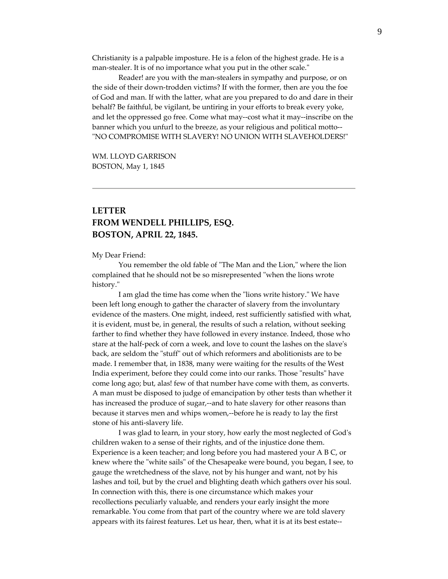Christianity is a palpable imposture. He is a felon of the highest grade. He is a man-stealer. It is of no importance what you put in the other scale."

Reader! are you with the man‐stealers in sympathy and purpose, or on the side of their down‐trodden victims? If with the former, then are you the foe of God and man. If with the latter, what are you prepared to do and dare in their behalf? Be faithful, be vigilant, be untiring in your efforts to break every yoke, and let the oppressed go free. Come what may‐‐cost what it may‐‐inscribe on the banner which you unfurl to the breeze, as your religious and political motto‐‐ "NO COMPROMISE WITH SLAVERY! NO UNION WITH SLAVEHOLDERS!"

WM. LLOYD GARRISON BOSTON, May 1, 1845

# **LETTER FROM WENDELL PHILLIPS, ESQ. BOSTON, APRIL 22, 1845.**

#### My Dear Friend:

You remember the old fable of "The Man and the Lion," where the lion complained that he should not be so misrepresented "when the lions wrote history."

I am glad the time has come when the "lions write history." We have been left long enough to gather the character of slavery from the involuntary evidence of the masters. One might, indeed, rest sufficiently satisfied with what, it is evident, must be, in general, the results of such a relation, without seeking farther to find whether they have followed in every instance. Indeed, those who stare at the half-peck of corn a week, and love to count the lashes on the slave's back, are seldom the "stuff" out of which reformers and abolitionists are to be made. I remember that, in 1838, many were waiting for the results of the West India experiment, before they could come into our ranks. Those "results" have come long ago; but, alas! few of that number have come with them, as converts. A man must be disposed to judge of emancipation by other tests than whether it has increased the produce of sugar,--and to hate slavery for other reasons than because it starves men and whips women,‐‐before he is ready to lay the first stone of his anti‐slavery life.

I was glad to learn, in your story, how early the most neglected of Godʹs children waken to a sense of their rights, and of the injustice done them. Experience is a keen teacher; and long before you had mastered your A B C, or knew where the "white sails" of the Chesapeake were bound, you began, I see, to gauge the wretchedness of the slave, not by his hunger and want, not by his lashes and toil, but by the cruel and blighting death which gathers over his soul. In connection with this, there is one circumstance which makes your recollections peculiarly valuable, and renders your early insight the more remarkable. You come from that part of the country where we are told slavery appears with its fairest features. Let us hear, then, what it is at its best estate‐‐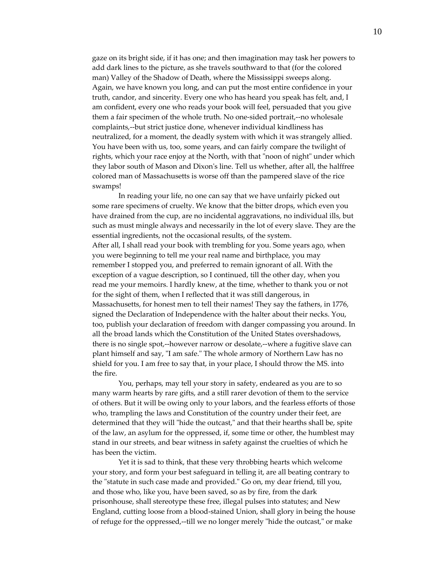gaze on its bright side, if it has one; and then imagination may task her powers to add dark lines to the picture, as she travels southward to that (for the colored man) Valley of the Shadow of Death, where the Mississippi sweeps along. Again, we have known you long, and can put the most entire confidence in your truth, candor, and sincerity. Every one who has heard you speak has felt, and, I am confident, every one who reads your book will feel, persuaded that you give them a fair specimen of the whole truth. No one‐sided portrait,‐‐no wholesale complaints,‐‐but strict justice done, whenever individual kindliness has neutralized, for a moment, the deadly system with which it was strangely allied. You have been with us, too, some years, and can fairly compare the twilight of rights, which your race enjoy at the North, with that "noon of night" under which they labor south of Mason and Dixonʹs line. Tell us whether, after all, the halffree colored man of Massachusetts is worse off than the pampered slave of the rice swamps!

In reading your life, no one can say that we have unfairly picked out some rare specimens of cruelty. We know that the bitter drops, which even you have drained from the cup, are no incidental aggravations, no individual ills, but such as must mingle always and necessarily in the lot of every slave. They are the essential ingredients, not the occasional results, of the system. After all, I shall read your book with trembling for you. Some years ago, when you were beginning to tell me your real name and birthplace, you may remember I stopped you, and preferred to remain ignorant of all. With the exception of a vague description, so I continued, till the other day, when you read me your memoirs. I hardly knew, at the time, whether to thank you or not for the sight of them, when I reflected that it was still dangerous, in Massachusetts, for honest men to tell their names! They say the fathers, in 1776, signed the Declaration of Independence with the halter about their necks. You, too, publish your declaration of freedom with danger compassing you around. In all the broad lands which the Constitution of the United States overshadows, there is no single spot,‐‐however narrow or desolate,‐‐where a fugitive slave can plant himself and say, "I am safe." The whole armory of Northern Law has no shield for you. I am free to say that, in your place, I should throw the MS. into the fire.

You, perhaps, may tell your story in safety, endeared as you are to so many warm hearts by rare gifts, and a still rarer devotion of them to the service of others. But it will be owing only to your labors, and the fearless efforts of those who, trampling the laws and Constitution of the country under their feet, are determined that they will "hide the outcast," and that their hearths shall be, spite of the law, an asylum for the oppressed, if, some time or other, the humblest may stand in our streets, and bear witness in safety against the cruelties of which he has been the victim.

Yet it is sad to think, that these very throbbing hearts which welcome your story, and form your best safeguard in telling it, are all beating contrary to the "statute in such case made and provided." Go on, my dear friend, till you, and those who, like you, have been saved, so as by fire, from the dark prisonhouse, shall stereotype these free, illegal pulses into statutes; and New England, cutting loose from a blood‐stained Union, shall glory in being the house of refuge for the oppressed,--till we no longer merely "hide the outcast," or make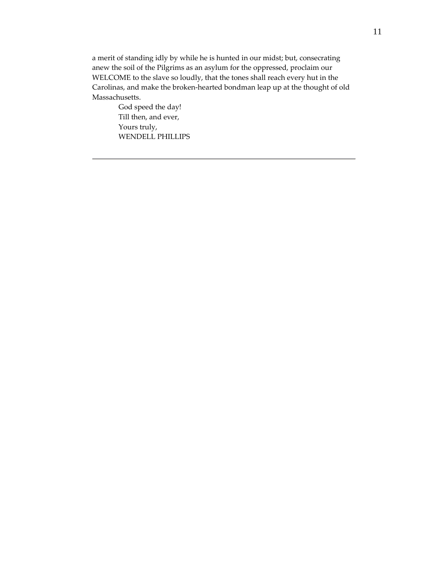a merit of standing idly by while he is hunted in our midst; but, consecrating anew the soil of the Pilgrims as an asylum for the oppressed, proclaim our WELCOME to the slave so loudly, that the tones shall reach every hut in the Carolinas, and make the broken‐hearted bondman leap up at the thought of old Massachusetts.

> God speed the day! Till then, and ever, Yours truly, WENDELL PHILLIPS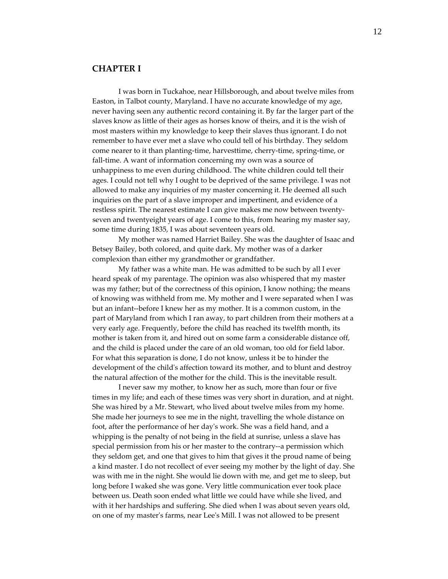## **CHAPTER I**

I was born in Tuckahoe, near Hillsborough, and about twelve miles from Easton, in Talbot county, Maryland. I have no accurate knowledge of my age, never having seen any authentic record containing it. By far the larger part of the slaves know as little of their ages as horses know of theirs, and it is the wish of most masters within my knowledge to keep their slaves thus ignorant. I do not remember to have ever met a slave who could tell of his birthday. They seldom come nearer to it than planting‐time, harvesttime, cherry‐time, spring‐time, or fall-time. A want of information concerning my own was a source of unhappiness to me even during childhood. The white children could tell their ages. I could not tell why I ought to be deprived of the same privilege. I was not allowed to make any inquiries of my master concerning it. He deemed all such inquiries on the part of a slave improper and impertinent, and evidence of a restless spirit. The nearest estimate I can give makes me now between twenty‐ seven and twentyeight years of age. I come to this, from hearing my master say, some time during 1835, I was about seventeen years old.

My mother was named Harriet Bailey. She was the daughter of Isaac and Betsey Bailey, both colored, and quite dark. My mother was of a darker complexion than either my grandmother or grandfather.

My father was a white man. He was admitted to be such by all I ever heard speak of my parentage. The opinion was also whispered that my master was my father; but of the correctness of this opinion, I know nothing; the means of knowing was withheld from me. My mother and I were separated when I was but an infant‐‐before I knew her as my mother. It is a common custom, in the part of Maryland from which I ran away, to part children from their mothers at a very early age. Frequently, before the child has reached its twelfth month, its mother is taken from it, and hired out on some farm a considerable distance off, and the child is placed under the care of an old woman, too old for field labor. For what this separation is done, I do not know, unless it be to hinder the development of the childʹs affection toward its mother, and to blunt and destroy the natural affection of the mother for the child. This is the inevitable result.

I never saw my mother, to know her as such, more than four or five times in my life; and each of these times was very short in duration, and at night. She was hired by a Mr. Stewart, who lived about twelve miles from my home. She made her journeys to see me in the night, travelling the whole distance on foot, after the performance of her dayʹs work. She was a field hand, and a whipping is the penalty of not being in the field at sunrise, unless a slave has special permission from his or her master to the contrary--a permission which they seldom get, and one that gives to him that gives it the proud name of being a kind master. I do not recollect of ever seeing my mother by the light of day. She was with me in the night. She would lie down with me, and get me to sleep, but long before I waked she was gone. Very little communication ever took place between us. Death soon ended what little we could have while she lived, and with it her hardships and suffering. She died when I was about seven years old, on one of my masterʹs farms, near Leeʹs Mill. I was not allowed to be present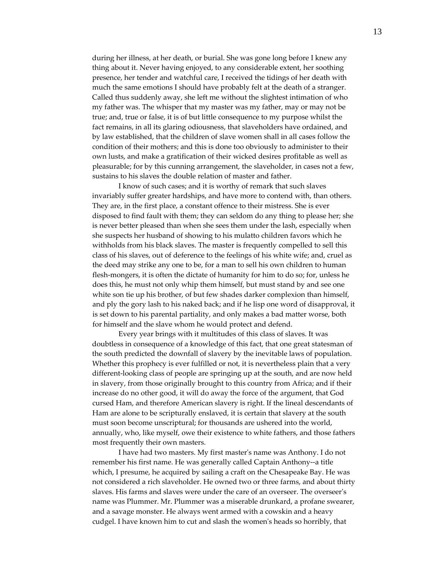during her illness, at her death, or burial. She was gone long before I knew any thing about it. Never having enjoyed, to any considerable extent, her soothing presence, her tender and watchful care, I received the tidings of her death with much the same emotions I should have probably felt at the death of a stranger. Called thus suddenly away, she left me without the slightest intimation of who my father was. The whisper that my master was my father, may or may not be true; and, true or false, it is of but little consequence to my purpose whilst the fact remains, in all its glaring odiousness, that slaveholders have ordained, and by law established, that the children of slave women shall in all cases follow the condition of their mothers; and this is done too obviously to administer to their own lusts, and make a gratification of their wicked desires profitable as well as pleasurable; for by this cunning arrangement, the slaveholder, in cases not a few, sustains to his slaves the double relation of master and father.

I know of such cases; and it is worthy of remark that such slaves invariably suffer greater hardships, and have more to contend with, than others. They are, in the first place, a constant offence to their mistress. She is ever disposed to find fault with them; they can seldom do any thing to please her; she is never better pleased than when she sees them under the lash, especially when she suspects her husband of showing to his mulatto children favors which he withholds from his black slaves. The master is frequently compelled to sell this class of his slaves, out of deference to the feelings of his white wife; and, cruel as the deed may strike any one to be, for a man to sell his own children to human flesh-mongers, it is often the dictate of humanity for him to do so; for, unless he does this, he must not only whip them himself, but must stand by and see one white son tie up his brother, of but few shades darker complexion than himself, and ply the gory lash to his naked back; and if he lisp one word of disapproval, it is set down to his parental partiality, and only makes a bad matter worse, both for himself and the slave whom he would protect and defend.

Every year brings with it multitudes of this class of slaves. It was doubtless in consequence of a knowledge of this fact, that one great statesman of the south predicted the downfall of slavery by the inevitable laws of population. Whether this prophecy is ever fulfilled or not, it is nevertheless plain that a very different-looking class of people are springing up at the south, and are now held in slavery, from those originally brought to this country from Africa; and if their increase do no other good, it will do away the force of the argument, that God cursed Ham, and therefore American slavery is right. If the lineal descendants of Ham are alone to be scripturally enslaved, it is certain that slavery at the south must soon become unscriptural; for thousands are ushered into the world, annually, who, like myself, owe their existence to white fathers, and those fathers most frequently their own masters.

I have had two masters. My first masterʹs name was Anthony. I do not remember his first name. He was generally called Captain Anthony‐‐a title which, I presume, he acquired by sailing a craft on the Chesapeake Bay. He was not considered a rich slaveholder. He owned two or three farms, and about thirty slaves. His farms and slaves were under the care of an overseer. The overseerʹs name was Plummer. Mr. Plummer was a miserable drunkard, a profane swearer, and a savage monster. He always went armed with a cowskin and a heavy cudgel. I have known him to cut and slash the womenʹs heads so horribly, that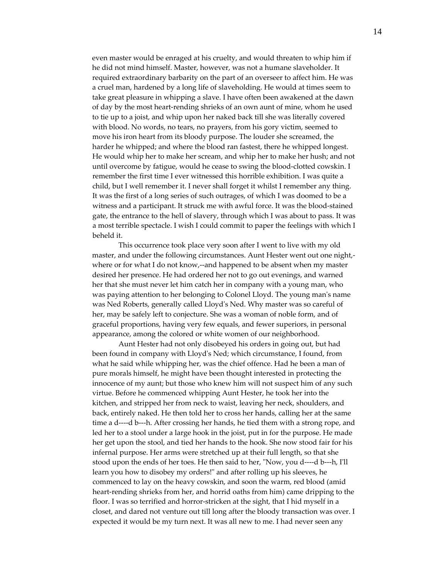even master would be enraged at his cruelty, and would threaten to whip him if he did not mind himself. Master, however, was not a humane slaveholder. It required extraordinary barbarity on the part of an overseer to affect him. He was a cruel man, hardened by a long life of slaveholding. He would at times seem to take great pleasure in whipping a slave. I have often been awakened at the dawn of day by the most heart‐rending shrieks of an own aunt of mine, whom he used to tie up to a joist, and whip upon her naked back till she was literally covered with blood. No words, no tears, no prayers, from his gory victim, seemed to move his iron heart from its bloody purpose. The louder she screamed, the harder he whipped; and where the blood ran fastest, there he whipped longest. He would whip her to make her scream, and whip her to make her hush; and not until overcome by fatigue, would he cease to swing the blood‐clotted cowskin. I remember the first time I ever witnessed this horrible exhibition. I was quite a child, but I well remember it. I never shall forget it whilst I remember any thing. It was the first of a long series of such outrages, of which I was doomed to be a witness and a participant. It struck me with awful force. It was the blood-stained gate, the entrance to the hell of slavery, through which I was about to pass. It was a most terrible spectacle. I wish I could commit to paper the feelings with which I beheld it.

This occurrence took place very soon after I went to live with my old master, and under the following circumstances. Aunt Hester went out one night,where or for what I do not know,--and happened to be absent when my master desired her presence. He had ordered her not to go out evenings, and warned her that she must never let him catch her in company with a young man, who was paying attention to her belonging to Colonel Lloyd. The young manʹs name was Ned Roberts, generally called Lloydʹs Ned. Why master was so careful of her, may be safely left to conjecture. She was a woman of noble form, and of graceful proportions, having very few equals, and fewer superiors, in personal appearance, among the colored or white women of our neighborhood.

Aunt Hester had not only disobeyed his orders in going out, but had been found in company with Lloydʹs Ned; which circumstance, I found, from what he said while whipping her, was the chief offence. Had he been a man of pure morals himself, he might have been thought interested in protecting the innocence of my aunt; but those who knew him will not suspect him of any such virtue. Before he commenced whipping Aunt Hester, he took her into the kitchen, and stripped her from neck to waist, leaving her neck, shoulders, and back, entirely naked. He then told her to cross her hands, calling her at the same time a d----d b---h. After crossing her hands, he tied them with a strong rope, and led her to a stool under a large hook in the joist, put in for the purpose. He made her get upon the stool, and tied her hands to the hook. She now stood fair for his infernal purpose. Her arms were stretched up at their full length, so that she stood upon the ends of her toes. He then said to her, "Now, you d----d b---h, I'll learn you how to disobey my orders!" and after rolling up his sleeves, he commenced to lay on the heavy cowskin, and soon the warm, red blood (amid heart-rending shrieks from her, and horrid oaths from him) came dripping to the floor. I was so terrified and horror-stricken at the sight, that I hid myself in a closet, and dared not venture out till long after the bloody transaction was over. I expected it would be my turn next. It was all new to me. I had never seen any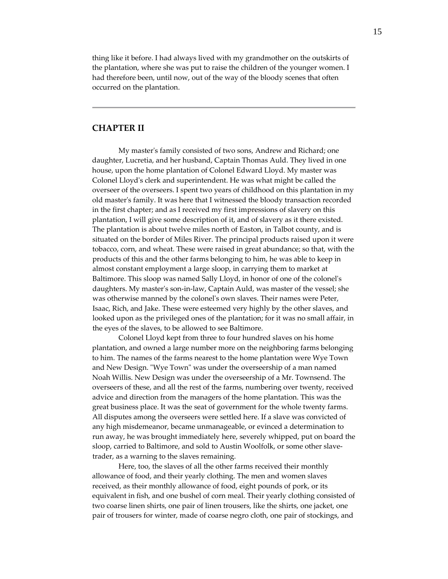thing like it before. I had always lived with my grandmother on the outskirts of the plantation, where she was put to raise the children of the younger women. I had therefore been, until now, out of the way of the bloody scenes that often occurred on the plantation.

## **CHAPTER II**

My masterʹs family consisted of two sons, Andrew and Richard; one daughter, Lucretia, and her husband, Captain Thomas Auld. They lived in one house, upon the home plantation of Colonel Edward Lloyd. My master was Colonel Lloydʹs clerk and superintendent. He was what might be called the overseer of the overseers. I spent two years of childhood on this plantation in my old masterʹs family. It was here that I witnessed the bloody transaction recorded in the first chapter; and as I received my first impressions of slavery on this plantation, I will give some description of it, and of slavery as it there existed. The plantation is about twelve miles north of Easton, in Talbot county, and is situated on the border of Miles River. The principal products raised upon it were tobacco, corn, and wheat. These were raised in great abundance; so that, with the products of this and the other farms belonging to him, he was able to keep in almost constant employment a large sloop, in carrying them to market at Baltimore. This sloop was named Sally Lloyd, in honor of one of the colonel's daughters. My masterʹs son‐in‐law, Captain Auld, was master of the vessel; she was otherwise manned by the colonelʹs own slaves. Their names were Peter, Isaac, Rich, and Jake. These were esteemed very highly by the other slaves, and looked upon as the privileged ones of the plantation; for it was no small affair, in the eyes of the slaves, to be allowed to see Baltimore.

Colonel Lloyd kept from three to four hundred slaves on his home plantation, and owned a large number more on the neighboring farms belonging to him. The names of the farms nearest to the home plantation were Wye Town and New Design. "Wye Town" was under the overseership of a man named Noah Willis. New Design was under the overseership of a Mr. Townsend. The overseers of these, and all the rest of the farms, numbering over twenty, received advice and direction from the managers of the home plantation. This was the great business place. It was the seat of government for the whole twenty farms. All disputes among the overseers were settled here. If a slave was convicted of any high misdemeanor, became unmanageable, or evinced a determination to run away, he was brought immediately here, severely whipped, put on board the sloop, carried to Baltimore, and sold to Austin Woolfolk, or some other slavetrader, as a warning to the slaves remaining.

Here, too, the slaves of all the other farms received their monthly allowance of food, and their yearly clothing. The men and women slaves received, as their monthly allowance of food, eight pounds of pork, or its equivalent in fish, and one bushel of corn meal. Their yearly clothing consisted of two coarse linen shirts, one pair of linen trousers, like the shirts, one jacket, one pair of trousers for winter, made of coarse negro cloth, one pair of stockings, and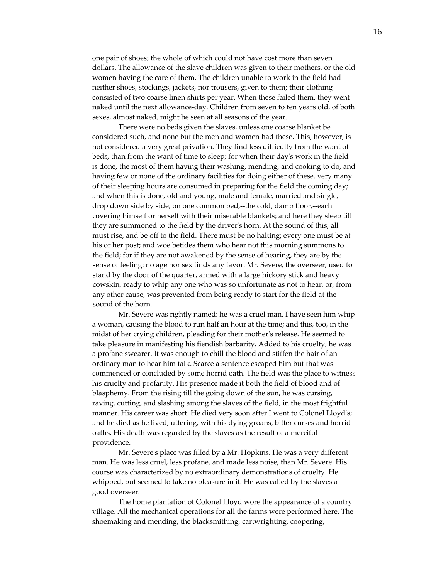one pair of shoes; the whole of which could not have cost more than seven dollars. The allowance of the slave children was given to their mothers, or the old women having the care of them. The children unable to work in the field had neither shoes, stockings, jackets, nor trousers, given to them; their clothing consisted of two coarse linen shirts per year. When these failed them, they went naked until the next allowance‐day. Children from seven to ten years old, of both sexes, almost naked, might be seen at all seasons of the year.

There were no beds given the slaves, unless one coarse blanket be considered such, and none but the men and women had these. This, however, is not considered a very great privation. They find less difficulty from the want of beds, than from the want of time to sleep; for when their dayʹs work in the field is done, the most of them having their washing, mending, and cooking to do, and having few or none of the ordinary facilities for doing either of these, very many of their sleeping hours are consumed in preparing for the field the coming day; and when this is done, old and young, male and female, married and single, drop down side by side, on one common bed,‐‐the cold, damp floor,‐‐each covering himself or herself with their miserable blankets; and here they sleep till they are summoned to the field by the driverʹs horn. At the sound of this, all must rise, and be off to the field. There must be no halting; every one must be at his or her post; and woe betides them who hear not this morning summons to the field; for if they are not awakened by the sense of hearing, they are by the sense of feeling: no age nor sex finds any favor. Mr. Severe, the overseer, used to stand by the door of the quarter, armed with a large hickory stick and heavy cowskin, ready to whip any one who was so unfortunate as not to hear, or, from any other cause, was prevented from being ready to start for the field at the sound of the horn.

Mr. Severe was rightly named: he was a cruel man. I have seen him whip a woman, causing the blood to run half an hour at the time; and this, too, in the midst of her crying children, pleading for their motherʹs release. He seemed to take pleasure in manifesting his fiendish barbarity. Added to his cruelty, he was a profane swearer. It was enough to chill the blood and stiffen the hair of an ordinary man to hear him talk. Scarce a sentence escaped him but that was commenced or concluded by some horrid oath. The field was the place to witness his cruelty and profanity. His presence made it both the field of blood and of blasphemy. From the rising till the going down of the sun, he was cursing, raving, cutting, and slashing among the slaves of the field, in the most frightful manner. His career was short. He died very soon after I went to Colonel Lloydʹs; and he died as he lived, uttering, with his dying groans, bitter curses and horrid oaths. His death was regarded by the slaves as the result of a merciful providence.

Mr. Severeʹs place was filled by a Mr. Hopkins. He was a very different man. He was less cruel, less profane, and made less noise, than Mr. Severe. His course was characterized by no extraordinary demonstrations of cruelty. He whipped, but seemed to take no pleasure in it. He was called by the slaves a good overseer.

The home plantation of Colonel Lloyd wore the appearance of a country village. All the mechanical operations for all the farms were performed here. The shoemaking and mending, the blacksmithing, cartwrighting, coopering,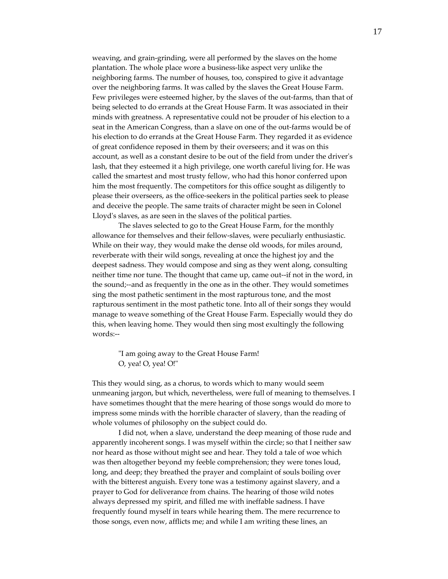weaving, and grain‐grinding, were all performed by the slaves on the home plantation. The whole place wore a business‐like aspect very unlike the neighboring farms. The number of houses, too, conspired to give it advantage over the neighboring farms. It was called by the slaves the Great House Farm. Few privileges were esteemed higher, by the slaves of the out-farms, than that of being selected to do errands at the Great House Farm. It was associated in their minds with greatness. A representative could not be prouder of his election to a seat in the American Congress, than a slave on one of the out‐farms would be of his election to do errands at the Great House Farm. They regarded it as evidence of great confidence reposed in them by their overseers; and it was on this account, as well as a constant desire to be out of the field from under the driverʹs lash, that they esteemed it a high privilege, one worth careful living for. He was called the smartest and most trusty fellow, who had this honor conferred upon him the most frequently. The competitors for this office sought as diligently to please their overseers, as the office‐seekers in the political parties seek to please and deceive the people. The same traits of character might be seen in Colonel Lloyd's slaves, as are seen in the slaves of the political parties.

The slaves selected to go to the Great House Farm, for the monthly allowance for themselves and their fellow‐slaves, were peculiarly enthusiastic. While on their way, they would make the dense old woods, for miles around, reverberate with their wild songs, revealing at once the highest joy and the deepest sadness. They would compose and sing as they went along, consulting neither time nor tune. The thought that came up, came out‐‐if not in the word, in the sound;‐‐and as frequently in the one as in the other. They would sometimes sing the most pathetic sentiment in the most rapturous tone, and the most rapturous sentiment in the most pathetic tone. Into all of their songs they would manage to weave something of the Great House Farm. Especially would they do this, when leaving home. They would then sing most exultingly the following words:‐‐

ʺI am going away to the Great House Farm! O, yea! O, yea! O!"

This they would sing, as a chorus, to words which to many would seem unmeaning jargon, but which, nevertheless, were full of meaning to themselves. I have sometimes thought that the mere hearing of those songs would do more to impress some minds with the horrible character of slavery, than the reading of whole volumes of philosophy on the subject could do.

I did not, when a slave, understand the deep meaning of those rude and apparently incoherent songs. I was myself within the circle; so that I neither saw nor heard as those without might see and hear. They told a tale of woe which was then altogether beyond my feeble comprehension; they were tones loud, long, and deep; they breathed the prayer and complaint of souls boiling over with the bitterest anguish. Every tone was a testimony against slavery, and a prayer to God for deliverance from chains. The hearing of those wild notes always depressed my spirit, and filled me with ineffable sadness. I have frequently found myself in tears while hearing them. The mere recurrence to those songs, even now, afflicts me; and while I am writing these lines, an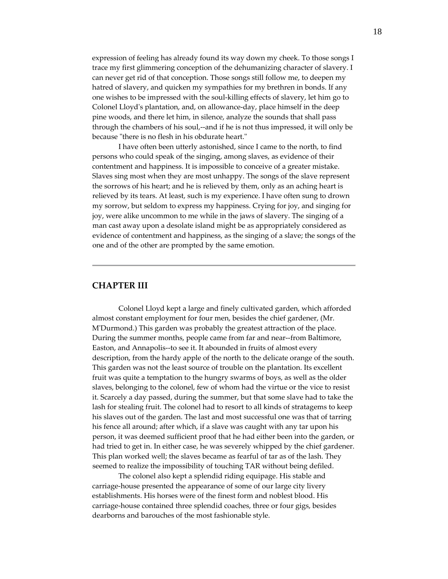expression of feeling has already found its way down my cheek. To those songs I trace my first glimmering conception of the dehumanizing character of slavery. I can never get rid of that conception. Those songs still follow me, to deepen my hatred of slavery, and quicken my sympathies for my brethren in bonds. If any one wishes to be impressed with the soul‐killing effects of slavery, let him go to Colonel Lloydʹs plantation, and, on allowance‐day, place himself in the deep pine woods, and there let him, in silence, analyze the sounds that shall pass through the chambers of his soul,‐‐and if he is not thus impressed, it will only be because "there is no flesh in his obdurate heart."

I have often been utterly astonished, since I came to the north, to find persons who could speak of the singing, among slaves, as evidence of their contentment and happiness. It is impossible to conceive of a greater mistake. Slaves sing most when they are most unhappy. The songs of the slave represent the sorrows of his heart; and he is relieved by them, only as an aching heart is relieved by its tears. At least, such is my experience. I have often sung to drown my sorrow, but seldom to express my happiness. Crying for joy, and singing for joy, were alike uncommon to me while in the jaws of slavery. The singing of a man cast away upon a desolate island might be as appropriately considered as evidence of contentment and happiness, as the singing of a slave; the songs of the one and of the other are prompted by the same emotion.

## **CHAPTER III**

Colonel Lloyd kept a large and finely cultivated garden, which afforded almost constant employment for four men, besides the chief gardener, (Mr. MʹDurmond.) This garden was probably the greatest attraction of the place. During the summer months, people came from far and near‐‐from Baltimore, Easton, and Annapolis--to see it. It abounded in fruits of almost every description, from the hardy apple of the north to the delicate orange of the south. This garden was not the least source of trouble on the plantation. Its excellent fruit was quite a temptation to the hungry swarms of boys, as well as the older slaves, belonging to the colonel, few of whom had the virtue or the vice to resist it. Scarcely a day passed, during the summer, but that some slave had to take the lash for stealing fruit. The colonel had to resort to all kinds of stratagems to keep his slaves out of the garden. The last and most successful one was that of tarring his fence all around; after which, if a slave was caught with any tar upon his person, it was deemed sufficient proof that he had either been into the garden, or had tried to get in. In either case, he was severely whipped by the chief gardener. This plan worked well; the slaves became as fearful of tar as of the lash. They seemed to realize the impossibility of touching TAR without being defiled.

The colonel also kept a splendid riding equipage. His stable and carriage‐house presented the appearance of some of our large city livery establishments. His horses were of the finest form and noblest blood. His carriage‐house contained three splendid coaches, three or four gigs, besides dearborns and barouches of the most fashionable style.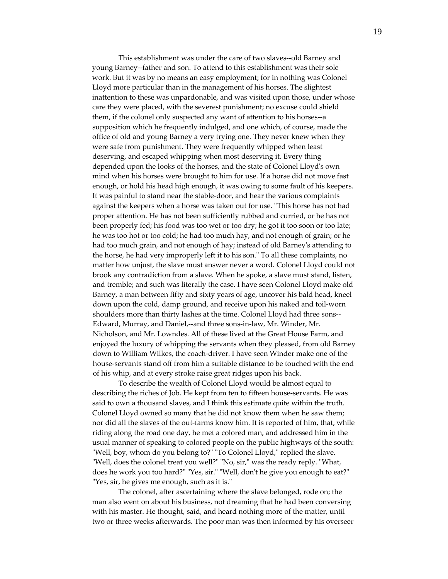This establishment was under the care of two slaves--old Barney and young Barney‐‐father and son. To attend to this establishment was their sole work. But it was by no means an easy employment; for in nothing was Colonel Lloyd more particular than in the management of his horses. The slightest inattention to these was unpardonable, and was visited upon those, under whose care they were placed, with the severest punishment; no excuse could shield them, if the colonel only suspected any want of attention to his horses--a supposition which he frequently indulged, and one which, of course, made the office of old and young Barney a very trying one. They never knew when they were safe from punishment. They were frequently whipped when least deserving, and escaped whipping when most deserving it. Every thing depended upon the looks of the horses, and the state of Colonel Lloydʹs own mind when his horses were brought to him for use. If a horse did not move fast enough, or hold his head high enough, it was owing to some fault of his keepers. It was painful to stand near the stable‐door, and hear the various complaints against the keepers when a horse was taken out for use. "This horse has not had proper attention. He has not been sufficiently rubbed and curried, or he has not been properly fed; his food was too wet or too dry; he got it too soon or too late; he was too hot or too cold; he had too much hay, and not enough of grain; or he had too much grain, and not enough of hay; instead of old Barneyʹs attending to the horse, he had very improperly left it to his son." To all these complaints, no matter how unjust, the slave must answer never a word. Colonel Lloyd could not brook any contradiction from a slave. When he spoke, a slave must stand, listen, and tremble; and such was literally the case. I have seen Colonel Lloyd make old Barney, a man between fifty and sixty years of age, uncover his bald head, kneel down upon the cold, damp ground, and receive upon his naked and toil‐worn shoulders more than thirty lashes at the time. Colonel Lloyd had three sons‐‐ Edward, Murray, and Daniel,‐‐and three sons‐in‐law, Mr. Winder, Mr. Nicholson, and Mr. Lowndes. All of these lived at the Great House Farm, and enjoyed the luxury of whipping the servants when they pleased, from old Barney down to William Wilkes, the coach-driver. I have seen Winder make one of the house‐servants stand off from him a suitable distance to be touched with the end of his whip, and at every stroke raise great ridges upon his back.

To describe the wealth of Colonel Lloyd would be almost equal to describing the riches of Job. He kept from ten to fifteen house-servants. He was said to own a thousand slaves, and I think this estimate quite within the truth. Colonel Lloyd owned so many that he did not know them when he saw them; nor did all the slaves of the out-farms know him. It is reported of him, that, while riding along the road one day, he met a colored man, and addressed him in the usual manner of speaking to colored people on the public highways of the south: "Well, boy, whom do you belong to?" "To Colonel Lloyd," replied the slave. "Well, does the colonel treat you well?" "No, sir," was the ready reply. "What, does he work you too hard?" "Yes, sir." "Well, don't he give you enough to eat?" "Yes, sir, he gives me enough, such as it is."

The colonel, after ascertaining where the slave belonged, rode on; the man also went on about his business, not dreaming that he had been conversing with his master. He thought, said, and heard nothing more of the matter, until two or three weeks afterwards. The poor man was then informed by his overseer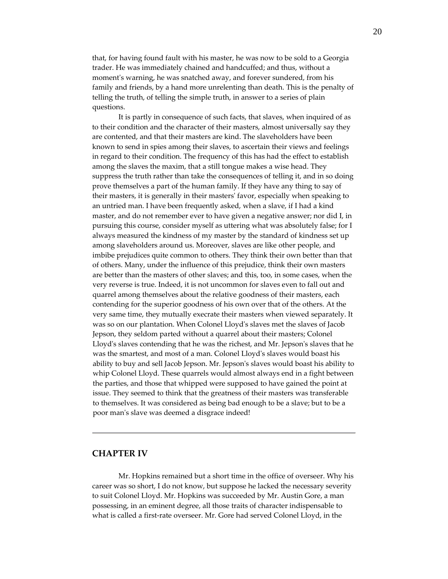that, for having found fault with his master, he was now to be sold to a Georgia trader. He was immediately chained and handcuffed; and thus, without a moment's warning, he was snatched away, and forever sundered, from his family and friends, by a hand more unrelenting than death. This is the penalty of telling the truth, of telling the simple truth, in answer to a series of plain questions.

It is partly in consequence of such facts, that slaves, when inquired of as to their condition and the character of their masters, almost universally say they are contented, and that their masters are kind. The slaveholders have been known to send in spies among their slaves, to ascertain their views and feelings in regard to their condition. The frequency of this has had the effect to establish among the slaves the maxim, that a still tongue makes a wise head. They suppress the truth rather than take the consequences of telling it, and in so doing prove themselves a part of the human family. If they have any thing to say of their masters, it is generally in their mastersʹ favor, especially when speaking to an untried man. I have been frequently asked, when a slave, if I had a kind master, and do not remember ever to have given a negative answer; nor did I, in pursuing this course, consider myself as uttering what was absolutely false; for I always measured the kindness of my master by the standard of kindness set up among slaveholders around us. Moreover, slaves are like other people, and imbibe prejudices quite common to others. They think their own better than that of others. Many, under the influence of this prejudice, think their own masters are better than the masters of other slaves; and this, too, in some cases, when the very reverse is true. Indeed, it is not uncommon for slaves even to fall out and quarrel among themselves about the relative goodness of their masters, each contending for the superior goodness of his own over that of the others. At the very same time, they mutually execrate their masters when viewed separately. It was so on our plantation. When Colonel Lloydʹs slaves met the slaves of Jacob Jepson, they seldom parted without a quarrel about their masters; Colonel Lloydʹs slaves contending that he was the richest, and Mr. Jepsonʹs slaves that he was the smartest, and most of a man. Colonel Lloydʹs slaves would boast his ability to buy and sell Jacob Jepson. Mr. Jepsonʹs slaves would boast his ability to whip Colonel Lloyd. These quarrels would almost always end in a fight between the parties, and those that whipped were supposed to have gained the point at issue. They seemed to think that the greatness of their masters was transferable to themselves. It was considered as being bad enough to be a slave; but to be a poor manʹs slave was deemed a disgrace indeed!

#### **CHAPTER IV**

Mr. Hopkins remained but a short time in the office of overseer. Why his career was so short, I do not know, but suppose he lacked the necessary severity to suit Colonel Lloyd. Mr. Hopkins was succeeded by Mr. Austin Gore, a man possessing, in an eminent degree, all those traits of character indispensable to what is called a first‐rate overseer. Mr. Gore had served Colonel Lloyd, in the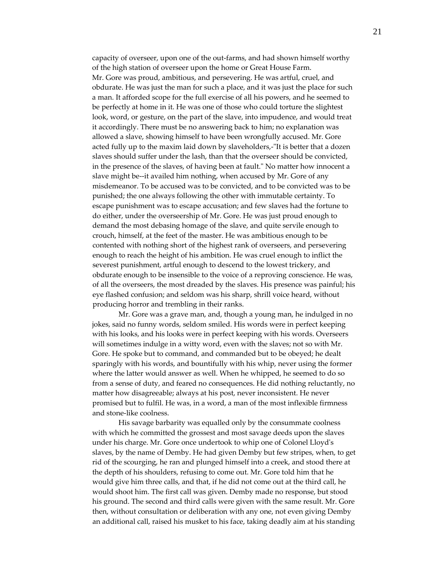capacity of overseer, upon one of the out‐farms, and had shown himself worthy of the high station of overseer upon the home or Great House Farm. Mr. Gore was proud, ambitious, and persevering. He was artful, cruel, and obdurate. He was just the man for such a place, and it was just the place for such a man. It afforded scope for the full exercise of all his powers, and he seemed to be perfectly at home in it. He was one of those who could torture the slightest look, word, or gesture, on the part of the slave, into impudence, and would treat it accordingly. There must be no answering back to him; no explanation was allowed a slave, showing himself to have been wrongfully accused. Mr. Gore acted fully up to the maxim laid down by slaveholders,-"It is better that a dozen slaves should suffer under the lash, than that the overseer should be convicted, in the presence of the slaves, of having been at fault." No matter how innocent a slave might be--it availed him nothing, when accused by Mr. Gore of any misdemeanor. To be accused was to be convicted, and to be convicted was to be punished; the one always following the other with immutable certainty. To escape punishment was to escape accusation; and few slaves had the fortune to do either, under the overseership of Mr. Gore. He was just proud enough to demand the most debasing homage of the slave, and quite servile enough to crouch, himself, at the feet of the master. He was ambitious enough to be contented with nothing short of the highest rank of overseers, and persevering enough to reach the height of his ambition. He was cruel enough to inflict the severest punishment, artful enough to descend to the lowest trickery, and obdurate enough to be insensible to the voice of a reproving conscience. He was, of all the overseers, the most dreaded by the slaves. His presence was painful; his eye flashed confusion; and seldom was his sharp, shrill voice heard, without producing horror and trembling in their ranks.

Mr. Gore was a grave man, and, though a young man, he indulged in no jokes, said no funny words, seldom smiled. His words were in perfect keeping with his looks, and his looks were in perfect keeping with his words. Overseers will sometimes indulge in a witty word, even with the slaves; not so with Mr. Gore. He spoke but to command, and commanded but to be obeyed; he dealt sparingly with his words, and bountifully with his whip, never using the former where the latter would answer as well. When he whipped, he seemed to do so from a sense of duty, and feared no consequences. He did nothing reluctantly, no matter how disagreeable; always at his post, never inconsistent. He never promised but to fulfil. He was, in a word, a man of the most inflexible firmness and stone‐like coolness.

His savage barbarity was equalled only by the consummate coolness with which he committed the grossest and most savage deeds upon the slaves under his charge. Mr. Gore once undertook to whip one of Colonel Lloydʹs slaves, by the name of Demby. He had given Demby but few stripes, when, to get rid of the scourging, he ran and plunged himself into a creek, and stood there at the depth of his shoulders, refusing to come out. Mr. Gore told him that he would give him three calls, and that, if he did not come out at the third call, he would shoot him. The first call was given. Demby made no response, but stood his ground. The second and third calls were given with the same result. Mr. Gore then, without consultation or deliberation with any one, not even giving Demby an additional call, raised his musket to his face, taking deadly aim at his standing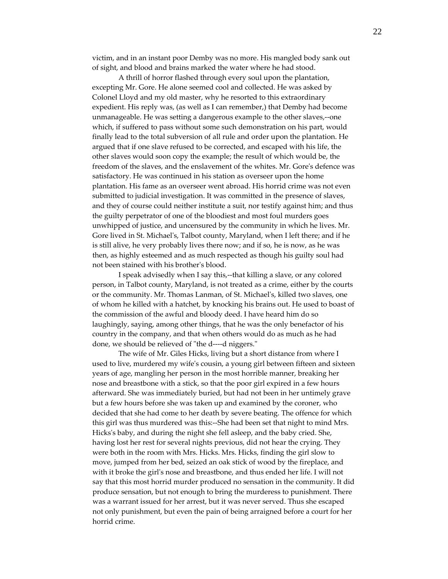victim, and in an instant poor Demby was no more. His mangled body sank out of sight, and blood and brains marked the water where he had stood.

A thrill of horror flashed through every soul upon the plantation, excepting Mr. Gore. He alone seemed cool and collected. He was asked by Colonel Lloyd and my old master, why he resorted to this extraordinary expedient. His reply was, (as well as I can remember,) that Demby had become unmanageable. He was setting a dangerous example to the other slaves,--one which, if suffered to pass without some such demonstration on his part, would finally lead to the total subversion of all rule and order upon the plantation. He argued that if one slave refused to be corrected, and escaped with his life, the other slaves would soon copy the example; the result of which would be, the freedom of the slaves, and the enslavement of the whites. Mr. Gore's defence was satisfactory. He was continued in his station as overseer upon the home plantation. His fame as an overseer went abroad. His horrid crime was not even submitted to judicial investigation. It was committed in the presence of slaves, and they of course could neither institute a suit, nor testify against him; and thus the guilty perpetrator of one of the bloodiest and most foul murders goes unwhipped of justice, and uncensured by the community in which he lives. Mr. Gore lived in St. Michaelʹs, Talbot county, Maryland, when I left there; and if he is still alive, he very probably lives there now; and if so, he is now, as he was then, as highly esteemed and as much respected as though his guilty soul had not been stained with his brotherʹs blood.

I speak advisedly when I say this,‐‐that killing a slave, or any colored person, in Talbot county, Maryland, is not treated as a crime, either by the courts or the community. Mr. Thomas Lanman, of St. Michaelʹs, killed two slaves, one of whom he killed with a hatchet, by knocking his brains out. He used to boast of the commission of the awful and bloody deed. I have heard him do so laughingly, saying, among other things, that he was the only benefactor of his country in the company, and that when others would do as much as he had done, we should be relieved of "the d----d niggers."

The wife of Mr. Giles Hicks, living but a short distance from where I used to live, murdered my wifeʹs cousin, a young girl between fifteen and sixteen years of age, mangling her person in the most horrible manner, breaking her nose and breastbone with a stick, so that the poor girl expired in a few hours afterward. She was immediately buried, but had not been in her untimely grave but a few hours before she was taken up and examined by the coroner, who decided that she had come to her death by severe beating. The offence for which this girl was thus murdered was this:‐‐She had been set that night to mind Mrs. Hicks's baby, and during the night she fell asleep, and the baby cried. She, having lost her rest for several nights previous, did not hear the crying. They were both in the room with Mrs. Hicks. Mrs. Hicks, finding the girl slow to move, jumped from her bed, seized an oak stick of wood by the fireplace, and with it broke the girl's nose and breastbone, and thus ended her life. I will not say that this most horrid murder produced no sensation in the community. It did produce sensation, but not enough to bring the murderess to punishment. There was a warrant issued for her arrest, but it was never served. Thus she escaped not only punishment, but even the pain of being arraigned before a court for her horrid crime.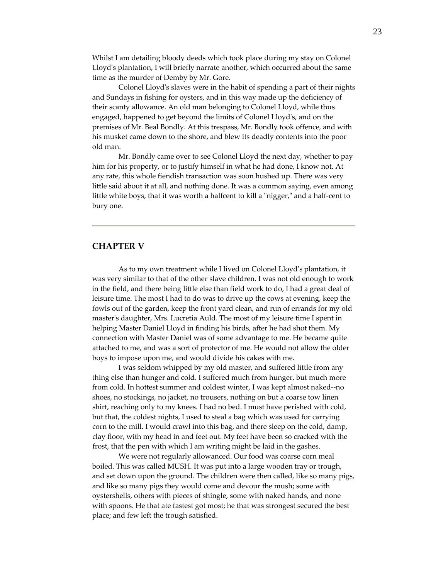Whilst I am detailing bloody deeds which took place during my stay on Colonel Lloydʹs plantation, I will briefly narrate another, which occurred about the same time as the murder of Demby by Mr. Gore.

Colonel Lloydʹs slaves were in the habit of spending a part of their nights and Sundays in fishing for oysters, and in this way made up the deficiency of their scanty allowance. An old man belonging to Colonel Lloyd, while thus engaged, happened to get beyond the limits of Colonel Lloydʹs, and on the premises of Mr. Beal Bondly. At this trespass, Mr. Bondly took offence, and with his musket came down to the shore, and blew its deadly contents into the poor old man.

Mr. Bondly came over to see Colonel Lloyd the next day, whether to pay him for his property, or to justify himself in what he had done, I know not. At any rate, this whole fiendish transaction was soon hushed up. There was very little said about it at all, and nothing done. It was a common saying, even among little white boys, that it was worth a halfcent to kill a "nigger," and a half-cent to bury one.

## **CHAPTER V**

As to my own treatment while I lived on Colonel Lloydʹs plantation, it was very similar to that of the other slave children. I was not old enough to work in the field, and there being little else than field work to do, I had a great deal of leisure time. The most I had to do was to drive up the cows at evening, keep the fowls out of the garden, keep the front yard clean, and run of errands for my old master's daughter, Mrs. Lucretia Auld. The most of my leisure time I spent in helping Master Daniel Lloyd in finding his birds, after he had shot them. My connection with Master Daniel was of some advantage to me. He became quite attached to me, and was a sort of protector of me. He would not allow the older boys to impose upon me, and would divide his cakes with me.

I was seldom whipped by my old master, and suffered little from any thing else than hunger and cold. I suffered much from hunger, but much more from cold. In hottest summer and coldest winter, I was kept almost naked‐‐no shoes, no stockings, no jacket, no trousers, nothing on but a coarse tow linen shirt, reaching only to my knees. I had no bed. I must have perished with cold, but that, the coldest nights, I used to steal a bag which was used for carrying corn to the mill. I would crawl into this bag, and there sleep on the cold, damp, clay floor, with my head in and feet out. My feet have been so cracked with the frost, that the pen with which I am writing might be laid in the gashes.

We were not regularly allowanced. Our food was coarse corn meal boiled. This was called MUSH. It was put into a large wooden tray or trough, and set down upon the ground. The children were then called, like so many pigs, and like so many pigs they would come and devour the mush; some with oystershells, others with pieces of shingle, some with naked hands, and none with spoons. He that ate fastest got most; he that was strongest secured the best place; and few left the trough satisfied.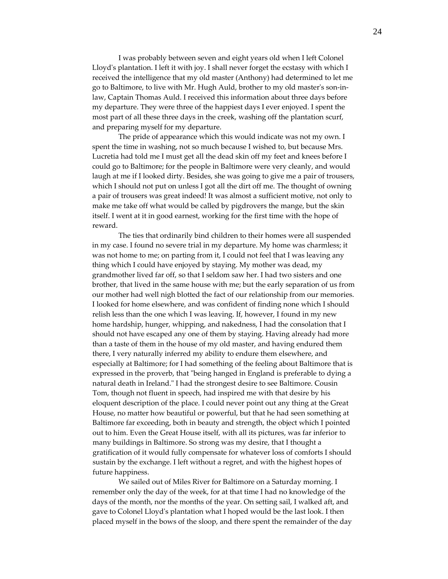I was probably between seven and eight years old when I left Colonel Lloyd's plantation. I left it with joy. I shall never forget the ecstasy with which I received the intelligence that my old master (Anthony) had determined to let me go to Baltimore, to live with Mr. Hugh Auld, brother to my old masterʹs son‐in‐ law, Captain Thomas Auld. I received this information about three days before my departure. They were three of the happiest days I ever enjoyed. I spent the most part of all these three days in the creek, washing off the plantation scurf, and preparing myself for my departure.

The pride of appearance which this would indicate was not my own. I spent the time in washing, not so much because I wished to, but because Mrs. Lucretia had told me I must get all the dead skin off my feet and knees before I could go to Baltimore; for the people in Baltimore were very cleanly, and would laugh at me if I looked dirty. Besides, she was going to give me a pair of trousers, which I should not put on unless I got all the dirt off me. The thought of owning a pair of trousers was great indeed! It was almost a sufficient motive, not only to make me take off what would be called by pigdrovers the mange, but the skin itself. I went at it in good earnest, working for the first time with the hope of reward.

The ties that ordinarily bind children to their homes were all suspended in my case. I found no severe trial in my departure. My home was charmless; it was not home to me; on parting from it, I could not feel that I was leaving any thing which I could have enjoyed by staying. My mother was dead, my grandmother lived far off, so that I seldom saw her. I had two sisters and one brother, that lived in the same house with me; but the early separation of us from our mother had well nigh blotted the fact of our relationship from our memories. I looked for home elsewhere, and was confident of finding none which I should relish less than the one which I was leaving. If, however, I found in my new home hardship, hunger, whipping, and nakedness, I had the consolation that I should not have escaped any one of them by staying. Having already had more than a taste of them in the house of my old master, and having endured them there, I very naturally inferred my ability to endure them elsewhere, and especially at Baltimore; for I had something of the feeling about Baltimore that is expressed in the proverb, that "being hanged in England is preferable to dying a natural death in Ireland.<sup>"</sup> I had the strongest desire to see Baltimore. Cousin Tom, though not fluent in speech, had inspired me with that desire by his eloquent description of the place. I could never point out any thing at the Great House, no matter how beautiful or powerful, but that he had seen something at Baltimore far exceeding, both in beauty and strength, the object which I pointed out to him. Even the Great House itself, with all its pictures, was far inferior to many buildings in Baltimore. So strong was my desire, that I thought a gratification of it would fully compensate for whatever loss of comforts I should sustain by the exchange. I left without a regret, and with the highest hopes of future happiness.

We sailed out of Miles River for Baltimore on a Saturday morning. I remember only the day of the week, for at that time I had no knowledge of the days of the month, nor the months of the year. On setting sail, I walked aft, and gave to Colonel Lloydʹs plantation what I hoped would be the last look. I then placed myself in the bows of the sloop, and there spent the remainder of the day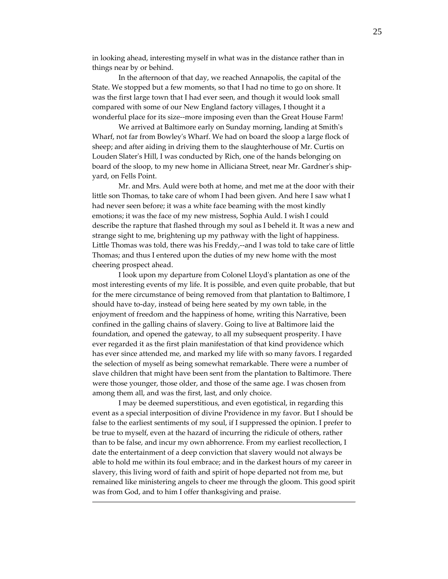in looking ahead, interesting myself in what was in the distance rather than in things near by or behind.

In the afternoon of that day, we reached Annapolis, the capital of the State. We stopped but a few moments, so that I had no time to go on shore. It was the first large town that I had ever seen, and though it would look small compared with some of our New England factory villages, I thought it a wonderful place for its size--more imposing even than the Great House Farm!

We arrived at Baltimore early on Sunday morning, landing at Smithʹs Wharf, not far from Bowleyʹs Wharf. We had on board the sloop a large flock of sheep; and after aiding in driving them to the slaughterhouse of Mr. Curtis on Louden Slaterʹs Hill, I was conducted by Rich, one of the hands belonging on board of the sloop, to my new home in Alliciana Street, near Mr. Gardner's shipyard, on Fells Point.

Mr. and Mrs. Auld were both at home, and met me at the door with their little son Thomas, to take care of whom I had been given. And here I saw what I had never seen before; it was a white face beaming with the most kindly emotions; it was the face of my new mistress, Sophia Auld. I wish I could describe the rapture that flashed through my soul as I beheld it. It was a new and strange sight to me, brightening up my pathway with the light of happiness. Little Thomas was told, there was his Freddy,--and I was told to take care of little Thomas; and thus I entered upon the duties of my new home with the most cheering prospect ahead.

I look upon my departure from Colonel Lloydʹs plantation as one of the most interesting events of my life. It is possible, and even quite probable, that but for the mere circumstance of being removed from that plantation to Baltimore, I should have to‐day, instead of being here seated by my own table, in the enjoyment of freedom and the happiness of home, writing this Narrative, been confined in the galling chains of slavery. Going to live at Baltimore laid the foundation, and opened the gateway, to all my subsequent prosperity. I have ever regarded it as the first plain manifestation of that kind providence which has ever since attended me, and marked my life with so many favors. I regarded the selection of myself as being somewhat remarkable. There were a number of slave children that might have been sent from the plantation to Baltimore. There were those younger, those older, and those of the same age. I was chosen from among them all, and was the first, last, and only choice.

I may be deemed superstitious, and even egotistical, in regarding this event as a special interposition of divine Providence in my favor. But I should be false to the earliest sentiments of my soul, if I suppressed the opinion. I prefer to be true to myself, even at the hazard of incurring the ridicule of others, rather than to be false, and incur my own abhorrence. From my earliest recollection, I date the entertainment of a deep conviction that slavery would not always be able to hold me within its foul embrace; and in the darkest hours of my career in slavery, this living word of faith and spirit of hope departed not from me, but remained like ministering angels to cheer me through the gloom. This good spirit was from God, and to him I offer thanksgiving and praise.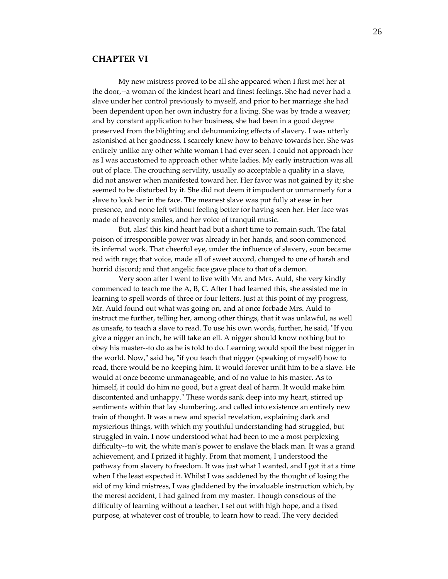## **CHAPTER VI**

My new mistress proved to be all she appeared when I first met her at the door,‐‐a woman of the kindest heart and finest feelings. She had never had a slave under her control previously to myself, and prior to her marriage she had been dependent upon her own industry for a living. She was by trade a weaver; and by constant application to her business, she had been in a good degree preserved from the blighting and dehumanizing effects of slavery. I was utterly astonished at her goodness. I scarcely knew how to behave towards her. She was entirely unlike any other white woman I had ever seen. I could not approach her as I was accustomed to approach other white ladies. My early instruction was all out of place. The crouching servility, usually so acceptable a quality in a slave, did not answer when manifested toward her. Her favor was not gained by it; she seemed to be disturbed by it. She did not deem it impudent or unmannerly for a slave to look her in the face. The meanest slave was put fully at ease in her presence, and none left without feeling better for having seen her. Her face was made of heavenly smiles, and her voice of tranquil music.

But, alas! this kind heart had but a short time to remain such. The fatal poison of irresponsible power was already in her hands, and soon commenced its infernal work. That cheerful eye, under the influence of slavery, soon became red with rage; that voice, made all of sweet accord, changed to one of harsh and horrid discord; and that angelic face gave place to that of a demon.

Very soon after I went to live with Mr. and Mrs. Auld, she very kindly commenced to teach me the A, B, C. After I had learned this, she assisted me in learning to spell words of three or four letters. Just at this point of my progress, Mr. Auld found out what was going on, and at once forbade Mrs. Auld to instruct me further, telling her, among other things, that it was unlawful, as well as unsafe, to teach a slave to read. To use his own words, further, he said, "If you give a nigger an inch, he will take an ell. A nigger should know nothing but to obey his master‐‐to do as he is told to do. Learning would spoil the best nigger in the world. Now," said he, "if you teach that nigger (speaking of myself) how to read, there would be no keeping him. It would forever unfit him to be a slave. He would at once become unmanageable, and of no value to his master. As to himself, it could do him no good, but a great deal of harm. It would make him discontented and unhappy." These words sank deep into my heart, stirred up sentiments within that lay slumbering, and called into existence an entirely new train of thought. It was a new and special revelation, explaining dark and mysterious things, with which my youthful understanding had struggled, but struggled in vain. I now understood what had been to me a most perplexing difficulty--to wit, the white man's power to enslave the black man. It was a grand achievement, and I prized it highly. From that moment, I understood the pathway from slavery to freedom. It was just what I wanted, and I got it at a time when I the least expected it. Whilst I was saddened by the thought of losing the aid of my kind mistress, I was gladdened by the invaluable instruction which, by the merest accident, I had gained from my master. Though conscious of the difficulty of learning without a teacher, I set out with high hope, and a fixed purpose, at whatever cost of trouble, to learn how to read. The very decided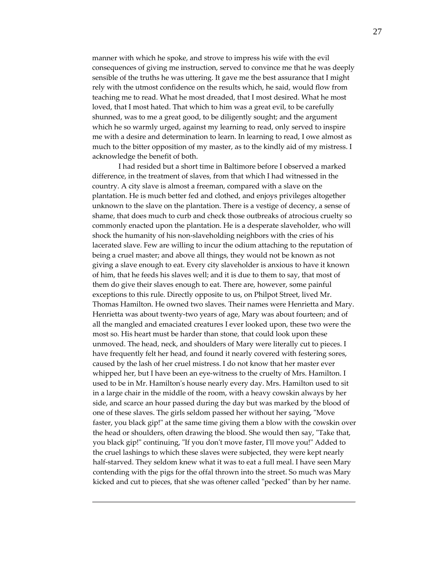manner with which he spoke, and strove to impress his wife with the evil consequences of giving me instruction, served to convince me that he was deeply sensible of the truths he was uttering. It gave me the best assurance that I might rely with the utmost confidence on the results which, he said, would flow from teaching me to read. What he most dreaded, that I most desired. What he most loved, that I most hated. That which to him was a great evil, to be carefully shunned, was to me a great good, to be diligently sought; and the argument which he so warmly urged, against my learning to read, only served to inspire me with a desire and determination to learn. In learning to read, I owe almost as much to the bitter opposition of my master, as to the kindly aid of my mistress. I acknowledge the benefit of both.

I had resided but a short time in Baltimore before I observed a marked difference, in the treatment of slaves, from that which I had witnessed in the country. A city slave is almost a freeman, compared with a slave on the plantation. He is much better fed and clothed, and enjoys privileges altogether unknown to the slave on the plantation. There is a vestige of decency, a sense of shame, that does much to curb and check those outbreaks of atrocious cruelty so commonly enacted upon the plantation. He is a desperate slaveholder, who will shock the humanity of his non‐slaveholding neighbors with the cries of his lacerated slave. Few are willing to incur the odium attaching to the reputation of being a cruel master; and above all things, they would not be known as not giving a slave enough to eat. Every city slaveholder is anxious to have it known of him, that he feeds his slaves well; and it is due to them to say, that most of them do give their slaves enough to eat. There are, however, some painful exceptions to this rule. Directly opposite to us, on Philpot Street, lived Mr. Thomas Hamilton. He owned two slaves. Their names were Henrietta and Mary. Henrietta was about twenty-two years of age, Mary was about fourteen; and of all the mangled and emaciated creatures I ever looked upon, these two were the most so. His heart must be harder than stone, that could look upon these unmoved. The head, neck, and shoulders of Mary were literally cut to pieces. I have frequently felt her head, and found it nearly covered with festering sores, caused by the lash of her cruel mistress. I do not know that her master ever whipped her, but I have been an eye-witness to the cruelty of Mrs. Hamilton. I used to be in Mr. Hamiltonʹs house nearly every day. Mrs. Hamilton used to sit in a large chair in the middle of the room, with a heavy cowskin always by her side, and scarce an hour passed during the day but was marked by the blood of one of these slaves. The girls seldom passed her without her saying, "Move faster, you black gip!" at the same time giving them a blow with the cowskin over the head or shoulders, often drawing the blood. She would then say, "Take that, you black gip!" continuing, "If you don't move faster, I'll move you!" Added to the cruel lashings to which these slaves were subjected, they were kept nearly half-starved. They seldom knew what it was to eat a full meal. I have seen Mary contending with the pigs for the offal thrown into the street. So much was Mary kicked and cut to pieces, that she was oftener called "pecked" than by her name.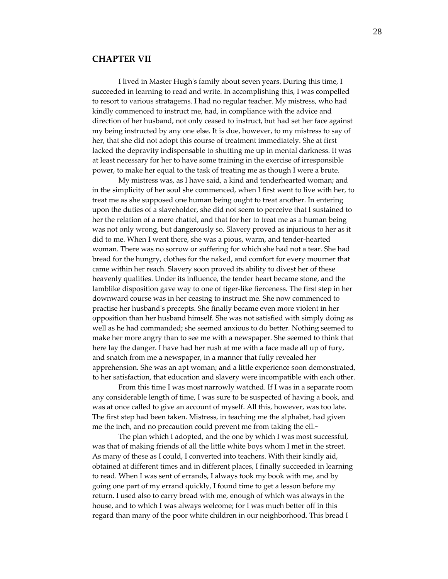#### **CHAPTER VII**

I lived in Master Hughʹs family about seven years. During this time, I succeeded in learning to read and write. In accomplishing this, I was compelled to resort to various stratagems. I had no regular teacher. My mistress, who had kindly commenced to instruct me, had, in compliance with the advice and direction of her husband, not only ceased to instruct, but had set her face against my being instructed by any one else. It is due, however, to my mistress to say of her, that she did not adopt this course of treatment immediately. She at first lacked the depravity indispensable to shutting me up in mental darkness. It was at least necessary for her to have some training in the exercise of irresponsible power, to make her equal to the task of treating me as though I were a brute.

My mistress was, as I have said, a kind and tenderhearted woman; and in the simplicity of her soul she commenced, when I first went to live with her, to treat me as she supposed one human being ought to treat another. In entering upon the duties of a slaveholder, she did not seem to perceive that I sustained to her the relation of a mere chattel, and that for her to treat me as a human being was not only wrong, but dangerously so. Slavery proved as injurious to her as it did to me. When I went there, she was a pious, warm, and tender‐hearted woman. There was no sorrow or suffering for which she had not a tear. She had bread for the hungry, clothes for the naked, and comfort for every mourner that came within her reach. Slavery soon proved its ability to divest her of these heavenly qualities. Under its influence, the tender heart became stone, and the lamblike disposition gave way to one of tiger‐like fierceness. The first step in her downward course was in her ceasing to instruct me. She now commenced to practise her husbandʹs precepts. She finally became even more violent in her opposition than her husband himself. She was not satisfied with simply doing as well as he had commanded; she seemed anxious to do better. Nothing seemed to make her more angry than to see me with a newspaper. She seemed to think that here lay the danger. I have had her rush at me with a face made all up of fury, and snatch from me a newspaper, in a manner that fully revealed her apprehension. She was an apt woman; and a little experience soon demonstrated, to her satisfaction, that education and slavery were incompatible with each other.

From this time I was most narrowly watched. If I was in a separate room any considerable length of time, I was sure to be suspected of having a book, and was at once called to give an account of myself. All this, however, was too late. The first step had been taken. Mistress, in teaching me the alphabet, had given me the inch, and no precaution could prevent me from taking the ell.~

The plan which I adopted, and the one by which I was most successful, was that of making friends of all the little white boys whom I met in the street. As many of these as I could, I converted into teachers. With their kindly aid, obtained at different times and in different places, I finally succeeded in learning to read. When I was sent of errands, I always took my book with me, and by going one part of my errand quickly, I found time to get a lesson before my return. I used also to carry bread with me, enough of which was always in the house, and to which I was always welcome; for I was much better off in this regard than many of the poor white children in our neighborhood. This bread I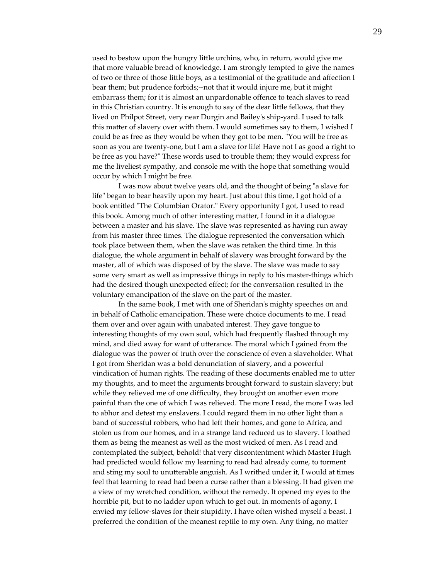used to bestow upon the hungry little urchins, who, in return, would give me that more valuable bread of knowledge. I am strongly tempted to give the names of two or three of those little boys, as a testimonial of the gratitude and affection I bear them; but prudence forbids;--not that it would injure me, but it might embarrass them; for it is almost an unpardonable offence to teach slaves to read in this Christian country. It is enough to say of the dear little fellows, that they lived on Philpot Street, very near Durgin and Baileyʹs ship‐yard. I used to talk this matter of slavery over with them. I would sometimes say to them, I wished I could be as free as they would be when they got to be men. "You will be free as soon as you are twenty-one, but I am a slave for life! Have not I as good a right to be free as you have?" These words used to trouble them; they would express for me the liveliest sympathy, and console me with the hope that something would occur by which I might be free.

I was now about twelve years old, and the thought of being "a slave for life" began to bear heavily upon my heart. Just about this time, I got hold of a book entitled "The Columbian Orator." Every opportunity I got, I used to read this book. Among much of other interesting matter, I found in it a dialogue between a master and his slave. The slave was represented as having run away from his master three times. The dialogue represented the conversation which took place between them, when the slave was retaken the third time. In this dialogue, the whole argument in behalf of slavery was brought forward by the master, all of which was disposed of by the slave. The slave was made to say some very smart as well as impressive things in reply to his master-things which had the desired though unexpected effect; for the conversation resulted in the voluntary emancipation of the slave on the part of the master.

In the same book, I met with one of Sheridanʹs mighty speeches on and in behalf of Catholic emancipation. These were choice documents to me. I read them over and over again with unabated interest. They gave tongue to interesting thoughts of my own soul, which had frequently flashed through my mind, and died away for want of utterance. The moral which I gained from the dialogue was the power of truth over the conscience of even a slaveholder. What I got from Sheridan was a bold denunciation of slavery, and a powerful vindication of human rights. The reading of these documents enabled me to utter my thoughts, and to meet the arguments brought forward to sustain slavery; but while they relieved me of one difficulty, they brought on another even more painful than the one of which I was relieved. The more I read, the more I was led to abhor and detest my enslavers. I could regard them in no other light than a band of successful robbers, who had left their homes, and gone to Africa, and stolen us from our homes, and in a strange land reduced us to slavery. I loathed them as being the meanest as well as the most wicked of men. As I read and contemplated the subject, behold! that very discontentment which Master Hugh had predicted would follow my learning to read had already come, to torment and sting my soul to unutterable anguish. As I writhed under it, I would at times feel that learning to read had been a curse rather than a blessing. It had given me a view of my wretched condition, without the remedy. It opened my eyes to the horrible pit, but to no ladder upon which to get out. In moments of agony, I envied my fellow-slaves for their stupidity. I have often wished myself a beast. I preferred the condition of the meanest reptile to my own. Any thing, no matter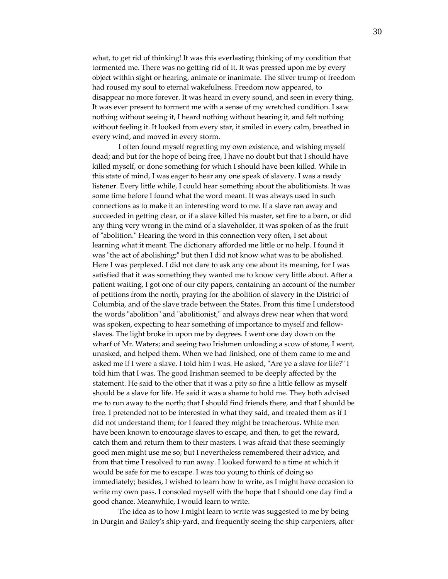what, to get rid of thinking! It was this everlasting thinking of my condition that tormented me. There was no getting rid of it. It was pressed upon me by every object within sight or hearing, animate or inanimate. The silver trump of freedom had roused my soul to eternal wakefulness. Freedom now appeared, to disappear no more forever. It was heard in every sound, and seen in every thing. It was ever present to torment me with a sense of my wretched condition. I saw nothing without seeing it, I heard nothing without hearing it, and felt nothing without feeling it. It looked from every star, it smiled in every calm, breathed in every wind, and moved in every storm.

I often found myself regretting my own existence, and wishing myself dead; and but for the hope of being free, I have no doubt but that I should have killed myself, or done something for which I should have been killed. While in this state of mind, I was eager to hear any one speak of slavery. I was a ready listener. Every little while, I could hear something about the abolitionists. It was some time before I found what the word meant. It was always used in such connections as to make it an interesting word to me. If a slave ran away and succeeded in getting clear, or if a slave killed his master, set fire to a barn, or did any thing very wrong in the mind of a slaveholder, it was spoken of as the fruit of "abolition." Hearing the word in this connection very often, I set about learning what it meant. The dictionary afforded me little or no help. I found it was "the act of abolishing;" but then I did not know what was to be abolished. Here I was perplexed. I did not dare to ask any one about its meaning, for I was satisfied that it was something they wanted me to know very little about. After a patient waiting, I got one of our city papers, containing an account of the number of petitions from the north, praying for the abolition of slavery in the District of Columbia, and of the slave trade between the States. From this time I understood the words "abolition" and "abolitionist," and always drew near when that word was spoken, expecting to hear something of importance to myself and fellowslaves. The light broke in upon me by degrees. I went one day down on the wharf of Mr. Waters; and seeing two Irishmen unloading a scow of stone, I went, unasked, and helped them. When we had finished, one of them came to me and asked me if I were a slave. I told him I was. He asked, "Are ye a slave for life?" I told him that I was. The good Irishman seemed to be deeply affected by the statement. He said to the other that it was a pity so fine a little fellow as myself should be a slave for life. He said it was a shame to hold me. They both advised me to run away to the north; that I should find friends there, and that I should be free. I pretended not to be interested in what they said, and treated them as if I did not understand them; for I feared they might be treacherous. White men have been known to encourage slaves to escape, and then, to get the reward, catch them and return them to their masters. I was afraid that these seemingly good men might use me so; but I nevertheless remembered their advice, and from that time I resolved to run away. I looked forward to a time at which it would be safe for me to escape. I was too young to think of doing so immediately; besides, I wished to learn how to write, as I might have occasion to write my own pass. I consoled myself with the hope that I should one day find a good chance. Meanwhile, I would learn to write.

The idea as to how I might learn to write was suggested to me by being in Durgin and Baileyʹs ship‐yard, and frequently seeing the ship carpenters, after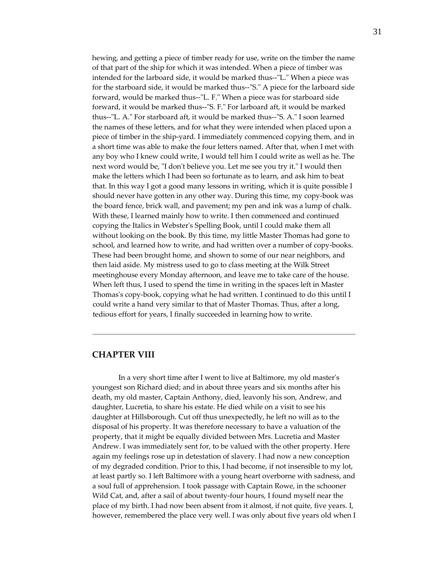hewing, and getting a piece of timber ready for use, write on the timber the name of that part of the ship for which it was intended. When a piece of timber was intended for the larboard side, it would be marked thus--"L." When a piece was for the starboard side, it would be marked thus--"S." A piece for the larboard side forward, would be marked thus--"L. F." When a piece was for starboard side forward, it would be marked thus--"S. F." For larboard aft, it would be marked thus--"L. A." For starboard aft, it would be marked thus--"S. A." I soon learned the names of these letters, and for what they were intended when placed upon a piece of timber in the ship‐yard. I immediately commenced copying them, and in a short time was able to make the four letters named. After that, when I met with any boy who I knew could write, I would tell him I could write as well as he. The next word would be, "I don't believe you. Let me see you try it." I would then make the letters which I had been so fortunate as to learn, and ask him to beat that. In this way I got a good many lessons in writing, which it is quite possible I should never have gotten in any other way. During this time, my copy-book was the board fence, brick wall, and pavement; my pen and ink was a lump of chalk. With these, I learned mainly how to write. I then commenced and continued copying the Italics in Websterʹs Spelling Book, until I could make them all without looking on the book. By this time, my little Master Thomas had gone to school, and learned how to write, and had written over a number of copy-books. These had been brought home, and shown to some of our near neighbors, and then laid aside. My mistress used to go to class meeting at the Wilk Street meetinghouse every Monday afternoon, and leave me to take care of the house. When left thus, I used to spend the time in writing in the spaces left in Master Thomas's copy-book, copying what he had written. I continued to do this until I could write a hand very similar to that of Master Thomas. Thus, after a long, tedious effort for years, I finally succeeded in learning how to write.

## **CHAPTER VIII**

In a very short time after I went to live at Baltimore, my old masterʹs youngest son Richard died; and in about three years and six months after his death, my old master, Captain Anthony, died, leavonly his son, Andrew, and daughter, Lucretia, to share his estate. He died while on a visit to see his daughter at Hillsborough. Cut off thus unexpectedly, he left no will as to the disposal of his property. It was therefore necessary to have a valuation of the property, that it might be equally divided between Mrs. Lucretia and Master Andrew. I was immediately sent for, to be valued with the other property. Here again my feelings rose up in detestation of slavery. I had now a new conception of my degraded condition. Prior to this, I had become, if not insensible to my lot, at least partly so. I left Baltimore with a young heart overborne with sadness, and a soul full of apprehension. I took passage with Captain Rowe, in the schooner Wild Cat, and, after a sail of about twenty-four hours, I found myself near the place of my birth. I had now been absent from it almost, if not quite, five years. I, however, remembered the place very well. I was only about five years old when I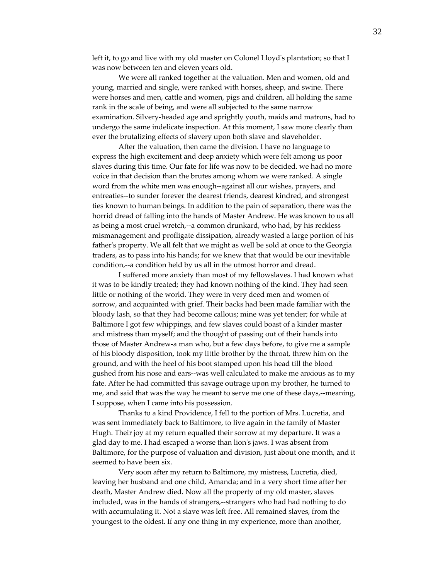left it, to go and live with my old master on Colonel Lloyd's plantation; so that I was now between ten and eleven years old.

We were all ranked together at the valuation. Men and women, old and young, married and single, were ranked with horses, sheep, and swine. There were horses and men, cattle and women, pigs and children, all holding the same rank in the scale of being, and were all subjected to the same narrow examination. Silvery‐headed age and sprightly youth, maids and matrons, had to undergo the same indelicate inspection. At this moment, I saw more clearly than ever the brutalizing effects of slavery upon both slave and slaveholder.

After the valuation, then came the division. I have no language to express the high excitement and deep anxiety which were felt among us poor slaves during this time. Our fate for life was now to be decided. we had no more voice in that decision than the brutes among whom we were ranked. A single word from the white men was enough‐‐against all our wishes, prayers, and entreaties‐‐to sunder forever the dearest friends, dearest kindred, and strongest ties known to human beings. In addition to the pain of separation, there was the horrid dread of falling into the hands of Master Andrew. He was known to us all as being a most cruel wretch,‐‐a common drunkard, who had, by his reckless mismanagement and profligate dissipation, already wasted a large portion of his father's property. We all felt that we might as well be sold at once to the Georgia traders, as to pass into his hands; for we knew that that would be our inevitable condition,--a condition held by us all in the utmost horror and dread.

I suffered more anxiety than most of my fellowslaves. I had known what it was to be kindly treated; they had known nothing of the kind. They had seen little or nothing of the world. They were in very deed men and women of sorrow, and acquainted with grief. Their backs had been made familiar with the bloody lash, so that they had become callous; mine was yet tender; for while at Baltimore I got few whippings, and few slaves could boast of a kinder master and mistress than myself; and the thought of passing out of their hands into those of Master Andrew‐a man who, but a few days before, to give me a sample of his bloody disposition, took my little brother by the throat, threw him on the ground, and with the heel of his boot stamped upon his head till the blood gushed from his nose and ears‐‐was well calculated to make me anxious as to my fate. After he had committed this savage outrage upon my brother, he turned to me, and said that was the way he meant to serve me one of these days,--meaning, I suppose, when I came into his possession.

Thanks to a kind Providence, I fell to the portion of Mrs. Lucretia, and was sent immediately back to Baltimore, to live again in the family of Master Hugh. Their joy at my return equalled their sorrow at my departure. It was a glad day to me. I had escaped a worse than lionʹs jaws. I was absent from Baltimore, for the purpose of valuation and division, just about one month, and it seemed to have been six.

Very soon after my return to Baltimore, my mistress, Lucretia, died, leaving her husband and one child, Amanda; and in a very short time after her death, Master Andrew died. Now all the property of my old master, slaves included, was in the hands of strangers,‐‐strangers who had had nothing to do with accumulating it. Not a slave was left free. All remained slaves, from the youngest to the oldest. If any one thing in my experience, more than another,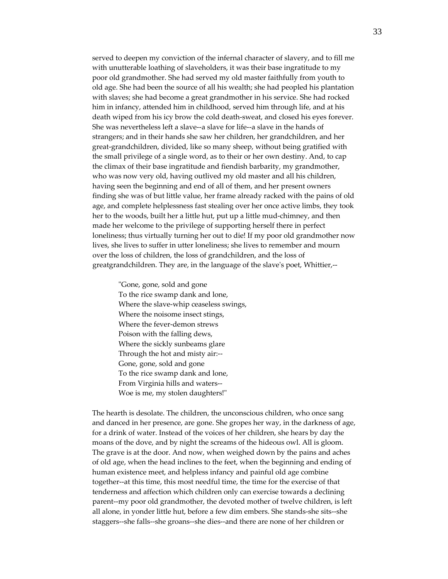served to deepen my conviction of the infernal character of slavery, and to fill me with unutterable loathing of slaveholders, it was their base ingratitude to my poor old grandmother. She had served my old master faithfully from youth to old age. She had been the source of all his wealth; she had peopled his plantation with slaves; she had become a great grandmother in his service. She had rocked him in infancy, attended him in childhood, served him through life, and at his death wiped from his icy brow the cold death‐sweat, and closed his eyes forever. She was nevertheless left a slave--a slave for life--a slave in the hands of strangers; and in their hands she saw her children, her grandchildren, and her great‐grandchildren, divided, like so many sheep, without being gratified with the small privilege of a single word, as to their or her own destiny. And, to cap the climax of their base ingratitude and fiendish barbarity, my grandmother, who was now very old, having outlived my old master and all his children, having seen the beginning and end of all of them, and her present owners finding she was of but little value, her frame already racked with the pains of old age, and complete helplessness fast stealing over her once active limbs, they took her to the woods, built her a little hut, put up a little mud‐chimney, and then made her welcome to the privilege of supporting herself there in perfect loneliness; thus virtually turning her out to die! If my poor old grandmother now lives, she lives to suffer in utter loneliness; she lives to remember and mourn over the loss of children, the loss of grandchildren, and the loss of greatgrandchildren. They are, in the language of the slave's poet, Whittier,--

"Gone, gone, sold and gone To the rice swamp dank and lone, Where the slave‐whip ceaseless swings, Where the noisome insect stings, Where the fever‐demon strews Poison with the falling dews, Where the sickly sunbeams glare Through the hot and misty air:‐‐ Gone, gone, sold and gone To the rice swamp dank and lone, From Virginia hills and waters‐‐ Woe is me, my stolen daughters!"

The hearth is desolate. The children, the unconscious children, who once sang and danced in her presence, are gone. She gropes her way, in the darkness of age, for a drink of water. Instead of the voices of her children, she hears by day the moans of the dove, and by night the screams of the hideous owl. All is gloom. The grave is at the door. And now, when weighed down by the pains and aches of old age, when the head inclines to the feet, when the beginning and ending of human existence meet, and helpless infancy and painful old age combine together‐‐at this time, this most needful time, the time for the exercise of that tenderness and affection which children only can exercise towards a declining parent‐‐my poor old grandmother, the devoted mother of twelve children, is left all alone, in yonder little hut, before a few dim embers. She stands‐she sits‐‐she staggers‐‐she falls‐‐she groans‐‐she dies‐‐and there are none of her children or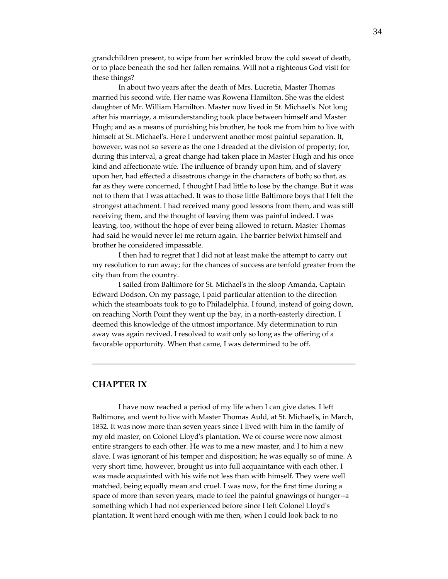grandchildren present, to wipe from her wrinkled brow the cold sweat of death, or to place beneath the sod her fallen remains. Will not a righteous God visit for these things?

In about two years after the death of Mrs. Lucretia, Master Thomas married his second wife. Her name was Rowena Hamilton. She was the eldest daughter of Mr. William Hamilton. Master now lived in St. Michaelʹs. Not long after his marriage, a misunderstanding took place between himself and Master Hugh; and as a means of punishing his brother, he took me from him to live with himself at St. Michael's. Here I underwent another most painful separation. It, however, was not so severe as the one I dreaded at the division of property; for, during this interval, a great change had taken place in Master Hugh and his once kind and affectionate wife. The influence of brandy upon him, and of slavery upon her, had effected a disastrous change in the characters of both; so that, as far as they were concerned, I thought I had little to lose by the change. But it was not to them that I was attached. It was to those little Baltimore boys that I felt the strongest attachment. I had received many good lessons from them, and was still receiving them, and the thought of leaving them was painful indeed. I was leaving, too, without the hope of ever being allowed to return. Master Thomas had said he would never let me return again. The barrier betwixt himself and brother he considered impassable.

I then had to regret that I did not at least make the attempt to carry out my resolution to run away; for the chances of success are tenfold greater from the city than from the country.

I sailed from Baltimore for St. Michaelʹs in the sloop Amanda, Captain Edward Dodson. On my passage, I paid particular attention to the direction which the steamboats took to go to Philadelphia. I found, instead of going down, on reaching North Point they went up the bay, in a north‐easterly direction. I deemed this knowledge of the utmost importance. My determination to run away was again revived. I resolved to wait only so long as the offering of a favorable opportunity. When that came, I was determined to be off.

#### **CHAPTER IX**

I have now reached a period of my life when I can give dates. I left Baltimore, and went to live with Master Thomas Auld, at St. Michael's, in March, 1832. It was now more than seven years since I lived with him in the family of my old master, on Colonel Lloydʹs plantation. We of course were now almost entire strangers to each other. He was to me a new master, and I to him a new slave. I was ignorant of his temper and disposition; he was equally so of mine. A very short time, however, brought us into full acquaintance with each other. I was made acquainted with his wife not less than with himself. They were well matched, being equally mean and cruel. I was now, for the first time during a space of more than seven years, made to feel the painful gnawings of hunger--a something which I had not experienced before since I left Colonel Lloydʹs plantation. It went hard enough with me then, when I could look back to no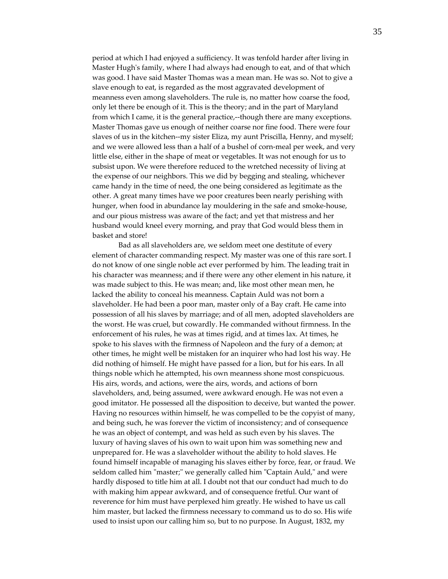period at which I had enjoyed a sufficiency. It was tenfold harder after living in Master Hugh's family, where I had always had enough to eat, and of that which was good. I have said Master Thomas was a mean man. He was so. Not to give a slave enough to eat, is regarded as the most aggravated development of meanness even among slaveholders. The rule is, no matter how coarse the food, only let there be enough of it. This is the theory; and in the part of Maryland from which I came, it is the general practice,--though there are many exceptions. Master Thomas gave us enough of neither coarse nor fine food. There were four slaves of us in the kitchen--my sister Eliza, my aunt Priscilla, Henny, and myself; and we were allowed less than a half of a bushel of corn-meal per week, and very little else, either in the shape of meat or vegetables. It was not enough for us to subsist upon. We were therefore reduced to the wretched necessity of living at the expense of our neighbors. This we did by begging and stealing, whichever came handy in the time of need, the one being considered as legitimate as the other. A great many times have we poor creatures been nearly perishing with hunger, when food in abundance lay mouldering in the safe and smoke-house, and our pious mistress was aware of the fact; and yet that mistress and her husband would kneel every morning, and pray that God would bless them in basket and store!

Bad as all slaveholders are, we seldom meet one destitute of every element of character commanding respect. My master was one of this rare sort. I do not know of one single noble act ever performed by him. The leading trait in his character was meanness; and if there were any other element in his nature, it was made subject to this. He was mean; and, like most other mean men, he lacked the ability to conceal his meanness. Captain Auld was not born a slaveholder. He had been a poor man, master only of a Bay craft. He came into possession of all his slaves by marriage; and of all men, adopted slaveholders are the worst. He was cruel, but cowardly. He commanded without firmness. In the enforcement of his rules, he was at times rigid, and at times lax. At times, he spoke to his slaves with the firmness of Napoleon and the fury of a demon; at other times, he might well be mistaken for an inquirer who had lost his way. He did nothing of himself. He might have passed for a lion, but for his ears. In all things noble which he attempted, his own meanness shone most conspicuous. His airs, words, and actions, were the airs, words, and actions of born slaveholders, and, being assumed, were awkward enough. He was not even a good imitator. He possessed all the disposition to deceive, but wanted the power. Having no resources within himself, he was compelled to be the copyist of many, and being such, he was forever the victim of inconsistency; and of consequence he was an object of contempt, and was held as such even by his slaves. The luxury of having slaves of his own to wait upon him was something new and unprepared for. He was a slaveholder without the ability to hold slaves. He found himself incapable of managing his slaves either by force, fear, or fraud. We seldom called him "master;" we generally called him "Captain Auld," and were hardly disposed to title him at all. I doubt not that our conduct had much to do with making him appear awkward, and of consequence fretful. Our want of reverence for him must have perplexed him greatly. He wished to have us call him master, but lacked the firmness necessary to command us to do so. His wife used to insist upon our calling him so, but to no purpose. In August, 1832, my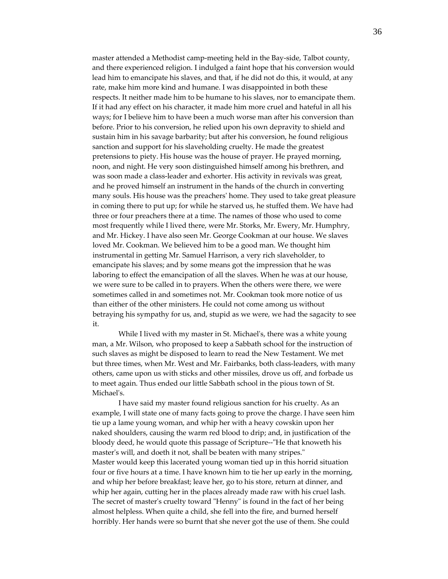master attended a Methodist camp-meeting held in the Bay-side, Talbot county, and there experienced religion. I indulged a faint hope that his conversion would lead him to emancipate his slaves, and that, if he did not do this, it would, at any rate, make him more kind and humane. I was disappointed in both these respects. It neither made him to be humane to his slaves, nor to emancipate them. If it had any effect on his character, it made him more cruel and hateful in all his ways; for I believe him to have been a much worse man after his conversion than before. Prior to his conversion, he relied upon his own depravity to shield and sustain him in his savage barbarity; but after his conversion, he found religious sanction and support for his slaveholding cruelty. He made the greatest pretensions to piety. His house was the house of prayer. He prayed morning, noon, and night. He very soon distinguished himself among his brethren, and was soon made a class-leader and exhorter. His activity in revivals was great, and he proved himself an instrument in the hands of the church in converting many souls. His house was the preachersʹ home. They used to take great pleasure in coming there to put up; for while he starved us, he stuffed them. We have had three or four preachers there at a time. The names of those who used to come most frequently while I lived there, were Mr. Storks, Mr. Ewery, Mr. Humphry, and Mr. Hickey. I have also seen Mr. George Cookman at our house. We slaves loved Mr. Cookman. We believed him to be a good man. We thought him instrumental in getting Mr. Samuel Harrison, a very rich slaveholder, to emancipate his slaves; and by some means got the impression that he was laboring to effect the emancipation of all the slaves. When he was at our house, we were sure to be called in to prayers. When the others were there, we were sometimes called in and sometimes not. Mr. Cookman took more notice of us than either of the other ministers. He could not come among us without betraying his sympathy for us, and, stupid as we were, we had the sagacity to see it.

While I lived with my master in St. Michael's, there was a white young man, a Mr. Wilson, who proposed to keep a Sabbath school for the instruction of such slaves as might be disposed to learn to read the New Testament. We met but three times, when Mr. West and Mr. Fairbanks, both class‐leaders, with many others, came upon us with sticks and other missiles, drove us off, and forbade us to meet again. Thus ended our little Sabbath school in the pious town of St. Michael's.

I have said my master found religious sanction for his cruelty. As an example, I will state one of many facts going to prove the charge. I have seen him tie up a lame young woman, and whip her with a heavy cowskin upon her naked shoulders, causing the warm red blood to drip; and, in justification of the bloody deed, he would quote this passage of Scripture--"He that knoweth his master's will, and doeth it not, shall be beaten with many stripes." Master would keep this lacerated young woman tied up in this horrid situation four or five hours at a time. I have known him to tie her up early in the morning, and whip her before breakfast; leave her, go to his store, return at dinner, and whip her again, cutting her in the places already made raw with his cruel lash. The secret of master's cruelty toward "Henny" is found in the fact of her being almost helpless. When quite a child, she fell into the fire, and burned herself horribly. Her hands were so burnt that she never got the use of them. She could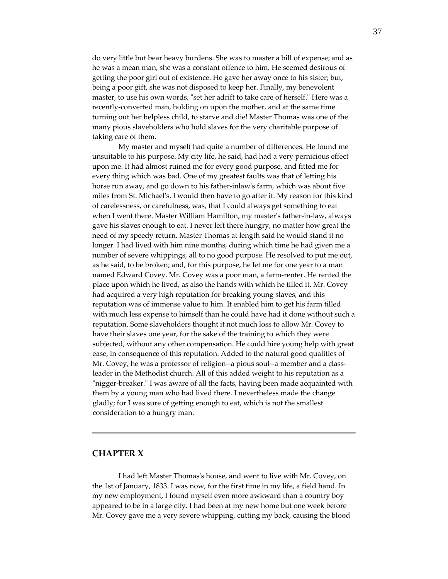do very little but bear heavy burdens. She was to master a bill of expense; and as he was a mean man, she was a constant offence to him. He seemed desirous of getting the poor girl out of existence. He gave her away once to his sister; but, being a poor gift, she was not disposed to keep her. Finally, my benevolent master, to use his own words, "set her adrift to take care of herself." Here was a recently‐converted man, holding on upon the mother, and at the same time turning out her helpless child, to starve and die! Master Thomas was one of the many pious slaveholders who hold slaves for the very charitable purpose of taking care of them.

My master and myself had quite a number of differences. He found me unsuitable to his purpose. My city life, he said, had had a very pernicious effect upon me. It had almost ruined me for every good purpose, and fitted me for every thing which was bad. One of my greatest faults was that of letting his horse run away, and go down to his father-inlaw's farm, which was about five miles from St. Michaelʹs. I would then have to go after it. My reason for this kind of carelessness, or carefulness, was, that I could always get something to eat when I went there. Master William Hamilton, my master's father-in-law, always gave his slaves enough to eat. I never left there hungry, no matter how great the need of my speedy return. Master Thomas at length said he would stand it no longer. I had lived with him nine months, during which time he had given me a number of severe whippings, all to no good purpose. He resolved to put me out, as he said, to be broken; and, for this purpose, he let me for one year to a man named Edward Covey. Mr. Covey was a poor man, a farm-renter. He rented the place upon which he lived, as also the hands with which he tilled it. Mr. Covey had acquired a very high reputation for breaking young slaves, and this reputation was of immense value to him. It enabled him to get his farm tilled with much less expense to himself than he could have had it done without such a reputation. Some slaveholders thought it not much loss to allow Mr. Covey to have their slaves one year, for the sake of the training to which they were subjected, without any other compensation. He could hire young help with great ease, in consequence of this reputation. Added to the natural good qualities of Mr. Covey, he was a professor of religion--a pious soul--a member and a classleader in the Methodist church. All of this added weight to his reputation as a "nigger-breaker." I was aware of all the facts, having been made acquainted with them by a young man who had lived there. I nevertheless made the change gladly; for I was sure of getting enough to eat, which is not the smallest consideration to a hungry man.

#### **CHAPTER X**

I had left Master Thomasʹs house, and went to live with Mr. Covey, on the 1st of January, 1833. I was now, for the first time in my life, a field hand. In my new employment, I found myself even more awkward than a country boy appeared to be in a large city. I had been at my new home but one week before Mr. Covey gave me a very severe whipping, cutting my back, causing the blood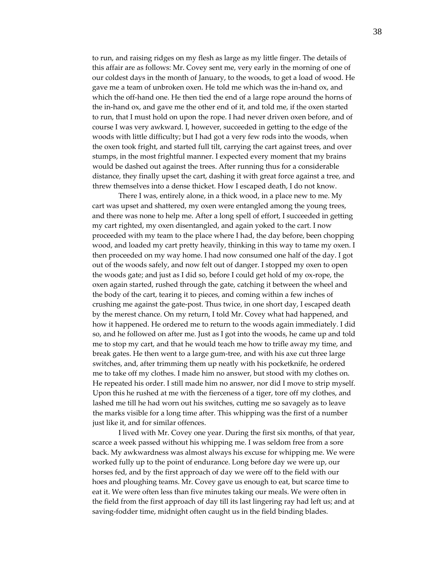to run, and raising ridges on my flesh as large as my little finger. The details of this affair are as follows: Mr. Covey sent me, very early in the morning of one of our coldest days in the month of January, to the woods, to get a load of wood. He gave me a team of unbroken oxen. He told me which was the in‐hand ox, and which the off-hand one. He then tied the end of a large rope around the horns of the in‐hand ox, and gave me the other end of it, and told me, if the oxen started to run, that I must hold on upon the rope. I had never driven oxen before, and of course I was very awkward. I, however, succeeded in getting to the edge of the woods with little difficulty; but I had got a very few rods into the woods, when the oxen took fright, and started full tilt, carrying the cart against trees, and over stumps, in the most frightful manner. I expected every moment that my brains would be dashed out against the trees. After running thus for a considerable distance, they finally upset the cart, dashing it with great force against a tree, and threw themselves into a dense thicket. How I escaped death, I do not know.

There I was, entirely alone, in a thick wood, in a place new to me. My cart was upset and shattered, my oxen were entangled among the young trees, and there was none to help me. After a long spell of effort, I succeeded in getting my cart righted, my oxen disentangled, and again yoked to the cart. I now proceeded with my team to the place where I had, the day before, been chopping wood, and loaded my cart pretty heavily, thinking in this way to tame my oxen. I then proceeded on my way home. I had now consumed one half of the day. I got out of the woods safely, and now felt out of danger. I stopped my oxen to open the woods gate; and just as I did so, before I could get hold of my ox‐rope, the oxen again started, rushed through the gate, catching it between the wheel and the body of the cart, tearing it to pieces, and coming within a few inches of crushing me against the gate‐post. Thus twice, in one short day, I escaped death by the merest chance. On my return, I told Mr. Covey what had happened, and how it happened. He ordered me to return to the woods again immediately. I did so, and he followed on after me. Just as I got into the woods, he came up and told me to stop my cart, and that he would teach me how to trifle away my time, and break gates. He then went to a large gum‐tree, and with his axe cut three large switches, and, after trimming them up neatly with his pocketknife, he ordered me to take off my clothes. I made him no answer, but stood with my clothes on. He repeated his order. I still made him no answer, nor did I move to strip myself. Upon this he rushed at me with the fierceness of a tiger, tore off my clothes, and lashed me till he had worn out his switches, cutting me so savagely as to leave the marks visible for a long time after. This whipping was the first of a number just like it, and for similar offences.

I lived with Mr. Covey one year. During the first six months, of that year, scarce a week passed without his whipping me. I was seldom free from a sore back. My awkwardness was almost always his excuse for whipping me. We were worked fully up to the point of endurance. Long before day we were up, our horses fed, and by the first approach of day we were off to the field with our hoes and ploughing teams. Mr. Covey gave us enough to eat, but scarce time to eat it. We were often less than five minutes taking our meals. We were often in the field from the first approach of day till its last lingering ray had left us; and at saving-fodder time, midnight often caught us in the field binding blades.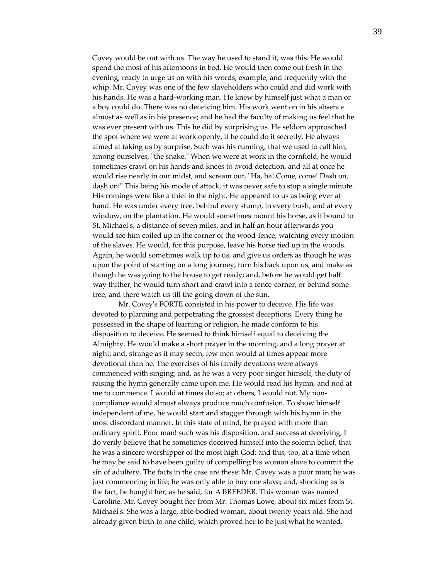Covey would be out with us. The way he used to stand it, was this. He would spend the most of his afternoons in bed. He would then come out fresh in the evening, ready to urge us on with his words, example, and frequently with the whip. Mr. Covey was one of the few slaveholders who could and did work with his hands. He was a hard‐working man. He knew by himself just what a man or a boy could do. There was no deceiving him. His work went on in his absence almost as well as in his presence; and he had the faculty of making us feel that he was ever present with us. This he did by surprising us. He seldom approached the spot where we were at work openly, if he could do it secretly. He always aimed at taking us by surprise. Such was his cunning, that we used to call him, among ourselves, "the snake." When we were at work in the cornfield, he would sometimes crawl on his hands and knees to avoid detection, and all at once he would rise nearly in our midst, and scream out, "Ha, ha! Come, come! Dash on, dash on!" This being his mode of attack, it was never safe to stop a single minute. His comings were like a thief in the night. He appeared to us as being ever at hand. He was under every tree, behind every stump, in every bush, and at every window, on the plantation. He would sometimes mount his horse, as if bound to St. Michaelʹs, a distance of seven miles, and in half an hour afterwards you would see him coiled up in the corner of the wood-fence, watching every motion of the slaves. He would, for this purpose, leave his horse tied up in the woods. Again, he would sometimes walk up to us, and give us orders as though he was upon the point of starting on a long journey, turn his back upon us, and make as though he was going to the house to get ready; and, before he would get half way thither, he would turn short and crawl into a fence-corner, or behind some tree, and there watch us till the going down of the sun.

Mr. Coveyʹs FORTE consisted in his power to deceive. His life was devoted to planning and perpetrating the grossest deceptions. Every thing he possessed in the shape of learning or religion, he made conform to his disposition to deceive. He seemed to think himself equal to deceiving the Almighty. He would make a short prayer in the morning, and a long prayer at night; and, strange as it may seem, few men would at times appear more devotional than he. The exercises of his family devotions were always commenced with singing; and, as he was a very poor singer himself, the duty of raising the hymn generally came upon me. He would read his hymn, and nod at me to commence. I would at times do so; at others, I would not. My noncompliance would almost always produce much confusion. To show himself independent of me, he would start and stagger through with his hymn in the most discordant manner. In this state of mind, he prayed with more than ordinary spirit. Poor man! such was his disposition, and success at deceiving, I do verily believe that he sometimes deceived himself into the solemn belief, that he was a sincere worshipper of the most high God; and this, too, at a time when he may be said to have been guilty of compelling his woman slave to commit the sin of adultery. The facts in the case are these: Mr. Covey was a poor man; he was just commencing in life; he was only able to buy one slave; and, shocking as is the fact, he bought her, as he said, for A BREEDER. This woman was named Caroline. Mr. Covey bought her from Mr. Thomas Lowe, about six miles from St. Michaelʹs. She was a large, able‐bodied woman, about twenty years old. She had already given birth to one child, which proved her to be just what he wanted.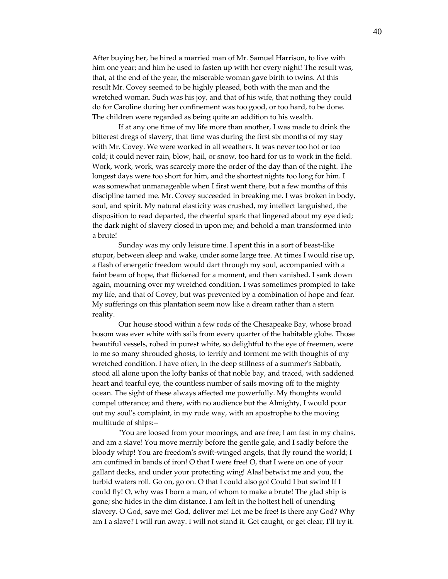After buying her, he hired a married man of Mr. Samuel Harrison, to live with him one year; and him he used to fasten up with her every night! The result was, that, at the end of the year, the miserable woman gave birth to twins. At this result Mr. Covey seemed to be highly pleased, both with the man and the wretched woman. Such was his joy, and that of his wife, that nothing they could do for Caroline during her confinement was too good, or too hard, to be done. The children were regarded as being quite an addition to his wealth.

If at any one time of my life more than another, I was made to drink the bitterest dregs of slavery, that time was during the first six months of my stay with Mr. Covey. We were worked in all weathers. It was never too hot or too cold; it could never rain, blow, hail, or snow, too hard for us to work in the field. Work, work, work, was scarcely more the order of the day than of the night. The longest days were too short for him, and the shortest nights too long for him. I was somewhat unmanageable when I first went there, but a few months of this discipline tamed me. Mr. Covey succeeded in breaking me. I was broken in body, soul, and spirit. My natural elasticity was crushed, my intellect languished, the disposition to read departed, the cheerful spark that lingered about my eye died; the dark night of slavery closed in upon me; and behold a man transformed into a brute!

Sunday was my only leisure time. I spent this in a sort of beast‐like stupor, between sleep and wake, under some large tree. At times I would rise up, a flash of energetic freedom would dart through my soul, accompanied with a faint beam of hope, that flickered for a moment, and then vanished. I sank down again, mourning over my wretched condition. I was sometimes prompted to take my life, and that of Covey, but was prevented by a combination of hope and fear. My sufferings on this plantation seem now like a dream rather than a stern reality.

Our house stood within a few rods of the Chesapeake Bay, whose broad bosom was ever white with sails from every quarter of the habitable globe. Those beautiful vessels, robed in purest white, so delightful to the eye of freemen, were to me so many shrouded ghosts, to terrify and torment me with thoughts of my wretched condition. I have often, in the deep stillness of a summerʹs Sabbath, stood all alone upon the lofty banks of that noble bay, and traced, with saddened heart and tearful eye, the countless number of sails moving off to the mighty ocean. The sight of these always affected me powerfully. My thoughts would compel utterance; and there, with no audience but the Almighty, I would pour out my soulʹs complaint, in my rude way, with an apostrophe to the moving multitude of ships:‐‐

ʺYou are loosed from your moorings, and are free; I am fast in my chains, and am a slave! You move merrily before the gentle gale, and I sadly before the bloody whip! You are freedomʹs swift‐winged angels, that fly round the world; I am confined in bands of iron! O that I were free! O, that I were on one of your gallant decks, and under your protecting wing! Alas! betwixt me and you, the turbid waters roll. Go on, go on. O that I could also go! Could I but swim! If I could fly! O, why was I born a man, of whom to make a brute! The glad ship is gone; she hides in the dim distance. I am left in the hottest hell of unending slavery. O God, save me! God, deliver me! Let me be free! Is there any God? Why am I a slave? I will run away. I will not stand it. Get caught, or get clear, Iʹll try it.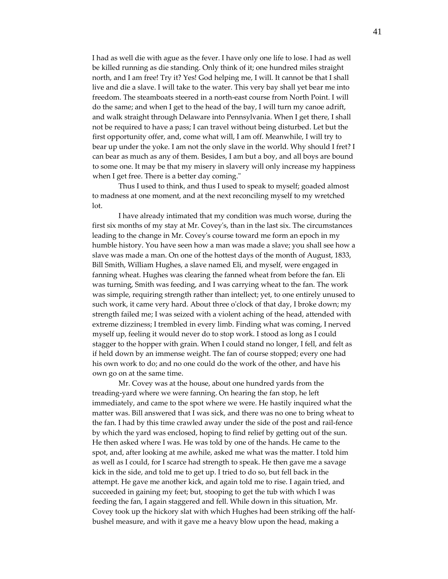I had as well die with ague as the fever. I have only one life to lose. I had as well be killed running as die standing. Only think of it; one hundred miles straight north, and I am free! Try it? Yes! God helping me, I will. It cannot be that I shall live and die a slave. I will take to the water. This very bay shall yet bear me into freedom. The steamboats steered in a north‐east course from North Point. I will do the same; and when I get to the head of the bay, I will turn my canoe adrift, and walk straight through Delaware into Pennsylvania. When I get there, I shall not be required to have a pass; I can travel without being disturbed. Let but the first opportunity offer, and, come what will, I am off. Meanwhile, I will try to bear up under the yoke. I am not the only slave in the world. Why should I fret? I can bear as much as any of them. Besides, I am but a boy, and all boys are bound to some one. It may be that my misery in slavery will only increase my happiness when I get free. There is a better day coming."

Thus I used to think, and thus I used to speak to myself; goaded almost to madness at one moment, and at the next reconciling myself to my wretched lot.

I have already intimated that my condition was much worse, during the first six months of my stay at Mr. Coveyʹs, than in the last six. The circumstances leading to the change in Mr. Coveyʹs course toward me form an epoch in my humble history. You have seen how a man was made a slave; you shall see how a slave was made a man. On one of the hottest days of the month of August, 1833, Bill Smith, William Hughes, a slave named Eli, and myself, were engaged in fanning wheat. Hughes was clearing the fanned wheat from before the fan. Eli was turning, Smith was feeding, and I was carrying wheat to the fan. The work was simple, requiring strength rather than intellect; yet, to one entirely unused to such work, it came very hard. About three o'clock of that day, I broke down; my strength failed me; I was seized with a violent aching of the head, attended with extreme dizziness; I trembled in every limb. Finding what was coming, I nerved myself up, feeling it would never do to stop work. I stood as long as I could stagger to the hopper with grain. When I could stand no longer, I fell, and felt as if held down by an immense weight. The fan of course stopped; every one had his own work to do; and no one could do the work of the other, and have his own go on at the same time.

Mr. Covey was at the house, about one hundred yards from the treading‐yard where we were fanning. On hearing the fan stop, he left immediately, and came to the spot where we were. He hastily inquired what the matter was. Bill answered that I was sick, and there was no one to bring wheat to the fan. I had by this time crawled away under the side of the post and rail‐fence by which the yard was enclosed, hoping to find relief by getting out of the sun. He then asked where I was. He was told by one of the hands. He came to the spot, and, after looking at me awhile, asked me what was the matter. I told him as well as I could, for I scarce had strength to speak. He then gave me a savage kick in the side, and told me to get up. I tried to do so, but fell back in the attempt. He gave me another kick, and again told me to rise. I again tried, and succeeded in gaining my feet; but, stooping to get the tub with which I was feeding the fan, I again staggered and fell. While down in this situation, Mr. Covey took up the hickory slat with which Hughes had been striking off the half‐ bushel measure, and with it gave me a heavy blow upon the head, making a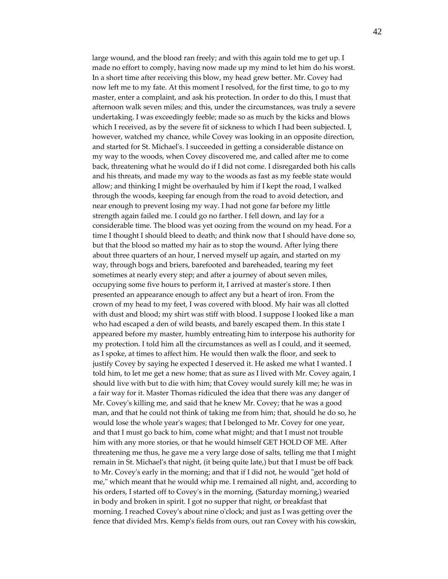large wound, and the blood ran freely; and with this again told me to get up. I made no effort to comply, having now made up my mind to let him do his worst. In a short time after receiving this blow, my head grew better. Mr. Covey had now left me to my fate. At this moment I resolved, for the first time, to go to my master, enter a complaint, and ask his protection. In order to do this, I must that afternoon walk seven miles; and this, under the circumstances, was truly a severe undertaking. I was exceedingly feeble; made so as much by the kicks and blows which I received, as by the severe fit of sickness to which I had been subjected. I, however, watched my chance, while Covey was looking in an opposite direction, and started for St. Michaelʹs. I succeeded in getting a considerable distance on my way to the woods, when Covey discovered me, and called after me to come back, threatening what he would do if I did not come. I disregarded both his calls and his threats, and made my way to the woods as fast as my feeble state would allow; and thinking I might be overhauled by him if I kept the road, I walked through the woods, keeping far enough from the road to avoid detection, and near enough to prevent losing my way. I had not gone far before my little strength again failed me. I could go no farther. I fell down, and lay for a considerable time. The blood was yet oozing from the wound on my head. For a time I thought I should bleed to death; and think now that I should have done so, but that the blood so matted my hair as to stop the wound. After lying there about three quarters of an hour, I nerved myself up again, and started on my way, through bogs and briers, barefooted and bareheaded, tearing my feet sometimes at nearly every step; and after a journey of about seven miles, occupying some five hours to perform it, I arrived at masterʹs store. I then presented an appearance enough to affect any but a heart of iron. From the crown of my head to my feet, I was covered with blood. My hair was all clotted with dust and blood; my shirt was stiff with blood. I suppose I looked like a man who had escaped a den of wild beasts, and barely escaped them. In this state I appeared before my master, humbly entreating him to interpose his authority for my protection. I told him all the circumstances as well as I could, and it seemed, as I spoke, at times to affect him. He would then walk the floor, and seek to justify Covey by saying he expected I deserved it. He asked me what I wanted. I told him, to let me get a new home; that as sure as I lived with Mr. Covey again, I should live with but to die with him; that Covey would surely kill me; he was in a fair way for it. Master Thomas ridiculed the idea that there was any danger of Mr. Coveyʹs killing me, and said that he knew Mr. Covey; that he was a good man, and that he could not think of taking me from him; that, should he do so, he would lose the whole year's wages; that I belonged to Mr. Covey for one year, and that I must go back to him, come what might; and that I must not trouble him with any more stories, or that he would himself GET HOLD OF ME. After threatening me thus, he gave me a very large dose of salts, telling me that I might remain in St. Michaelʹs that night, (it being quite late,) but that I must be off back to Mr. Covey's early in the morning; and that if I did not, he would "get hold of me," which meant that he would whip me. I remained all night, and, according to his orders, I started off to Coveyʹs in the morning, (Saturday morning,) wearied in body and broken in spirit. I got no supper that night, or breakfast that morning. I reached Coveyʹs about nine oʹclock; and just as I was getting over the fence that divided Mrs. Kempʹs fields from ours, out ran Covey with his cowskin,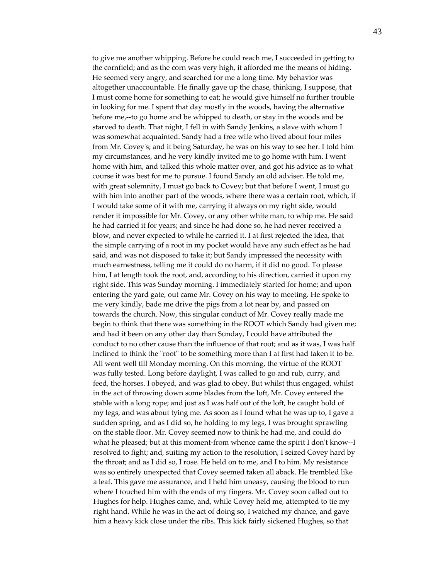to give me another whipping. Before he could reach me, I succeeded in getting to the cornfield; and as the corn was very high, it afforded me the means of hiding. He seemed very angry, and searched for me a long time. My behavior was altogether unaccountable. He finally gave up the chase, thinking, I suppose, that I must come home for something to eat; he would give himself no further trouble in looking for me. I spent that day mostly in the woods, having the alternative before me,--to go home and be whipped to death, or stay in the woods and be starved to death. That night, I fell in with Sandy Jenkins, a slave with whom I was somewhat acquainted. Sandy had a free wife who lived about four miles from Mr. Coveyʹs; and it being Saturday, he was on his way to see her. I told him my circumstances, and he very kindly invited me to go home with him. I went home with him, and talked this whole matter over, and got his advice as to what course it was best for me to pursue. I found Sandy an old adviser. He told me, with great solemnity, I must go back to Covey; but that before I went, I must go with him into another part of the woods, where there was a certain root, which, if I would take some of it with me, carrying it always on my right side, would render it impossible for Mr. Covey, or any other white man, to whip me. He said he had carried it for years; and since he had done so, he had never received a blow, and never expected to while he carried it. I at first rejected the idea, that the simple carrying of a root in my pocket would have any such effect as he had said, and was not disposed to take it; but Sandy impressed the necessity with much earnestness, telling me it could do no harm, if it did no good. To please him, I at length took the root, and, according to his direction, carried it upon my right side. This was Sunday morning. I immediately started for home; and upon entering the yard gate, out came Mr. Covey on his way to meeting. He spoke to me very kindly, bade me drive the pigs from a lot near by, and passed on towards the church. Now, this singular conduct of Mr. Covey really made me begin to think that there was something in the ROOT which Sandy had given me; and had it been on any other day than Sunday, I could have attributed the conduct to no other cause than the influence of that root; and as it was, I was half inclined to think the "root" to be something more than I at first had taken it to be. All went well till Monday morning. On this morning, the virtue of the ROOT was fully tested. Long before daylight, I was called to go and rub, curry, and feed, the horses. I obeyed, and was glad to obey. But whilst thus engaged, whilst in the act of throwing down some blades from the loft, Mr. Covey entered the stable with a long rope; and just as I was half out of the loft, he caught hold of my legs, and was about tying me. As soon as I found what he was up to, I gave a sudden spring, and as I did so, he holding to my legs, I was brought sprawling on the stable floor. Mr. Covey seemed now to think he had me, and could do what he pleased; but at this moment-from whence came the spirit I don't know--I resolved to fight; and, suiting my action to the resolution, I seized Covey hard by the throat; and as I did so, I rose. He held on to me, and I to him. My resistance was so entirely unexpected that Covey seemed taken all aback. He trembled like a leaf. This gave me assurance, and I held him uneasy, causing the blood to run where I touched him with the ends of my fingers. Mr. Covey soon called out to Hughes for help. Hughes came, and, while Covey held me, attempted to tie my right hand. While he was in the act of doing so, I watched my chance, and gave him a heavy kick close under the ribs. This kick fairly sickened Hughes, so that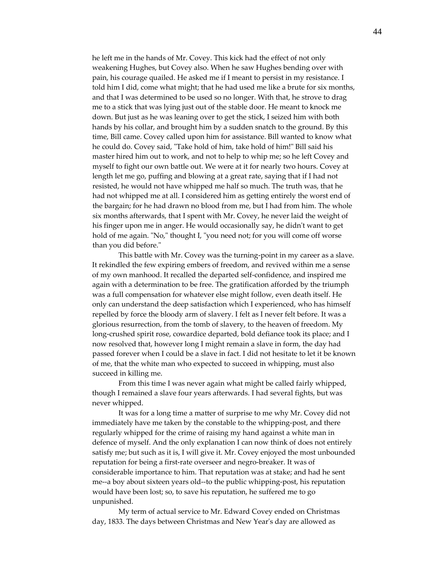he left me in the hands of Mr. Covey. This kick had the effect of not only weakening Hughes, but Covey also. When he saw Hughes bending over with pain, his courage quailed. He asked me if I meant to persist in my resistance. I told him I did, come what might; that he had used me like a brute for six months, and that I was determined to be used so no longer. With that, he strove to drag me to a stick that was lying just out of the stable door. He meant to knock me down. But just as he was leaning over to get the stick, I seized him with both hands by his collar, and brought him by a sudden snatch to the ground. By this time, Bill came. Covey called upon him for assistance. Bill wanted to know what he could do. Covey said, "Take hold of him, take hold of him!" Bill said his master hired him out to work, and not to help to whip me; so he left Covey and myself to fight our own battle out. We were at it for nearly two hours. Covey at length let me go, puffing and blowing at a great rate, saying that if I had not resisted, he would not have whipped me half so much. The truth was, that he had not whipped me at all. I considered him as getting entirely the worst end of the bargain; for he had drawn no blood from me, but I had from him. The whole six months afterwards, that I spent with Mr. Covey, he never laid the weight of his finger upon me in anger. He would occasionally say, he didn't want to get hold of me again. "No," thought I, "you need not; for you will come off worse than you did before."

This battle with Mr. Covey was the turning‐point in my career as a slave. It rekindled the few expiring embers of freedom, and revived within me a sense of my own manhood. It recalled the departed self‐confidence, and inspired me again with a determination to be free. The gratification afforded by the triumph was a full compensation for whatever else might follow, even death itself. He only can understand the deep satisfaction which I experienced, who has himself repelled by force the bloody arm of slavery. I felt as I never felt before. It was a glorious resurrection, from the tomb of slavery, to the heaven of freedom. My long-crushed spirit rose, cowardice departed, bold defiance took its place; and I now resolved that, however long I might remain a slave in form, the day had passed forever when I could be a slave in fact. I did not hesitate to let it be known of me, that the white man who expected to succeed in whipping, must also succeed in killing me.

From this time I was never again what might be called fairly whipped, though I remained a slave four years afterwards. I had several fights, but was never whipped.

It was for a long time a matter of surprise to me why Mr. Covey did not immediately have me taken by the constable to the whipping‐post, and there regularly whipped for the crime of raising my hand against a white man in defence of myself. And the only explanation I can now think of does not entirely satisfy me; but such as it is, I will give it. Mr. Covey enjoyed the most unbounded reputation for being a first‐rate overseer and negro‐breaker. It was of considerable importance to him. That reputation was at stake; and had he sent me‐‐a boy about sixteen years old‐‐to the public whipping‐post, his reputation would have been lost; so, to save his reputation, he suffered me to go unpunished.

My term of actual service to Mr. Edward Covey ended on Christmas day, 1833. The days between Christmas and New Yearʹs day are allowed as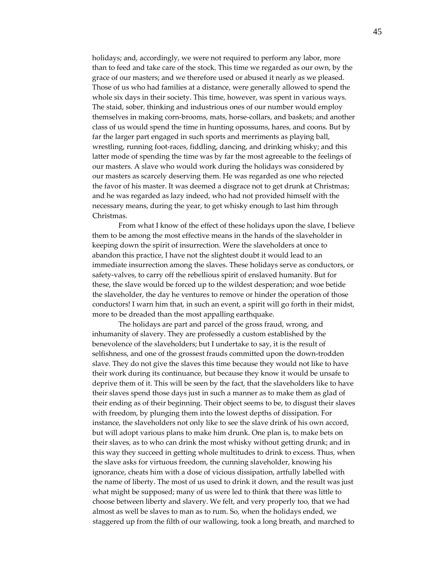holidays; and, accordingly, we were not required to perform any labor, more than to feed and take care of the stock. This time we regarded as our own, by the grace of our masters; and we therefore used or abused it nearly as we pleased. Those of us who had families at a distance, were generally allowed to spend the whole six days in their society. This time, however, was spent in various ways. The staid, sober, thinking and industrious ones of our number would employ themselves in making corn‐brooms, mats, horse‐collars, and baskets; and another class of us would spend the time in hunting opossums, hares, and coons. But by far the larger part engaged in such sports and merriments as playing ball, wrestling, running foot‐races, fiddling, dancing, and drinking whisky; and this latter mode of spending the time was by far the most agreeable to the feelings of our masters. A slave who would work during the holidays was considered by our masters as scarcely deserving them. He was regarded as one who rejected the favor of his master. It was deemed a disgrace not to get drunk at Christmas; and he was regarded as lazy indeed, who had not provided himself with the necessary means, during the year, to get whisky enough to last him through Christmas.

From what I know of the effect of these holidays upon the slave, I believe them to be among the most effective means in the hands of the slaveholder in keeping down the spirit of insurrection. Were the slaveholders at once to abandon this practice, I have not the slightest doubt it would lead to an immediate insurrection among the slaves. These holidays serve as conductors, or safety-valves, to carry off the rebellious spirit of enslaved humanity. But for these, the slave would be forced up to the wildest desperation; and woe betide the slaveholder, the day he ventures to remove or hinder the operation of those conductors! I warn him that, in such an event, a spirit will go forth in their midst, more to be dreaded than the most appalling earthquake.

The holidays are part and parcel of the gross fraud, wrong, and inhumanity of slavery. They are professedly a custom established by the benevolence of the slaveholders; but I undertake to say, it is the result of selfishness, and one of the grossest frauds committed upon the down-trodden slave. They do not give the slaves this time because they would not like to have their work during its continuance, but because they know it would be unsafe to deprive them of it. This will be seen by the fact, that the slaveholders like to have their slaves spend those days just in such a manner as to make them as glad of their ending as of their beginning. Their object seems to be, to disgust their slaves with freedom, by plunging them into the lowest depths of dissipation. For instance, the slaveholders not only like to see the slave drink of his own accord, but will adopt various plans to make him drunk. One plan is, to make bets on their slaves, as to who can drink the most whisky without getting drunk; and in this way they succeed in getting whole multitudes to drink to excess. Thus, when the slave asks for virtuous freedom, the cunning slaveholder, knowing his ignorance, cheats him with a dose of vicious dissipation, artfully labelled with the name of liberty. The most of us used to drink it down, and the result was just what might be supposed; many of us were led to think that there was little to choose between liberty and slavery. We felt, and very properly too, that we had almost as well be slaves to man as to rum. So, when the holidays ended, we staggered up from the filth of our wallowing, took a long breath, and marched to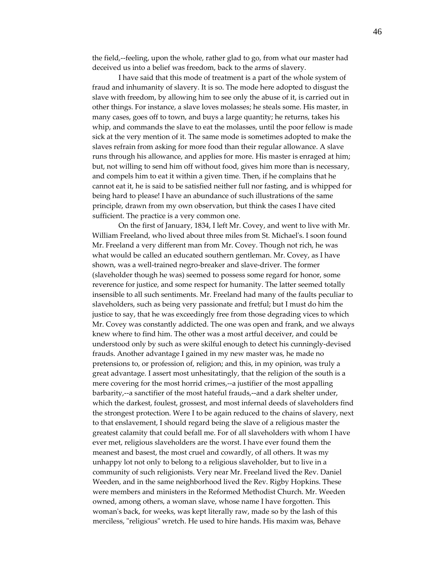the field,‐‐feeling, upon the whole, rather glad to go, from what our master had deceived us into a belief was freedom, back to the arms of slavery.

I have said that this mode of treatment is a part of the whole system of fraud and inhumanity of slavery. It is so. The mode here adopted to disgust the slave with freedom, by allowing him to see only the abuse of it, is carried out in other things. For instance, a slave loves molasses; he steals some. His master, in many cases, goes off to town, and buys a large quantity; he returns, takes his whip, and commands the slave to eat the molasses, until the poor fellow is made sick at the very mention of it. The same mode is sometimes adopted to make the slaves refrain from asking for more food than their regular allowance. A slave runs through his allowance, and applies for more. His master is enraged at him; but, not willing to send him off without food, gives him more than is necessary, and compels him to eat it within a given time. Then, if he complains that he cannot eat it, he is said to be satisfied neither full nor fasting, and is whipped for being hard to please! I have an abundance of such illustrations of the same principle, drawn from my own observation, but think the cases I have cited sufficient. The practice is a very common one.

On the first of January, 1834, I left Mr. Covey, and went to live with Mr. William Freeland, who lived about three miles from St. Michaelʹs. I soon found Mr. Freeland a very different man from Mr. Covey. Though not rich, he was what would be called an educated southern gentleman. Mr. Covey, as I have shown, was a well‐trained negro‐breaker and slave‐driver. The former (slaveholder though he was) seemed to possess some regard for honor, some reverence for justice, and some respect for humanity. The latter seemed totally insensible to all such sentiments. Mr. Freeland had many of the faults peculiar to slaveholders, such as being very passionate and fretful; but I must do him the justice to say, that he was exceedingly free from those degrading vices to which Mr. Covey was constantly addicted. The one was open and frank, and we always knew where to find him. The other was a most artful deceiver, and could be understood only by such as were skilful enough to detect his cunningly‐devised frauds. Another advantage I gained in my new master was, he made no pretensions to, or profession of, religion; and this, in my opinion, was truly a great advantage. I assert most unhesitatingly, that the religion of the south is a mere covering for the most horrid crimes,—a justifier of the most appalling barbarity,--a sanctifier of the most hateful frauds,--and a dark shelter under, which the darkest, foulest, grossest, and most infernal deeds of slaveholders find the strongest protection. Were I to be again reduced to the chains of slavery, next to that enslavement, I should regard being the slave of a religious master the greatest calamity that could befall me. For of all slaveholders with whom I have ever met, religious slaveholders are the worst. I have ever found them the meanest and basest, the most cruel and cowardly, of all others. It was my unhappy lot not only to belong to a religious slaveholder, but to live in a community of such religionists. Very near Mr. Freeland lived the Rev. Daniel Weeden, and in the same neighborhood lived the Rev. Rigby Hopkins. These were members and ministers in the Reformed Methodist Church. Mr. Weeden owned, among others, a woman slave, whose name I have forgotten. This womanʹs back, for weeks, was kept literally raw, made so by the lash of this merciless, "religious" wretch. He used to hire hands. His maxim was, Behave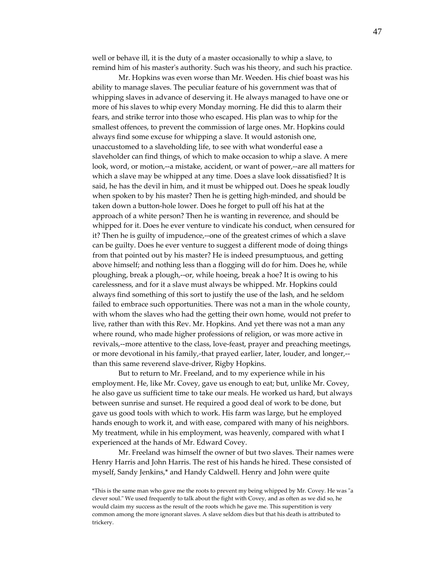well or behave ill, it is the duty of a master occasionally to whip a slave, to remind him of his master's authority. Such was his theory, and such his practice.

Mr. Hopkins was even worse than Mr. Weeden. His chief boast was his ability to manage slaves. The peculiar feature of his government was that of whipping slaves in advance of deserving it. He always managed to have one or more of his slaves to whip every Monday morning. He did this to alarm their fears, and strike terror into those who escaped. His plan was to whip for the smallest offences, to prevent the commission of large ones. Mr. Hopkins could always find some excuse for whipping a slave. It would astonish one, unaccustomed to a slaveholding life, to see with what wonderful ease a slaveholder can find things, of which to make occasion to whip a slave. A mere look, word, or motion,--a mistake, accident, or want of power,--are all matters for which a slave may be whipped at any time. Does a slave look dissatisfied? It is said, he has the devil in him, and it must be whipped out. Does he speak loudly when spoken to by his master? Then he is getting high-minded, and should be taken down a button‐hole lower. Does he forget to pull off his hat at the approach of a white person? Then he is wanting in reverence, and should be whipped for it. Does he ever venture to vindicate his conduct, when censured for it? Then he is guilty of impudence,‐‐one of the greatest crimes of which a slave can be guilty. Does he ever venture to suggest a different mode of doing things from that pointed out by his master? He is indeed presumptuous, and getting above himself; and nothing less than a flogging will do for him. Does he, while ploughing, break a plough,‐‐or, while hoeing, break a hoe? It is owing to his carelessness, and for it a slave must always be whipped. Mr. Hopkins could always find something of this sort to justify the use of the lash, and he seldom failed to embrace such opportunities. There was not a man in the whole county, with whom the slaves who had the getting their own home, would not prefer to live, rather than with this Rev. Mr. Hopkins. And yet there was not a man any where round, who made higher professions of religion, or was more active in revivals,--more attentive to the class, love-feast, prayer and preaching meetings, or more devotional in his family,-that prayed earlier, later, louder, and longer,-than this same reverend slave‐driver, Rigby Hopkins.

But to return to Mr. Freeland, and to my experience while in his employment. He, like Mr. Covey, gave us enough to eat; but, unlike Mr. Covey, he also gave us sufficient time to take our meals. He worked us hard, but always between sunrise and sunset. He required a good deal of work to be done, but gave us good tools with which to work. His farm was large, but he employed hands enough to work it, and with ease, compared with many of his neighbors. My treatment, while in his employment, was heavenly, compared with what I experienced at the hands of Mr. Edward Covey.

Mr. Freeland was himself the owner of but two slaves. Their names were Henry Harris and John Harris. The rest of his hands he hired. These consisted of myself, Sandy Jenkins,\* and Handy Caldwell. Henry and John were quite

<sup>\*</sup>This is the same man who gave me the roots to prevent my being whipped by Mr. Covey. He was "a clever soul." We used frequently to talk about the fight with Covey, and as often as we did so, he would claim my success as the result of the roots which he gave me. This superstition is very common among the more ignorant slaves. A slave seldom dies but that his death is attributed to trickery.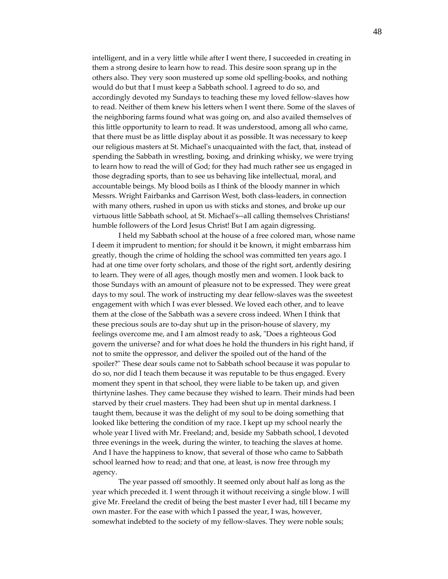intelligent, and in a very little while after I went there, I succeeded in creating in them a strong desire to learn how to read. This desire soon sprang up in the others also. They very soon mustered up some old spelling‐books, and nothing would do but that I must keep a Sabbath school. I agreed to do so, and accordingly devoted my Sundays to teaching these my loved fellow‐slaves how to read. Neither of them knew his letters when I went there. Some of the slaves of the neighboring farms found what was going on, and also availed themselves of this little opportunity to learn to read. It was understood, among all who came, that there must be as little display about it as possible. It was necessary to keep our religious masters at St. Michaelʹs unacquainted with the fact, that, instead of spending the Sabbath in wrestling, boxing, and drinking whisky, we were trying to learn how to read the will of God; for they had much rather see us engaged in those degrading sports, than to see us behaving like intellectual, moral, and accountable beings. My blood boils as I think of the bloody manner in which Messrs. Wright Fairbanks and Garrison West, both class‐leaders, in connection with many others, rushed in upon us with sticks and stones, and broke up our virtuous little Sabbath school, at St. Michaelʹs‐‐all calling themselves Christians! humble followers of the Lord Jesus Christ! But I am again digressing.

I held my Sabbath school at the house of a free colored man, whose name I deem it imprudent to mention; for should it be known, it might embarrass him greatly, though the crime of holding the school was committed ten years ago. I had at one time over forty scholars, and those of the right sort, ardently desiring to learn. They were of all ages, though mostly men and women. I look back to those Sundays with an amount of pleasure not to be expressed. They were great days to my soul. The work of instructing my dear fellow‐slaves was the sweetest engagement with which I was ever blessed. We loved each other, and to leave them at the close of the Sabbath was a severe cross indeed. When I think that these precious souls are to‐day shut up in the prison‐house of slavery, my feelings overcome me, and I am almost ready to ask, "Does a righteous God govern the universe? and for what does he hold the thunders in his right hand, if not to smite the oppressor, and deliver the spoiled out of the hand of the spoiler?" These dear souls came not to Sabbath school because it was popular to do so, nor did I teach them because it was reputable to be thus engaged. Every moment they spent in that school, they were liable to be taken up, and given thirtynine lashes. They came because they wished to learn. Their minds had been starved by their cruel masters. They had been shut up in mental darkness. I taught them, because it was the delight of my soul to be doing something that looked like bettering the condition of my race. I kept up my school nearly the whole year I lived with Mr. Freeland; and, beside my Sabbath school, I devoted three evenings in the week, during the winter, to teaching the slaves at home. And I have the happiness to know, that several of those who came to Sabbath school learned how to read; and that one, at least, is now free through my agency.

The year passed off smoothly. It seemed only about half as long as the year which preceded it. I went through it without receiving a single blow. I will give Mr. Freeland the credit of being the best master I ever had, till I became my own master. For the ease with which I passed the year, I was, however, somewhat indebted to the society of my fellow-slaves. They were noble souls;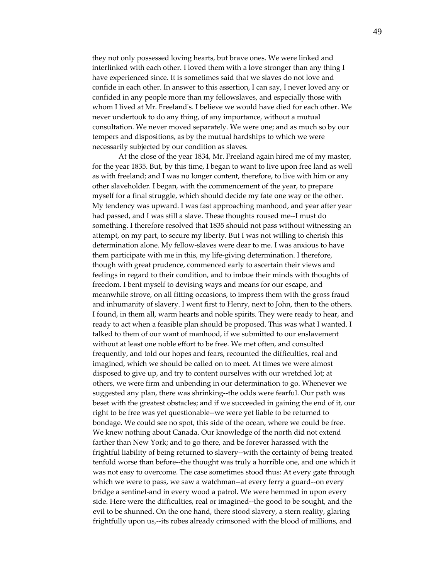they not only possessed loving hearts, but brave ones. We were linked and interlinked with each other. I loved them with a love stronger than any thing I have experienced since. It is sometimes said that we slaves do not love and confide in each other. In answer to this assertion, I can say, I never loved any or confided in any people more than my fellowslaves, and especially those with whom I lived at Mr. Freelandʹs. I believe we would have died for each other. We never undertook to do any thing, of any importance, without a mutual consultation. We never moved separately. We were one; and as much so by our tempers and dispositions, as by the mutual hardships to which we were necessarily subjected by our condition as slaves.

At the close of the year 1834, Mr. Freeland again hired me of my master, for the year 1835. But, by this time, I began to want to live upon free land as well as with freeland; and I was no longer content, therefore, to live with him or any other slaveholder. I began, with the commencement of the year, to prepare myself for a final struggle, which should decide my fate one way or the other. My tendency was upward. I was fast approaching manhood, and year after year had passed, and I was still a slave. These thoughts roused me‐‐I must do something. I therefore resolved that 1835 should not pass without witnessing an attempt, on my part, to secure my liberty. But I was not willing to cherish this determination alone. My fellow‐slaves were dear to me. I was anxious to have them participate with me in this, my life‐giving determination. I therefore, though with great prudence, commenced early to ascertain their views and feelings in regard to their condition, and to imbue their minds with thoughts of freedom. I bent myself to devising ways and means for our escape, and meanwhile strove, on all fitting occasions, to impress them with the gross fraud and inhumanity of slavery. I went first to Henry, next to John, then to the others. I found, in them all, warm hearts and noble spirits. They were ready to hear, and ready to act when a feasible plan should be proposed. This was what I wanted. I talked to them of our want of manhood, if we submitted to our enslavement without at least one noble effort to be free. We met often, and consulted frequently, and told our hopes and fears, recounted the difficulties, real and imagined, which we should be called on to meet. At times we were almost disposed to give up, and try to content ourselves with our wretched lot; at others, we were firm and unbending in our determination to go. Whenever we suggested any plan, there was shrinking‐‐the odds were fearful. Our path was beset with the greatest obstacles; and if we succeeded in gaining the end of it, our right to be free was yet questionable‐‐we were yet liable to be returned to bondage. We could see no spot, this side of the ocean, where we could be free. We knew nothing about Canada. Our knowledge of the north did not extend farther than New York; and to go there, and be forever harassed with the frightful liability of being returned to slavery‐‐with the certainty of being treated tenfold worse than before‐‐the thought was truly a horrible one, and one which it was not easy to overcome. The case sometimes stood thus: At every gate through which we were to pass, we saw a watchman--at every ferry a guard--on every bridge a sentinel‐and in every wood a patrol. We were hemmed in upon every side. Here were the difficulties, real or imagined‐‐the good to be sought, and the evil to be shunned. On the one hand, there stood slavery, a stern reality, glaring frightfully upon us,‐‐its robes already crimsoned with the blood of millions, and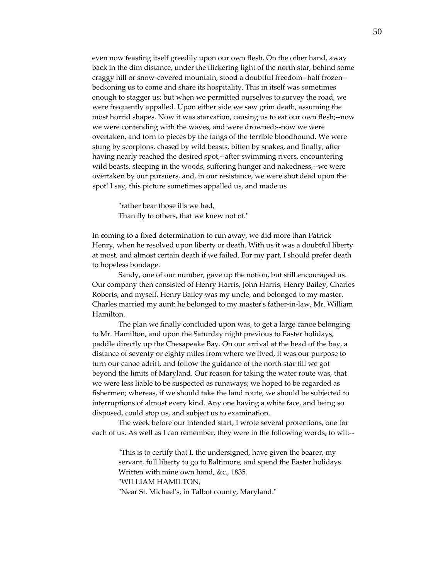even now feasting itself greedily upon our own flesh. On the other hand, away back in the dim distance, under the flickering light of the north star, behind some craggy hill or snow‐covered mountain, stood a doubtful freedom‐‐half frozen‐‐ beckoning us to come and share its hospitality. This in itself was sometimes enough to stagger us; but when we permitted ourselves to survey the road, we were frequently appalled. Upon either side we saw grim death, assuming the most horrid shapes. Now it was starvation, causing us to eat our own flesh;--now we were contending with the waves, and were drowned;--now we were overtaken, and torn to pieces by the fangs of the terrible bloodhound. We were stung by scorpions, chased by wild beasts, bitten by snakes, and finally, after having nearly reached the desired spot,--after swimming rivers, encountering wild beasts, sleeping in the woods, suffering hunger and nakedness,--we were overtaken by our pursuers, and, in our resistance, we were shot dead upon the spot! I say, this picture sometimes appalled us, and made us

> "rather bear those ills we had, Than fly to others, that we knew not of."

In coming to a fixed determination to run away, we did more than Patrick Henry, when he resolved upon liberty or death. With us it was a doubtful liberty at most, and almost certain death if we failed. For my part, I should prefer death to hopeless bondage.

Sandy, one of our number, gave up the notion, but still encouraged us. Our company then consisted of Henry Harris, John Harris, Henry Bailey, Charles Roberts, and myself. Henry Bailey was my uncle, and belonged to my master. Charles married my aunt: he belonged to my masterʹs father‐in‐law, Mr. William Hamilton.

The plan we finally concluded upon was, to get a large canoe belonging to Mr. Hamilton, and upon the Saturday night previous to Easter holidays, paddle directly up the Chesapeake Bay. On our arrival at the head of the bay, a distance of seventy or eighty miles from where we lived, it was our purpose to turn our canoe adrift, and follow the guidance of the north star till we got beyond the limits of Maryland. Our reason for taking the water route was, that we were less liable to be suspected as runaways; we hoped to be regarded as fishermen; whereas, if we should take the land route, we should be subjected to interruptions of almost every kind. Any one having a white face, and being so disposed, could stop us, and subject us to examination.

The week before our intended start, I wrote several protections, one for each of us. As well as I can remember, they were in the following words, to wit:‐‐

ʺThis is to certify that I, the undersigned, have given the bearer, my servant, full liberty to go to Baltimore, and spend the Easter holidays. Written with mine own hand, &c., 1835.

ʺWILLIAM HAMILTON,

"Near St. Michael's, in Talbot county, Maryland."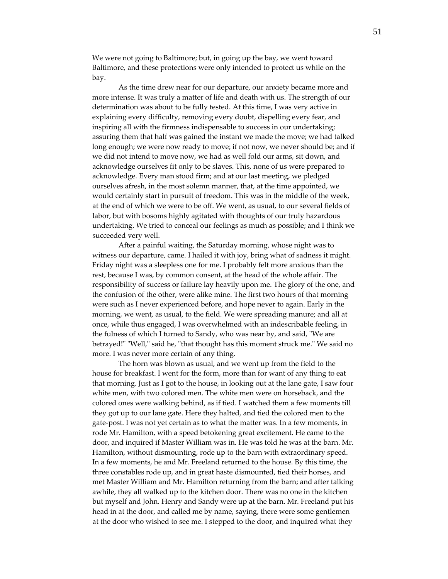We were not going to Baltimore; but, in going up the bay, we went toward Baltimore, and these protections were only intended to protect us while on the bay.

As the time drew near for our departure, our anxiety became more and more intense. It was truly a matter of life and death with us. The strength of our determination was about to be fully tested. At this time, I was very active in explaining every difficulty, removing every doubt, dispelling every fear, and inspiring all with the firmness indispensable to success in our undertaking; assuring them that half was gained the instant we made the move; we had talked long enough; we were now ready to move; if not now, we never should be; and if we did not intend to move now, we had as well fold our arms, sit down, and acknowledge ourselves fit only to be slaves. This, none of us were prepared to acknowledge. Every man stood firm; and at our last meeting, we pledged ourselves afresh, in the most solemn manner, that, at the time appointed, we would certainly start in pursuit of freedom. This was in the middle of the week, at the end of which we were to be off. We went, as usual, to our several fields of labor, but with bosoms highly agitated with thoughts of our truly hazardous undertaking. We tried to conceal our feelings as much as possible; and I think we succeeded very well.

After a painful waiting, the Saturday morning, whose night was to witness our departure, came. I hailed it with joy, bring what of sadness it might. Friday night was a sleepless one for me. I probably felt more anxious than the rest, because I was, by common consent, at the head of the whole affair. The responsibility of success or failure lay heavily upon me. The glory of the one, and the confusion of the other, were alike mine. The first two hours of that morning were such as I never experienced before, and hope never to again. Early in the morning, we went, as usual, to the field. We were spreading manure; and all at once, while thus engaged, I was overwhelmed with an indescribable feeling, in the fulness of which I turned to Sandy, who was near by, and said, "We are betrayed!" "Well," said he, "that thought has this moment struck me." We said no more. I was never more certain of any thing.

The horn was blown as usual, and we went up from the field to the house for breakfast. I went for the form, more than for want of any thing to eat that morning. Just as I got to the house, in looking out at the lane gate, I saw four white men, with two colored men. The white men were on horseback, and the colored ones were walking behind, as if tied. I watched them a few moments till they got up to our lane gate. Here they halted, and tied the colored men to the gate‐post. I was not yet certain as to what the matter was. In a few moments, in rode Mr. Hamilton, with a speed betokening great excitement. He came to the door, and inquired if Master William was in. He was told he was at the barn. Mr. Hamilton, without dismounting, rode up to the barn with extraordinary speed. In a few moments, he and Mr. Freeland returned to the house. By this time, the three constables rode up, and in great haste dismounted, tied their horses, and met Master William and Mr. Hamilton returning from the barn; and after talking awhile, they all walked up to the kitchen door. There was no one in the kitchen but myself and John. Henry and Sandy were up at the barn. Mr. Freeland put his head in at the door, and called me by name, saying, there were some gentlemen at the door who wished to see me. I stepped to the door, and inquired what they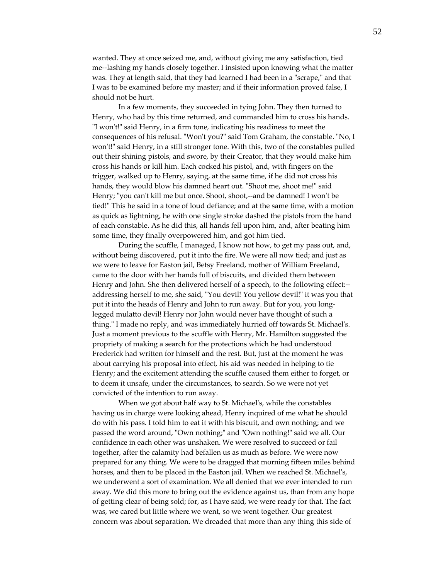wanted. They at once seized me, and, without giving me any satisfaction, tied me‐‐lashing my hands closely together. I insisted upon knowing what the matter was. They at length said, that they had learned I had been in a "scrape," and that I was to be examined before my master; and if their information proved false, I should not be hurt.

In a few moments, they succeeded in tying John. They then turned to Henry, who had by this time returned, and commanded him to cross his hands. "I won't!" said Henry, in a firm tone, indicating his readiness to meet the consequences of his refusal. "Won't you?" said Tom Graham, the constable. "No, I won't!" said Henry, in a still stronger tone. With this, two of the constables pulled out their shining pistols, and swore, by their Creator, that they would make him cross his hands or kill him. Each cocked his pistol, and, with fingers on the trigger, walked up to Henry, saying, at the same time, if he did not cross his hands, they would blow his damned heart out. "Shoot me, shoot me!" said Henry; "you can't kill me but once. Shoot, shoot,--and be damned! I won't be tied!ʺ This he said in a tone of loud defiance; and at the same time, with a motion as quick as lightning, he with one single stroke dashed the pistols from the hand of each constable. As he did this, all hands fell upon him, and, after beating him some time, they finally overpowered him, and got him tied.

During the scuffle, I managed, I know not how, to get my pass out, and, without being discovered, put it into the fire. We were all now tied; and just as we were to leave for Easton jail, Betsy Freeland, mother of William Freeland, came to the door with her hands full of biscuits, and divided them between Henry and John. She then delivered herself of a speech, to the following effect:‐‐ addressing herself to me, she said, "You devil! You yellow devil!" it was you that put it into the heads of Henry and John to run away. But for you, you long‐ legged mulatto devil! Henry nor John would never have thought of such a thing." I made no reply, and was immediately hurried off towards St. Michael's. Just a moment previous to the scuffle with Henry, Mr. Hamilton suggested the propriety of making a search for the protections which he had understood Frederick had written for himself and the rest. But, just at the moment he was about carrying his proposal into effect, his aid was needed in helping to tie Henry; and the excitement attending the scuffle caused them either to forget, or to deem it unsafe, under the circumstances, to search. So we were not yet convicted of the intention to run away.

When we got about half way to St. Michael's, while the constables having us in charge were looking ahead, Henry inquired of me what he should do with his pass. I told him to eat it with his biscuit, and own nothing; and we passed the word around, "Own nothing;" and "Own nothing!" said we all. Our confidence in each other was unshaken. We were resolved to succeed or fail together, after the calamity had befallen us as much as before. We were now prepared for any thing. We were to be dragged that morning fifteen miles behind horses, and then to be placed in the Easton jail. When we reached St. Michael's, we underwent a sort of examination. We all denied that we ever intended to run away. We did this more to bring out the evidence against us, than from any hope of getting clear of being sold; for, as I have said, we were ready for that. The fact was, we cared but little where we went, so we went together. Our greatest concern was about separation. We dreaded that more than any thing this side of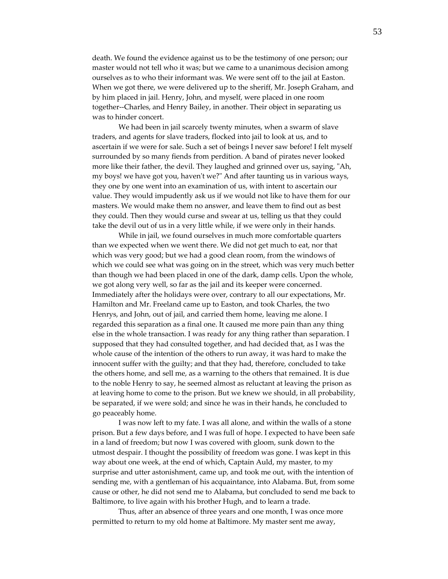death. We found the evidence against us to be the testimony of one person; our master would not tell who it was; but we came to a unanimous decision among ourselves as to who their informant was. We were sent off to the jail at Easton. When we got there, we were delivered up to the sheriff, Mr. Joseph Graham, and by him placed in jail. Henry, John, and myself, were placed in one room together‐‐Charles, and Henry Bailey, in another. Their object in separating us was to hinder concert.

We had been in jail scarcely twenty minutes, when a swarm of slave traders, and agents for slave traders, flocked into jail to look at us, and to ascertain if we were for sale. Such a set of beings I never saw before! I felt myself surrounded by so many fiends from perdition. A band of pirates never looked more like their father, the devil. They laughed and grinned over us, saying, "Ah, my boys! we have got you, haven't we?" And after taunting us in various ways, they one by one went into an examination of us, with intent to ascertain our value. They would impudently ask us if we would not like to have them for our masters. We would make them no answer, and leave them to find out as best they could. Then they would curse and swear at us, telling us that they could take the devil out of us in a very little while, if we were only in their hands.

While in jail, we found ourselves in much more comfortable quarters than we expected when we went there. We did not get much to eat, nor that which was very good; but we had a good clean room, from the windows of which we could see what was going on in the street, which was very much better than though we had been placed in one of the dark, damp cells. Upon the whole, we got along very well, so far as the jail and its keeper were concerned. Immediately after the holidays were over, contrary to all our expectations, Mr. Hamilton and Mr. Freeland came up to Easton, and took Charles, the two Henrys, and John, out of jail, and carried them home, leaving me alone. I regarded this separation as a final one. It caused me more pain than any thing else in the whole transaction. I was ready for any thing rather than separation. I supposed that they had consulted together, and had decided that, as I was the whole cause of the intention of the others to run away, it was hard to make the innocent suffer with the guilty; and that they had, therefore, concluded to take the others home, and sell me, as a warning to the others that remained. It is due to the noble Henry to say, he seemed almost as reluctant at leaving the prison as at leaving home to come to the prison. But we knew we should, in all probability, be separated, if we were sold; and since he was in their hands, he concluded to go peaceably home.

I was now left to my fate. I was all alone, and within the walls of a stone prison. But a few days before, and I was full of hope. I expected to have been safe in a land of freedom; but now I was covered with gloom, sunk down to the utmost despair. I thought the possibility of freedom was gone. I was kept in this way about one week, at the end of which, Captain Auld, my master, to my surprise and utter astonishment, came up, and took me out, with the intention of sending me, with a gentleman of his acquaintance, into Alabama. But, from some cause or other, he did not send me to Alabama, but concluded to send me back to Baltimore, to live again with his brother Hugh, and to learn a trade.

Thus, after an absence of three years and one month, I was once more permitted to return to my old home at Baltimore. My master sent me away,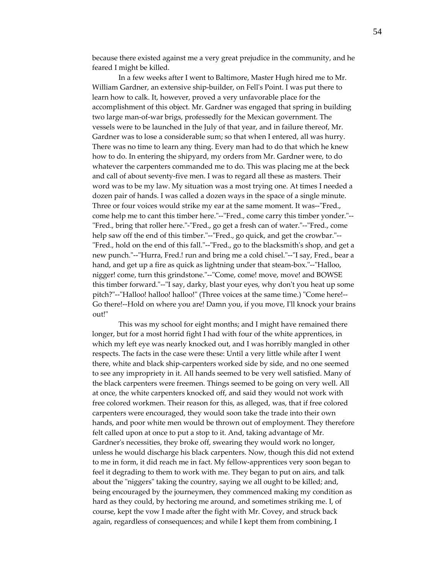because there existed against me a very great prejudice in the community, and he feared I might be killed.

In a few weeks after I went to Baltimore, Master Hugh hired me to Mr. William Gardner, an extensive ship‐builder, on Fellʹs Point. I was put there to learn how to calk. It, however, proved a very unfavorable place for the accomplishment of this object. Mr. Gardner was engaged that spring in building two large man‐of‐war brigs, professedly for the Mexican government. The vessels were to be launched in the July of that year, and in failure thereof, Mr. Gardner was to lose a considerable sum; so that when I entered, all was hurry. There was no time to learn any thing. Every man had to do that which he knew how to do. In entering the shipyard, my orders from Mr. Gardner were, to do whatever the carpenters commanded me to do. This was placing me at the beck and call of about seventy‐five men. I was to regard all these as masters. Their word was to be my law. My situation was a most trying one. At times I needed a dozen pair of hands. I was called a dozen ways in the space of a single minute. Three or four voices would strike my ear at the same moment. It was--"Fred., come help me to cant this timber here."--"Fred., come carry this timber yonder."--"Fred., bring that roller here."-"Fred., go get a fresh can of water."--"Fred., come help saw off the end of this timber."--"Fred., go quick, and get the crowbar."--"Fred., hold on the end of this fall."--"Fred., go to the blacksmith's shop, and get a new punch."--"Hurra, Fred.! run and bring me a cold chisel."--"I say, Fred., bear a hand, and get up a fire as quick as lightning under that steam-box."--"Halloo, nigger! come, turn this grindstone."--"Come, come! move, move! and BOWSE this timber forward."--"I say, darky, blast your eyes, why don't you heat up some pitch?"--"Halloo! halloo! halloo!" (Three voices at the same time.) "Come here!--Go there!--Hold on where you are! Damn you, if you move, I'll knock your brains out!"

This was my school for eight months; and I might have remained there longer, but for a most horrid fight I had with four of the white apprentices, in which my left eye was nearly knocked out, and I was horribly mangled in other respects. The facts in the case were these: Until a very little while after I went there, white and black ship‐carpenters worked side by side, and no one seemed to see any impropriety in it. All hands seemed to be very well satisfied. Many of the black carpenters were freemen. Things seemed to be going on very well. All at once, the white carpenters knocked off, and said they would not work with free colored workmen. Their reason for this, as alleged, was, that if free colored carpenters were encouraged, they would soon take the trade into their own hands, and poor white men would be thrown out of employment. They therefore felt called upon at once to put a stop to it. And, taking advantage of Mr. Gardner's necessities, they broke off, swearing they would work no longer, unless he would discharge his black carpenters. Now, though this did not extend to me in form, it did reach me in fact. My fellow‐apprentices very soon began to feel it degrading to them to work with me. They began to put on airs, and talk about the "niggers" taking the country, saying we all ought to be killed; and, being encouraged by the journeymen, they commenced making my condition as hard as they could, by hectoring me around, and sometimes striking me. I, of course, kept the vow I made after the fight with Mr. Covey, and struck back again, regardless of consequences; and while I kept them from combining, I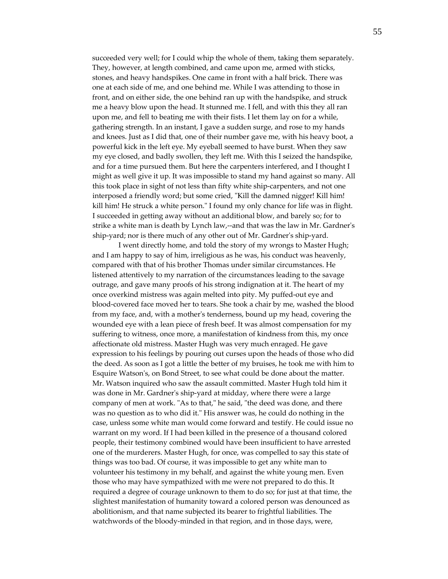succeeded very well; for I could whip the whole of them, taking them separately. They, however, at length combined, and came upon me, armed with sticks, stones, and heavy handspikes. One came in front with a half brick. There was one at each side of me, and one behind me. While I was attending to those in front, and on either side, the one behind ran up with the handspike, and struck me a heavy blow upon the head. It stunned me. I fell, and with this they all ran upon me, and fell to beating me with their fists. I let them lay on for a while, gathering strength. In an instant, I gave a sudden surge, and rose to my hands and knees. Just as I did that, one of their number gave me, with his heavy boot, a powerful kick in the left eye. My eyeball seemed to have burst. When they saw my eye closed, and badly swollen, they left me. With this I seized the handspike, and for a time pursued them. But here the carpenters interfered, and I thought I might as well give it up. It was impossible to stand my hand against so many. All this took place in sight of not less than fifty white ship‐carpenters, and not one interposed a friendly word; but some cried, "Kill the damned nigger! Kill him! kill him! He struck a white person." I found my only chance for life was in flight. I succeeded in getting away without an additional blow, and barely so; for to strike a white man is death by Lynch law,--and that was the law in Mr. Gardner's ship-yard; nor is there much of any other out of Mr. Gardner's ship-yard.

I went directly home, and told the story of my wrongs to Master Hugh; and I am happy to say of him, irreligious as he was, his conduct was heavenly, compared with that of his brother Thomas under similar circumstances. He listened attentively to my narration of the circumstances leading to the savage outrage, and gave many proofs of his strong indignation at it. The heart of my once overkind mistress was again melted into pity. My puffed‐out eye and blood‐covered face moved her to tears. She took a chair by me, washed the blood from my face, and, with a motherʹs tenderness, bound up my head, covering the wounded eye with a lean piece of fresh beef. It was almost compensation for my suffering to witness, once more, a manifestation of kindness from this, my once affectionate old mistress. Master Hugh was very much enraged. He gave expression to his feelings by pouring out curses upon the heads of those who did the deed. As soon as I got a little the better of my bruises, he took me with him to Esquire Watsonʹs, on Bond Street, to see what could be done about the matter. Mr. Watson inquired who saw the assault committed. Master Hugh told him it was done in Mr. Gardner's ship-yard at midday, where there were a large company of men at work. "As to that," he said, "the deed was done, and there was no question as to who did it." His answer was, he could do nothing in the case, unless some white man would come forward and testify. He could issue no warrant on my word. If I had been killed in the presence of a thousand colored people, their testimony combined would have been insufficient to have arrested one of the murderers. Master Hugh, for once, was compelled to say this state of things was too bad. Of course, it was impossible to get any white man to volunteer his testimony in my behalf, and against the white young men. Even those who may have sympathized with me were not prepared to do this. It required a degree of courage unknown to them to do so; for just at that time, the slightest manifestation of humanity toward a colored person was denounced as abolitionism, and that name subjected its bearer to frightful liabilities. The watchwords of the bloody‐minded in that region, and in those days, were,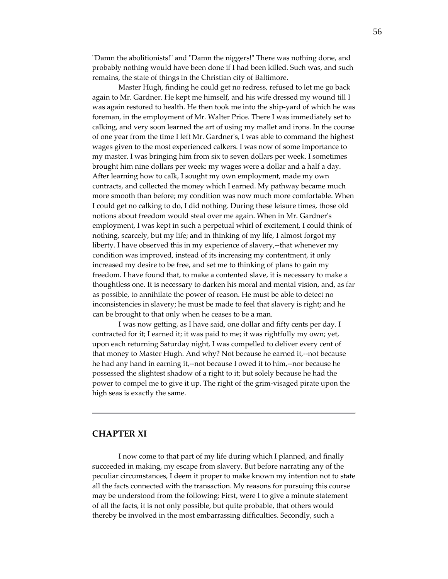"Damn the abolitionists!" and "Damn the niggers!" There was nothing done, and probably nothing would have been done if I had been killed. Such was, and such remains, the state of things in the Christian city of Baltimore.

Master Hugh, finding he could get no redress, refused to let me go back again to Mr. Gardner. He kept me himself, and his wife dressed my wound till I was again restored to health. He then took me into the ship‐yard of which he was foreman, in the employment of Mr. Walter Price. There I was immediately set to calking, and very soon learned the art of using my mallet and irons. In the course of one year from the time I left Mr. Gardnerʹs, I was able to command the highest wages given to the most experienced calkers. I was now of some importance to my master. I was bringing him from six to seven dollars per week. I sometimes brought him nine dollars per week: my wages were a dollar and a half a day. After learning how to calk, I sought my own employment, made my own contracts, and collected the money which I earned. My pathway became much more smooth than before; my condition was now much more comfortable. When I could get no calking to do, I did nothing. During these leisure times, those old notions about freedom would steal over me again. When in Mr. Gardnerʹs employment, I was kept in such a perpetual whirl of excitement, I could think of nothing, scarcely, but my life; and in thinking of my life, I almost forgot my liberty. I have observed this in my experience of slavery,--that whenever my condition was improved, instead of its increasing my contentment, it only increased my desire to be free, and set me to thinking of plans to gain my freedom. I have found that, to make a contented slave, it is necessary to make a thoughtless one. It is necessary to darken his moral and mental vision, and, as far as possible, to annihilate the power of reason. He must be able to detect no inconsistencies in slavery; he must be made to feel that slavery is right; and he can be brought to that only when he ceases to be a man.

I was now getting, as I have said, one dollar and fifty cents per day. I contracted for it; I earned it; it was paid to me; it was rightfully my own; yet, upon each returning Saturday night, I was compelled to deliver every cent of that money to Master Hugh. And why? Not because he earned it,‐‐not because he had any hand in earning it,--not because I owed it to him,--nor because he possessed the slightest shadow of a right to it; but solely because he had the power to compel me to give it up. The right of the grim‐visaged pirate upon the high seas is exactly the same.

## **CHAPTER XI**

I now come to that part of my life during which I planned, and finally succeeded in making, my escape from slavery. But before narrating any of the peculiar circumstances, I deem it proper to make known my intention not to state all the facts connected with the transaction. My reasons for pursuing this course may be understood from the following: First, were I to give a minute statement of all the facts, it is not only possible, but quite probable, that others would thereby be involved in the most embarrassing difficulties. Secondly, such a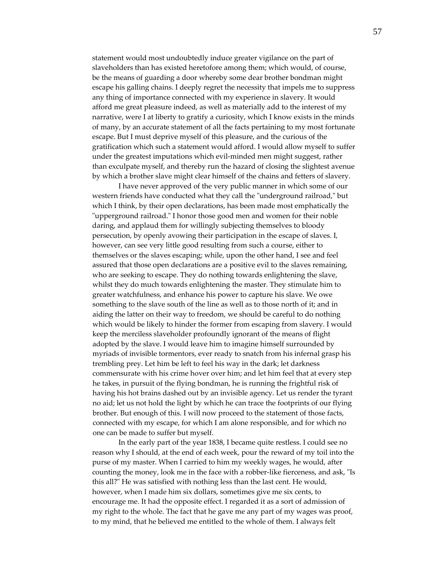statement would most undoubtedly induce greater vigilance on the part of slaveholders than has existed heretofore among them; which would, of course, be the means of guarding a door whereby some dear brother bondman might escape his galling chains. I deeply regret the necessity that impels me to suppress any thing of importance connected with my experience in slavery. It would afford me great pleasure indeed, as well as materially add to the interest of my narrative, were I at liberty to gratify a curiosity, which I know exists in the minds of many, by an accurate statement of all the facts pertaining to my most fortunate escape. But I must deprive myself of this pleasure, and the curious of the gratification which such a statement would afford. I would allow myself to suffer under the greatest imputations which evil‐minded men might suggest, rather than exculpate myself, and thereby run the hazard of closing the slightest avenue by which a brother slave might clear himself of the chains and fetters of slavery.

I have never approved of the very public manner in which some of our western friends have conducted what they call the "underground railroad," but which I think, by their open declarations, has been made most emphatically the "upperground railroad." I honor those good men and women for their noble daring, and applaud them for willingly subjecting themselves to bloody persecution, by openly avowing their participation in the escape of slaves. I, however, can see very little good resulting from such a course, either to themselves or the slaves escaping; while, upon the other hand, I see and feel assured that those open declarations are a positive evil to the slaves remaining, who are seeking to escape. They do nothing towards enlightening the slave, whilst they do much towards enlightening the master. They stimulate him to greater watchfulness, and enhance his power to capture his slave. We owe something to the slave south of the line as well as to those north of it; and in aiding the latter on their way to freedom, we should be careful to do nothing which would be likely to hinder the former from escaping from slavery. I would keep the merciless slaveholder profoundly ignorant of the means of flight adopted by the slave. I would leave him to imagine himself surrounded by myriads of invisible tormentors, ever ready to snatch from his infernal grasp his trembling prey. Let him be left to feel his way in the dark; let darkness commensurate with his crime hover over him; and let him feel that at every step he takes, in pursuit of the flying bondman, he is running the frightful risk of having his hot brains dashed out by an invisible agency. Let us render the tyrant no aid; let us not hold the light by which he can trace the footprints of our flying brother. But enough of this. I will now proceed to the statement of those facts, connected with my escape, for which I am alone responsible, and for which no one can be made to suffer but myself.

In the early part of the year 1838, I became quite restless. I could see no reason why I should, at the end of each week, pour the reward of my toil into the purse of my master. When I carried to him my weekly wages, he would, after counting the money, look me in the face with a robber-like fierceness, and ask, "Is this all?" He was satisfied with nothing less than the last cent. He would, however, when I made him six dollars, sometimes give me six cents, to encourage me. It had the opposite effect. I regarded it as a sort of admission of my right to the whole. The fact that he gave me any part of my wages was proof, to my mind, that he believed me entitled to the whole of them. I always felt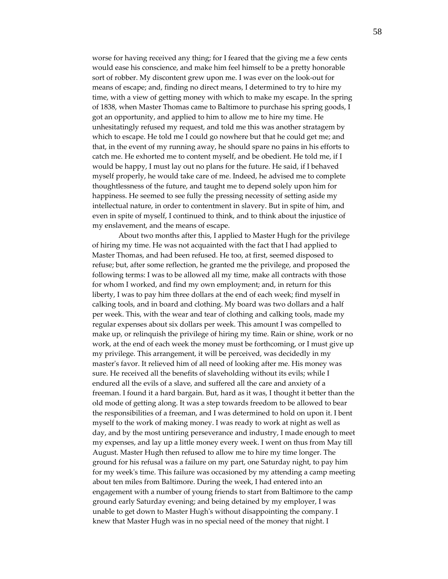worse for having received any thing; for I feared that the giving me a few cents would ease his conscience, and make him feel himself to be a pretty honorable sort of robber. My discontent grew upon me. I was ever on the look‐out for means of escape; and, finding no direct means, I determined to try to hire my time, with a view of getting money with which to make my escape. In the spring of 1838, when Master Thomas came to Baltimore to purchase his spring goods, I got an opportunity, and applied to him to allow me to hire my time. He unhesitatingly refused my request, and told me this was another stratagem by which to escape. He told me I could go nowhere but that he could get me; and that, in the event of my running away, he should spare no pains in his efforts to catch me. He exhorted me to content myself, and be obedient. He told me, if I would be happy, I must lay out no plans for the future. He said, if I behaved myself properly, he would take care of me. Indeed, he advised me to complete thoughtlessness of the future, and taught me to depend solely upon him for happiness. He seemed to see fully the pressing necessity of setting aside my intellectual nature, in order to contentment in slavery. But in spite of him, and even in spite of myself, I continued to think, and to think about the injustice of my enslavement, and the means of escape.

About two months after this, I applied to Master Hugh for the privilege of hiring my time. He was not acquainted with the fact that I had applied to Master Thomas, and had been refused. He too, at first, seemed disposed to refuse; but, after some reflection, he granted me the privilege, and proposed the following terms: I was to be allowed all my time, make all contracts with those for whom I worked, and find my own employment; and, in return for this liberty, I was to pay him three dollars at the end of each week; find myself in calking tools, and in board and clothing. My board was two dollars and a half per week. This, with the wear and tear of clothing and calking tools, made my regular expenses about six dollars per week. This amount I was compelled to make up, or relinquish the privilege of hiring my time. Rain or shine, work or no work, at the end of each week the money must be forthcoming, or I must give up my privilege. This arrangement, it will be perceived, was decidedly in my master's favor. It relieved him of all need of looking after me. His money was sure. He received all the benefits of slaveholding without its evils; while I endured all the evils of a slave, and suffered all the care and anxiety of a freeman. I found it a hard bargain. But, hard as it was, I thought it better than the old mode of getting along. It was a step towards freedom to be allowed to bear the responsibilities of a freeman, and I was determined to hold on upon it. I bent myself to the work of making money. I was ready to work at night as well as day, and by the most untiring perseverance and industry, I made enough to meet my expenses, and lay up a little money every week. I went on thus from May till August. Master Hugh then refused to allow me to hire my time longer. The ground for his refusal was a failure on my part, one Saturday night, to pay him for my weekʹs time. This failure was occasioned by my attending a camp meeting about ten miles from Baltimore. During the week, I had entered into an engagement with a number of young friends to start from Baltimore to the camp ground early Saturday evening; and being detained by my employer, I was unable to get down to Master Hugh's without disappointing the company. I knew that Master Hugh was in no special need of the money that night. I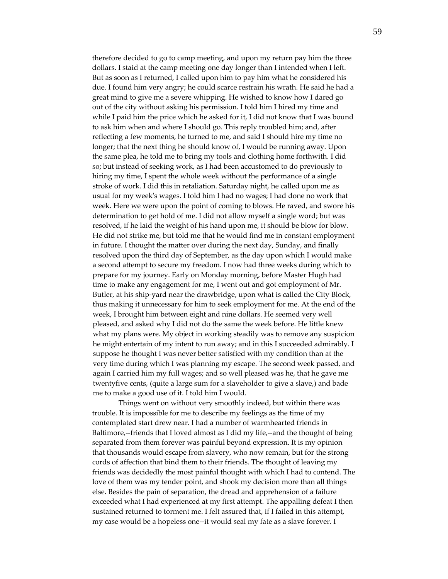therefore decided to go to camp meeting, and upon my return pay him the three dollars. I staid at the camp meeting one day longer than I intended when I left. But as soon as I returned, I called upon him to pay him what he considered his due. I found him very angry; he could scarce restrain his wrath. He said he had a great mind to give me a severe whipping. He wished to know how I dared go out of the city without asking his permission. I told him I hired my time and while I paid him the price which he asked for it, I did not know that I was bound to ask him when and where I should go. This reply troubled him; and, after reflecting a few moments, he turned to me, and said I should hire my time no longer; that the next thing he should know of, I would be running away. Upon the same plea, he told me to bring my tools and clothing home forthwith. I did so; but instead of seeking work, as I had been accustomed to do previously to hiring my time, I spent the whole week without the performance of a single stroke of work. I did this in retaliation. Saturday night, he called upon me as usual for my weekʹs wages. I told him I had no wages; I had done no work that week. Here we were upon the point of coming to blows. He raved, and swore his determination to get hold of me. I did not allow myself a single word; but was resolved, if he laid the weight of his hand upon me, it should be blow for blow. He did not strike me, but told me that he would find me in constant employment in future. I thought the matter over during the next day, Sunday, and finally resolved upon the third day of September, as the day upon which I would make a second attempt to secure my freedom. I now had three weeks during which to prepare for my journey. Early on Monday morning, before Master Hugh had time to make any engagement for me, I went out and got employment of Mr. Butler, at his ship-yard near the drawbridge, upon what is called the City Block, thus making it unnecessary for him to seek employment for me. At the end of the week, I brought him between eight and nine dollars. He seemed very well pleased, and asked why I did not do the same the week before. He little knew what my plans were. My object in working steadily was to remove any suspicion he might entertain of my intent to run away; and in this I succeeded admirably. I suppose he thought I was never better satisfied with my condition than at the very time during which I was planning my escape. The second week passed, and again I carried him my full wages; and so well pleased was he, that he gave me twentyfive cents, (quite a large sum for a slaveholder to give a slave,) and bade me to make a good use of it. I told him I would.

Things went on without very smoothly indeed, but within there was trouble. It is impossible for me to describe my feelings as the time of my contemplated start drew near. I had a number of warmhearted friends in Baltimore,--friends that I loved almost as I did my life,--and the thought of being separated from them forever was painful beyond expression. It is my opinion that thousands would escape from slavery, who now remain, but for the strong cords of affection that bind them to their friends. The thought of leaving my friends was decidedly the most painful thought with which I had to contend. The love of them was my tender point, and shook my decision more than all things else. Besides the pain of separation, the dread and apprehension of a failure exceeded what I had experienced at my first attempt. The appalling defeat I then sustained returned to torment me. I felt assured that, if I failed in this attempt, my case would be a hopeless one‐‐it would seal my fate as a slave forever. I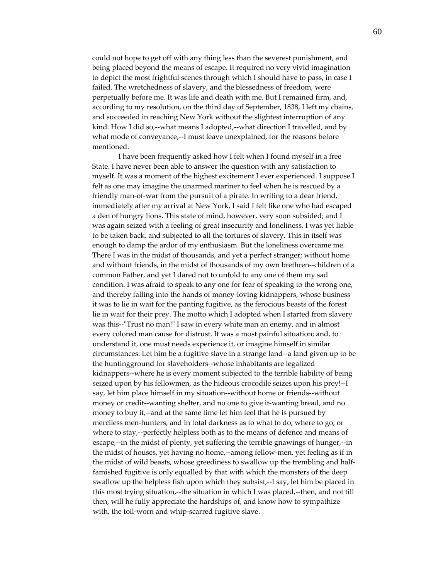could not hope to get off with any thing less than the severest punishment, and being placed beyond the means of escape. It required no very vivid imagination to depict the most frightful scenes through which I should have to pass, in case I failed. The wretchedness of slavery, and the blessedness of freedom, were perpetually before me. It was life and death with me. But I remained firm, and, according to my resolution, on the third day of September, 1838, I left my chains, and succeeded in reaching New York without the slightest interruption of any kind. How I did so,--what means I adopted,--what direction I travelled, and by what mode of conveyance,--I must leave unexplained, for the reasons before mentioned.

I have been frequently asked how I felt when I found myself in a free State. I have never been able to answer the question with any satisfaction to myself. It was a moment of the highest excitement I ever experienced. I suppose I felt as one may imagine the unarmed mariner to feel when he is rescued by a friendly man‐of‐war from the pursuit of a pirate. In writing to a dear friend, immediately after my arrival at New York, I said I felt like one who had escaped a den of hungry lions. This state of mind, however, very soon subsided; and I was again seized with a feeling of great insecurity and loneliness. I was yet liable to be taken back, and subjected to all the tortures of slavery. This in itself was enough to damp the ardor of my enthusiasm. But the loneliness overcame me. There I was in the midst of thousands, and yet a perfect stranger; without home and without friends, in the midst of thousands of my own brethren‐‐children of a common Father, and yet I dared not to unfold to any one of them my sad condition. I was afraid to speak to any one for fear of speaking to the wrong one, and thereby falling into the hands of money‐loving kidnappers, whose business it was to lie in wait for the panting fugitive, as the ferocious beasts of the forest lie in wait for their prey. The motto which I adopted when I started from slavery was this--"Trust no man!" I saw in every white man an enemy, and in almost every colored man cause for distrust. It was a most painful situation; and, to understand it, one must needs experience it, or imagine himself in similar circumstances. Let him be a fugitive slave in a strange land‐‐a land given up to be the huntingground for slaveholders‐‐whose inhabitants are legalized kidnappers--where he is every moment subjected to the terrible liability of being seized upon by his fellowmen, as the hideous crocodile seizes upon his prey!‐‐I say, let him place himself in my situation‐‐without home or friends‐‐without money or credit‐‐wanting shelter, and no one to give it‐wanting bread, and no money to buy it,--and at the same time let him feel that he is pursued by merciless men-hunters, and in total darkness as to what to do, where to go, or where to stay,--perfectly helpless both as to the means of defence and means of escape,--in the midst of plenty, yet suffering the terrible gnawings of hunger,--in the midst of houses, yet having no home,‐‐among fellow‐men, yet feeling as if in the midst of wild beasts, whose greediness to swallow up the trembling and half‐ famished fugitive is only equalled by that with which the monsters of the deep swallow up the helpless fish upon which they subsist,--I say, let him be placed in this most trying situation,‐‐the situation in which I was placed,‐‐then, and not till then, will he fully appreciate the hardships of, and know how to sympathize with, the toil-worn and whip-scarred fugitive slave.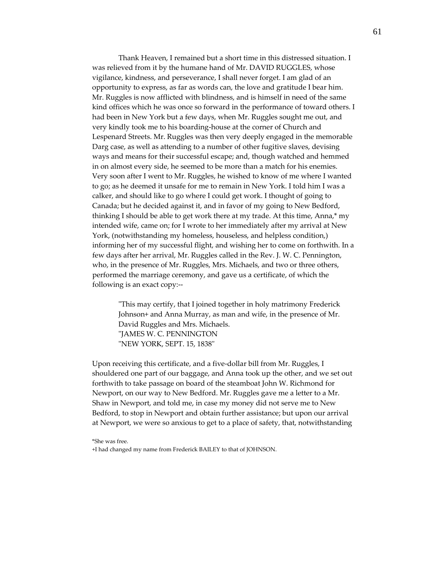Thank Heaven, I remained but a short time in this distressed situation. I was relieved from it by the humane hand of Mr. DAVID RUGGLES, whose vigilance, kindness, and perseverance, I shall never forget. I am glad of an opportunity to express, as far as words can, the love and gratitude I bear him. Mr. Ruggles is now afflicted with blindness, and is himself in need of the same kind offices which he was once so forward in the performance of toward others. I had been in New York but a few days, when Mr. Ruggles sought me out, and very kindly took me to his boarding‐house at the corner of Church and Lespenard Streets. Mr. Ruggles was then very deeply engaged in the memorable Darg case, as well as attending to a number of other fugitive slaves, devising ways and means for their successful escape; and, though watched and hemmed in on almost every side, he seemed to be more than a match for his enemies. Very soon after I went to Mr. Ruggles, he wished to know of me where I wanted to go; as he deemed it unsafe for me to remain in New York. I told him I was a calker, and should like to go where I could get work. I thought of going to Canada; but he decided against it, and in favor of my going to New Bedford, thinking I should be able to get work there at my trade. At this time, Anna,\* my intended wife, came on; for I wrote to her immediately after my arrival at New York, (notwithstanding my homeless, houseless, and helpless condition,) informing her of my successful flight, and wishing her to come on forthwith. In a few days after her arrival, Mr. Ruggles called in the Rev. J. W. C. Pennington, who, in the presence of Mr. Ruggles, Mrs. Michaels, and two or three others, performed the marriage ceremony, and gave us a certificate, of which the following is an exact copy:‐‐

ʺThis may certify, that I joined together in holy matrimony Frederick Johnson+ and Anna Murray, as man and wife, in the presence of Mr. David Ruggles and Mrs. Michaels. ʺJAMES W. C. PENNINGTON "NEW YORK, SEPT. 15, 1838"

Upon receiving this certificate, and a five‐dollar bill from Mr. Ruggles, I shouldered one part of our baggage, and Anna took up the other, and we set out forthwith to take passage on board of the steamboat John W. Richmond for Newport, on our way to New Bedford. Mr. Ruggles gave me a letter to a Mr. Shaw in Newport, and told me, in case my money did not serve me to New Bedford, to stop in Newport and obtain further assistance; but upon our arrival at Newport, we were so anxious to get to a place of safety, that, notwithstanding

<sup>\*</sup>She was free.

<sup>+</sup>I had changed my name from Frederick BAILEY to that of JOHNSON.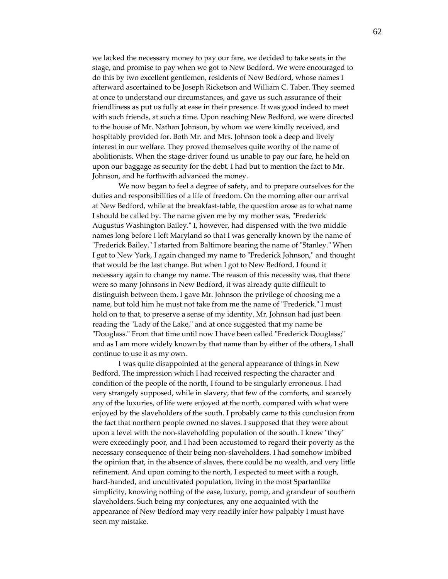we lacked the necessary money to pay our fare, we decided to take seats in the stage, and promise to pay when we got to New Bedford. We were encouraged to do this by two excellent gentlemen, residents of New Bedford, whose names I afterward ascertained to be Joseph Ricketson and William C. Taber. They seemed at once to understand our circumstances, and gave us such assurance of their friendliness as put us fully at ease in their presence. It was good indeed to meet with such friends, at such a time. Upon reaching New Bedford, we were directed to the house of Mr. Nathan Johnson, by whom we were kindly received, and hospitably provided for. Both Mr. and Mrs. Johnson took a deep and lively interest in our welfare. They proved themselves quite worthy of the name of abolitionists. When the stage‐driver found us unable to pay our fare, he held on upon our baggage as security for the debt. I had but to mention the fact to Mr. Johnson, and he forthwith advanced the money.

We now began to feel a degree of safety, and to prepare ourselves for the duties and responsibilities of a life of freedom. On the morning after our arrival at New Bedford, while at the breakfast‐table, the question arose as to what name I should be called by. The name given me by my mother was, "Frederick Augustus Washington Bailey." I, however, had dispensed with the two middle names long before I left Maryland so that I was generally known by the name of "Frederick Bailey." I started from Baltimore bearing the name of "Stanley." When I got to New York, I again changed my name to "Frederick Johnson," and thought that would be the last change. But when I got to New Bedford, I found it necessary again to change my name. The reason of this necessity was, that there were so many Johnsons in New Bedford, it was already quite difficult to distinguish between them. I gave Mr. Johnson the privilege of choosing me a name, but told him he must not take from me the name of "Frederick." I must hold on to that, to preserve a sense of my identity. Mr. Johnson had just been reading the "Lady of the Lake," and at once suggested that my name be "Douglass." From that time until now I have been called "Frederick Douglass;" and as I am more widely known by that name than by either of the others, I shall continue to use it as my own.

I was quite disappointed at the general appearance of things in New Bedford. The impression which I had received respecting the character and condition of the people of the north, I found to be singularly erroneous. I had very strangely supposed, while in slavery, that few of the comforts, and scarcely any of the luxuries, of life were enjoyed at the north, compared with what were enjoyed by the slaveholders of the south. I probably came to this conclusion from the fact that northern people owned no slaves. I supposed that they were about upon a level with the non-slaveholding population of the south. I knew "they" were exceedingly poor, and I had been accustomed to regard their poverty as the necessary consequence of their being non‐slaveholders. I had somehow imbibed the opinion that, in the absence of slaves, there could be no wealth, and very little refinement. And upon coming to the north, I expected to meet with a rough, hard‐handed, and uncultivated population, living in the most Spartanlike simplicity, knowing nothing of the ease, luxury, pomp, and grandeur of southern slaveholders. Such being my conjectures, any one acquainted with the appearance of New Bedford may very readily infer how palpably I must have seen my mistake.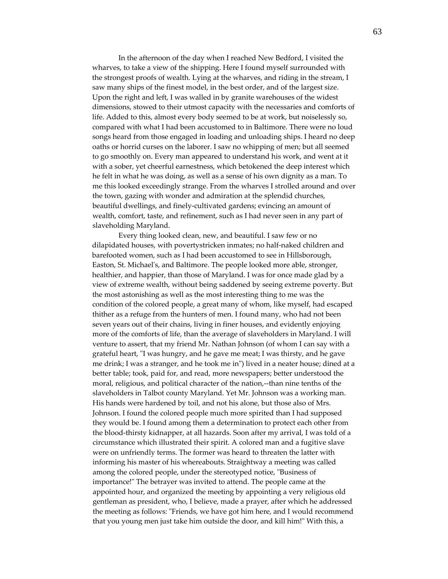In the afternoon of the day when I reached New Bedford, I visited the wharves, to take a view of the shipping. Here I found myself surrounded with the strongest proofs of wealth. Lying at the wharves, and riding in the stream, I saw many ships of the finest model, in the best order, and of the largest size. Upon the right and left, I was walled in by granite warehouses of the widest dimensions, stowed to their utmost capacity with the necessaries and comforts of life. Added to this, almost every body seemed to be at work, but noiselessly so, compared with what I had been accustomed to in Baltimore. There were no loud songs heard from those engaged in loading and unloading ships. I heard no deep oaths or horrid curses on the laborer. I saw no whipping of men; but all seemed to go smoothly on. Every man appeared to understand his work, and went at it with a sober, yet cheerful earnestness, which betokened the deep interest which he felt in what he was doing, as well as a sense of his own dignity as a man. To me this looked exceedingly strange. From the wharves I strolled around and over the town, gazing with wonder and admiration at the splendid churches, beautiful dwellings, and finely‐cultivated gardens; evincing an amount of wealth, comfort, taste, and refinement, such as I had never seen in any part of slaveholding Maryland.

Every thing looked clean, new, and beautiful. I saw few or no dilapidated houses, with povertystricken inmates; no half‐naked children and barefooted women, such as I had been accustomed to see in Hillsborough, Easton, St. Michael's, and Baltimore. The people looked more able, stronger, healthier, and happier, than those of Maryland. I was for once made glad by a view of extreme wealth, without being saddened by seeing extreme poverty. But the most astonishing as well as the most interesting thing to me was the condition of the colored people, a great many of whom, like myself, had escaped thither as a refuge from the hunters of men. I found many, who had not been seven years out of their chains, living in finer houses, and evidently enjoying more of the comforts of life, than the average of slaveholders in Maryland. I will venture to assert, that my friend Mr. Nathan Johnson (of whom I can say with a grateful heart, "I was hungry, and he gave me meat; I was thirsty, and he gave me drink; I was a stranger, and he took me in") lived in a neater house; dined at a better table; took, paid for, and read, more newspapers; better understood the moral, religious, and political character of the nation,‐‐than nine tenths of the slaveholders in Talbot county Maryland. Yet Mr. Johnson was a working man. His hands were hardened by toil, and not his alone, but those also of Mrs. Johnson. I found the colored people much more spirited than I had supposed they would be. I found among them a determination to protect each other from the blood‐thirsty kidnapper, at all hazards. Soon after my arrival, I was told of a circumstance which illustrated their spirit. A colored man and a fugitive slave were on unfriendly terms. The former was heard to threaten the latter with informing his master of his whereabouts. Straightway a meeting was called among the colored people, under the stereotyped notice, "Business of importance!" The betrayer was invited to attend. The people came at the appointed hour, and organized the meeting by appointing a very religious old gentleman as president, who, I believe, made a prayer, after which he addressed the meeting as follows: "Friends, we have got him here, and I would recommend that you young men just take him outside the door, and kill him!" With this, a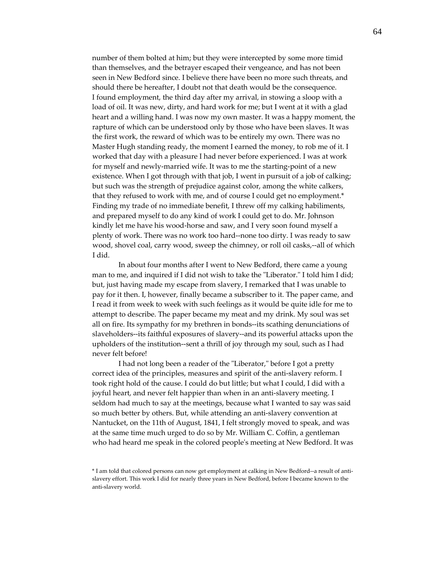number of them bolted at him; but they were intercepted by some more timid than themselves, and the betrayer escaped their vengeance, and has not been seen in New Bedford since. I believe there have been no more such threats, and should there be hereafter, I doubt not that death would be the consequence. I found employment, the third day after my arrival, in stowing a sloop with a load of oil. It was new, dirty, and hard work for me; but I went at it with a glad heart and a willing hand. I was now my own master. It was a happy moment, the rapture of which can be understood only by those who have been slaves. It was the first work, the reward of which was to be entirely my own. There was no Master Hugh standing ready, the moment I earned the money, to rob me of it. I worked that day with a pleasure I had never before experienced. I was at work for myself and newly‐married wife. It was to me the starting‐point of a new existence. When I got through with that job, I went in pursuit of a job of calking; but such was the strength of prejudice against color, among the white calkers, that they refused to work with me, and of course I could get no employment.\* Finding my trade of no immediate benefit, I threw off my calking habiliments, and prepared myself to do any kind of work I could get to do. Mr. Johnson kindly let me have his wood-horse and saw, and I very soon found myself a plenty of work. There was no work too hard‐‐none too dirty. I was ready to saw wood, shovel coal, carry wood, sweep the chimney, or roll oil casks,--all of which I did.

In about four months after I went to New Bedford, there came a young man to me, and inquired if I did not wish to take the "Liberator." I told him I did; but, just having made my escape from slavery, I remarked that I was unable to pay for it then. I, however, finally became a subscriber to it. The paper came, and I read it from week to week with such feelings as it would be quite idle for me to attempt to describe. The paper became my meat and my drink. My soul was set all on fire. Its sympathy for my brethren in bonds‐‐its scathing denunciations of slaveholders‐‐its faithful exposures of slavery‐‐and its powerful attacks upon the upholders of the institution‐‐sent a thrill of joy through my soul, such as I had never felt before!

I had not long been a reader of the "Liberator," before I got a pretty correct idea of the principles, measures and spirit of the anti‐slavery reform. I took right hold of the cause. I could do but little; but what I could, I did with a joyful heart, and never felt happier than when in an anti‐slavery meeting. I seldom had much to say at the meetings, because what I wanted to say was said so much better by others. But, while attending an anti‐slavery convention at Nantucket, on the 11th of August, 1841, I felt strongly moved to speak, and was at the same time much urged to do so by Mr. William C. Coffin, a gentleman who had heard me speak in the colored peopleʹs meeting at New Bedford. It was

<sup>\*</sup> I am told that colored persons can now get employment at calking in New Bedford‐‐a result of anti‐ slavery effort. This work I did for nearly three years in New Bedford, before I became known to the anti‐slavery world.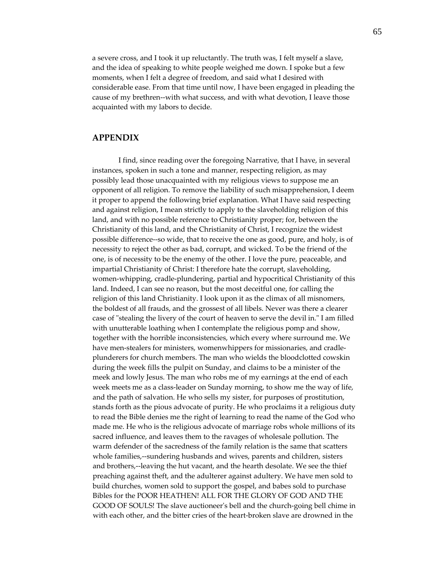a severe cross, and I took it up reluctantly. The truth was, I felt myself a slave, and the idea of speaking to white people weighed me down. I spoke but a few moments, when I felt a degree of freedom, and said what I desired with considerable ease. From that time until now, I have been engaged in pleading the cause of my brethren--with what success, and with what devotion, I leave those acquainted with my labors to decide.

## **APPENDIX**

I find, since reading over the foregoing Narrative, that I have, in several instances, spoken in such a tone and manner, respecting religion, as may possibly lead those unacquainted with my religious views to suppose me an opponent of all religion. To remove the liability of such misapprehension, I deem it proper to append the following brief explanation. What I have said respecting and against religion, I mean strictly to apply to the slaveholding religion of this land, and with no possible reference to Christianity proper; for, between the Christianity of this land, and the Christianity of Christ, I recognize the widest possible difference‐‐so wide, that to receive the one as good, pure, and holy, is of necessity to reject the other as bad, corrupt, and wicked. To be the friend of the one, is of necessity to be the enemy of the other. I love the pure, peaceable, and impartial Christianity of Christ: I therefore hate the corrupt, slaveholding, women-whipping, cradle-plundering, partial and hypocritical Christianity of this land. Indeed, I can see no reason, but the most deceitful one, for calling the religion of this land Christianity. I look upon it as the climax of all misnomers, the boldest of all frauds, and the grossest of all libels. Never was there a clearer case of "stealing the livery of the court of heaven to serve the devil in." I am filled with unutterable loathing when I contemplate the religious pomp and show, together with the horrible inconsistencies, which every where surround me. We have men-stealers for ministers, womenwhippers for missionaries, and cradleplunderers for church members. The man who wields the bloodclotted cowskin during the week fills the pulpit on Sunday, and claims to be a minister of the meek and lowly Jesus. The man who robs me of my earnings at the end of each week meets me as a class-leader on Sunday morning, to show me the way of life, and the path of salvation. He who sells my sister, for purposes of prostitution, stands forth as the pious advocate of purity. He who proclaims it a religious duty to read the Bible denies me the right of learning to read the name of the God who made me. He who is the religious advocate of marriage robs whole millions of its sacred influence, and leaves them to the ravages of wholesale pollution. The warm defender of the sacredness of the family relation is the same that scatters whole families,--sundering husbands and wives, parents and children, sisters and brothers,‐‐leaving the hut vacant, and the hearth desolate. We see the thief preaching against theft, and the adulterer against adultery. We have men sold to build churches, women sold to support the gospel, and babes sold to purchase Bibles for the POOR HEATHEN! ALL FOR THE GLORY OF GOD AND THE GOOD OF SOULS! The slave auctioneer's bell and the church-going bell chime in with each other, and the bitter cries of the heart-broken slave are drowned in the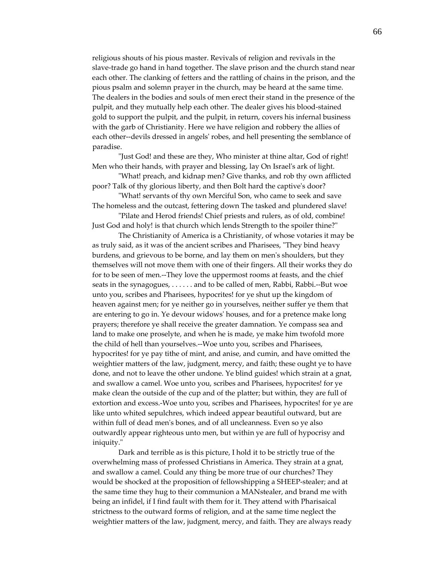religious shouts of his pious master. Revivals of religion and revivals in the slave-trade go hand in hand together. The slave prison and the church stand near each other. The clanking of fetters and the rattling of chains in the prison, and the pious psalm and solemn prayer in the church, may be heard at the same time. The dealers in the bodies and souls of men erect their stand in the presence of the pulpit, and they mutually help each other. The dealer gives his blood‐stained gold to support the pulpit, and the pulpit, in return, covers his infernal business with the garb of Christianity. Here we have religion and robbery the allies of each other--devils dressed in angels' robes, and hell presenting the semblance of paradise.

ʺJust God! and these are they, Who minister at thine altar, God of right! Men who their hands, with prayer and blessing, lay On Israel's ark of light.

ʺWhat! preach, and kidnap men? Give thanks, and rob thy own afflicted poor? Talk of thy glorious liberty, and then Bolt hard the captiveʹs door?

ʺWhat! servants of thy own Merciful Son, who came to seek and save The homeless and the outcast, fettering down The tasked and plundered slave!

ʺPilate and Herod friends! Chief priests and rulers, as of old, combine! Just God and holy! is that church which lends Strength to the spoiler thine?"

The Christianity of America is a Christianity, of whose votaries it may be as truly said, as it was of the ancient scribes and Pharisees, "They bind heavy burdens, and grievous to be borne, and lay them on menʹs shoulders, but they themselves will not move them with one of their fingers. All their works they do for to be seen of men.‐‐They love the uppermost rooms at feasts, and the chief seats in the synagogues, . . . . . . and to be called of men, Rabbi, Rabbi.‐‐But woe unto you, scribes and Pharisees, hypocrites! for ye shut up the kingdom of heaven against men; for ye neither go in yourselves, neither suffer ye them that are entering to go in. Ye devour widowsʹ houses, and for a pretence make long prayers; therefore ye shall receive the greater damnation. Ye compass sea and land to make one proselyte, and when he is made, ye make him twofold more the child of hell than yourselves.‐‐Woe unto you, scribes and Pharisees, hypocrites! for ye pay tithe of mint, and anise, and cumin, and have omitted the weightier matters of the law, judgment, mercy, and faith; these ought ye to have done, and not to leave the other undone. Ye blind guides! which strain at a gnat, and swallow a camel. Woe unto you, scribes and Pharisees, hypocrites! for ye make clean the outside of the cup and of the platter; but within, they are full of extortion and excess.‐Woe unto you, scribes and Pharisees, hypocrites! for ye are like unto whited sepulchres, which indeed appear beautiful outward, but are within full of dead menʹs bones, and of all uncleanness. Even so ye also outwardly appear righteous unto men, but within ye are full of hypocrisy and iniquity."

Dark and terrible as is this picture, I hold it to be strictly true of the overwhelming mass of professed Christians in America. They strain at a gnat, and swallow a camel. Could any thing be more true of our churches? They would be shocked at the proposition of fellowshipping a SHEEP‐stealer; and at the same time they hug to their communion a MANstealer, and brand me with being an infidel, if I find fault with them for it. They attend with Pharisaical strictness to the outward forms of religion, and at the same time neglect the weightier matters of the law, judgment, mercy, and faith. They are always ready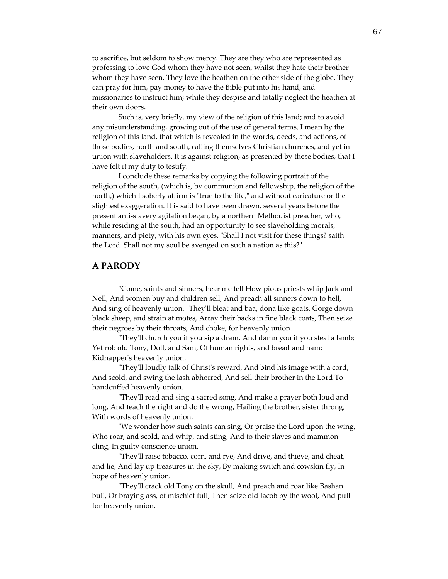to sacrifice, but seldom to show mercy. They are they who are represented as professing to love God whom they have not seen, whilst they hate their brother whom they have seen. They love the heathen on the other side of the globe. They can pray for him, pay money to have the Bible put into his hand, and missionaries to instruct him; while they despise and totally neglect the heathen at their own doors.

Such is, very briefly, my view of the religion of this land; and to avoid any misunderstanding, growing out of the use of general terms, I mean by the religion of this land, that which is revealed in the words, deeds, and actions, of those bodies, north and south, calling themselves Christian churches, and yet in union with slaveholders. It is against religion, as presented by these bodies, that I have felt it my duty to testify.

I conclude these remarks by copying the following portrait of the religion of the south, (which is, by communion and fellowship, the religion of the north,) which I soberly affirm is "true to the life," and without caricature or the slightest exaggeration. It is said to have been drawn, several years before the present anti-slavery agitation began, by a northern Methodist preacher, who, while residing at the south, had an opportunity to see slaveholding morals, manners, and piety, with his own eyes. "Shall I not visit for these things? saith the Lord. Shall not my soul be avenged on such a nation as this?"

#### **A PARODY**

ʺCome, saints and sinners, hear me tell How pious priests whip Jack and Nell, And women buy and children sell, And preach all sinners down to hell, And sing of heavenly union. "They'll bleat and baa, dona like goats, Gorge down black sheep, and strain at motes, Array their backs in fine black coats, Then seize their negroes by their throats, And choke, for heavenly union.

ʺTheyʹll church you if you sip a dram, And damn you if you steal a lamb; Yet rob old Tony, Doll, and Sam, Of human rights, and bread and ham; Kidnapperʹs heavenly union.

ʺTheyʹll loudly talk of Christʹs reward, And bind his image with a cord, And scold, and swing the lash abhorred, And sell their brother in the Lord To handcuffed heavenly union.

ʺTheyʹll read and sing a sacred song, And make a prayer both loud and long, And teach the right and do the wrong, Hailing the brother, sister throng, With words of heavenly union.

ʺWe wonder how such saints can sing, Or praise the Lord upon the wing, Who roar, and scold, and whip, and sting, And to their slaves and mammon cling, In guilty conscience union.

ʺTheyʹll raise tobacco, corn, and rye, And drive, and thieve, and cheat, and lie, And lay up treasures in the sky, By making switch and cowskin fly, In hope of heavenly union.

ʺTheyʹll crack old Tony on the skull, And preach and roar like Bashan bull, Or braying ass, of mischief full, Then seize old Jacob by the wool, And pull for heavenly union.